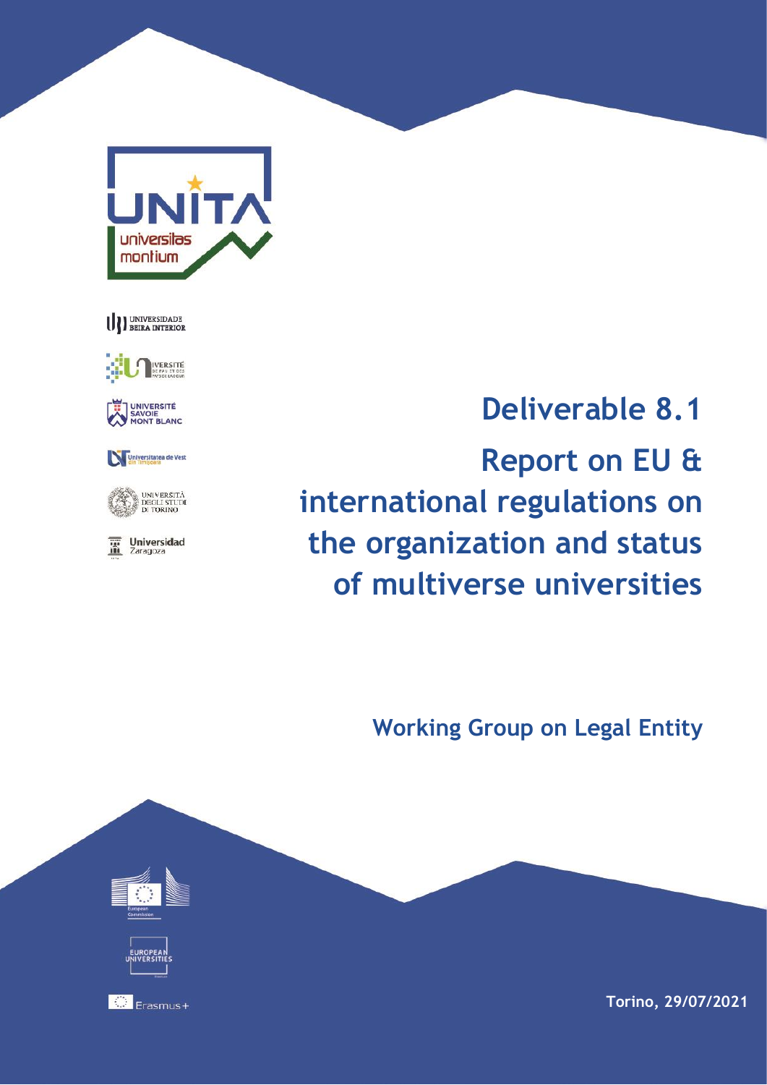

U) UNIVERSIDADE



UNIVERSITÉ SAVOIE<br>MONT BLANC







**Deliverable 8.1 Report on EU & international regulations on the organization and status of multiverse universities**

**Working Group on Legal Entity**



**Torino, 29/07/2021**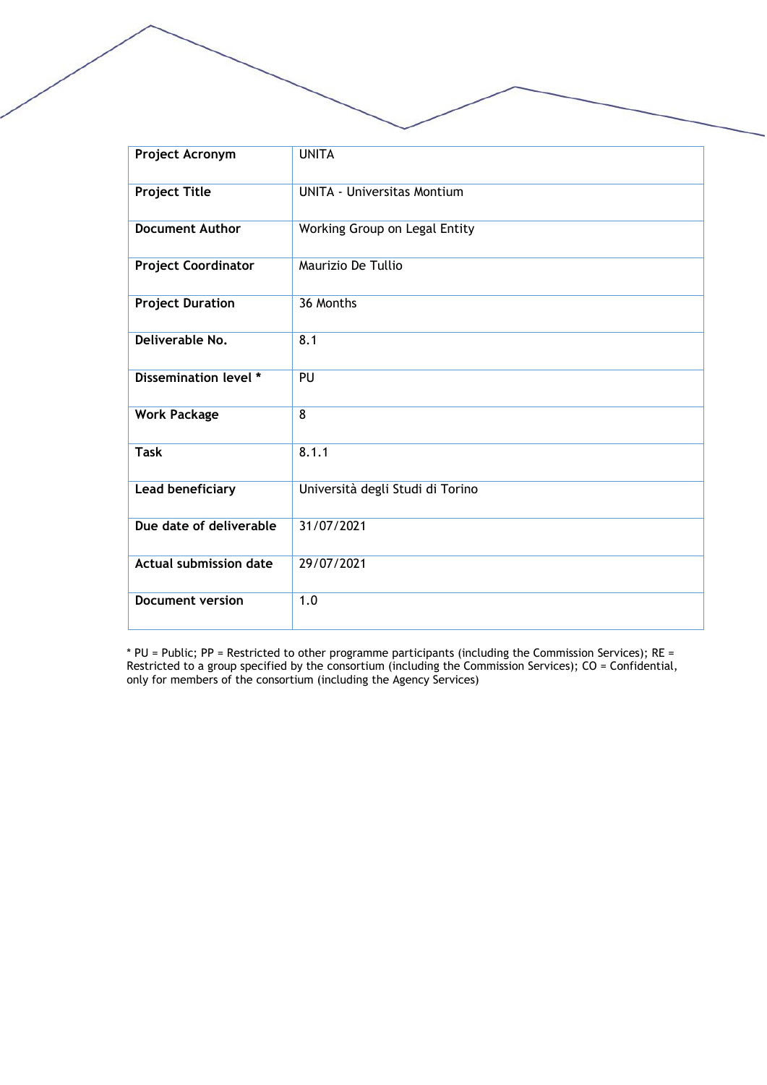| Project Acronym               | <b>UNITA</b>                       |
|-------------------------------|------------------------------------|
| <b>Project Title</b>          | <b>UNITA - Universitas Montium</b> |
| <b>Document Author</b>        | Working Group on Legal Entity      |
| <b>Project Coordinator</b>    | Maurizio De Tullio                 |
| <b>Project Duration</b>       | 36 Months                          |
| Deliverable No.               | 8.1                                |
| Dissemination level *         | PU                                 |
| <b>Work Package</b>           | $\overline{8}$                     |
| <b>Task</b>                   | 8.1.1                              |
| Lead beneficiary              | Università degli Studi di Torino   |
| Due date of deliverable       | 31/07/2021                         |
| <b>Actual submission date</b> | 29/07/2021                         |
| <b>Document version</b>       | 1.0                                |

\* PU = Public; PP = Restricted to other programme participants (including the Commission Services); RE = Restricted to a group specified by the consortium (including the Commission Services); CO = Confidential, only for members of the consortium (including the Agency Services)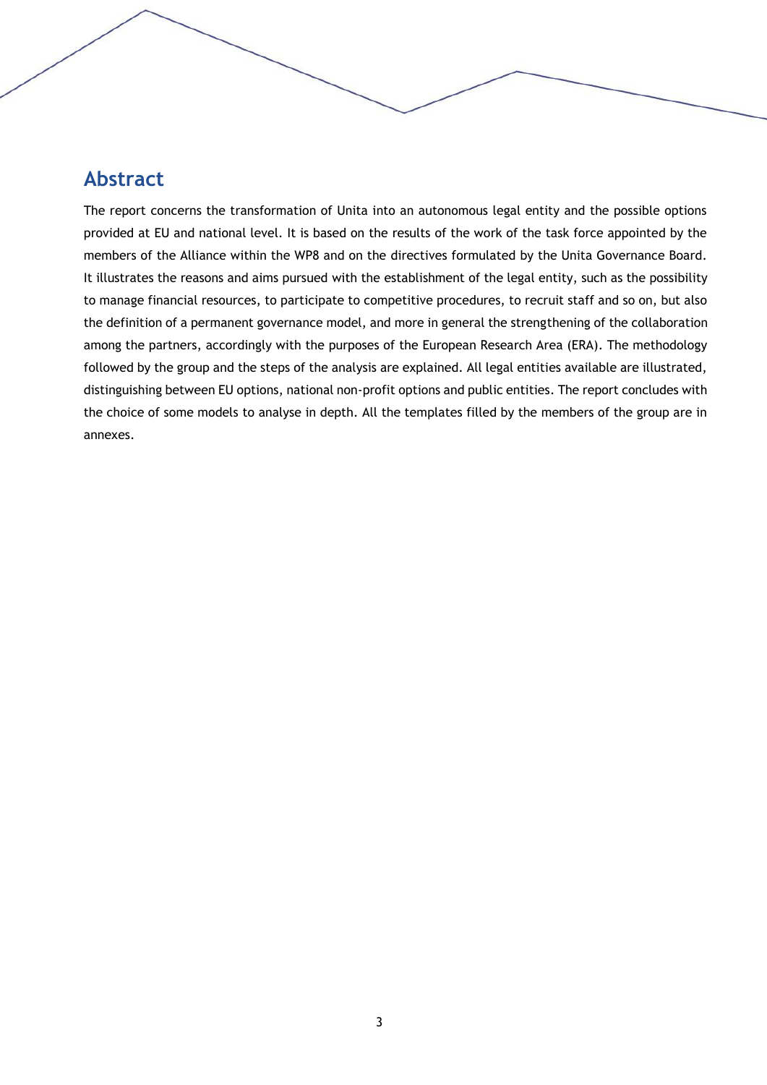# **Abstract**

The report concerns the transformation of Unita into an autonomous legal entity and the possible options provided at EU and national level. It is based on the results of the work of the task force appointed by the members of the Alliance within the WP8 and on the directives formulated by the Unita Governance Board. It illustrates the reasons and aims pursued with the establishment of the legal entity, such as the possibility to manage financial resources, to participate to competitive procedures, to recruit staff and so on, but also the definition of a permanent governance model, and more in general the strengthening of the collaboration among the partners, accordingly with the purposes of the European Research Area (ERA). The methodology followed by the group and the steps of the analysis are explained. All legal entities available are illustrated, distinguishing between EU options, national non-profit options and public entities. The report concludes with the choice of some models to analyse in depth. All the templates filled by the members of the group are in annexes.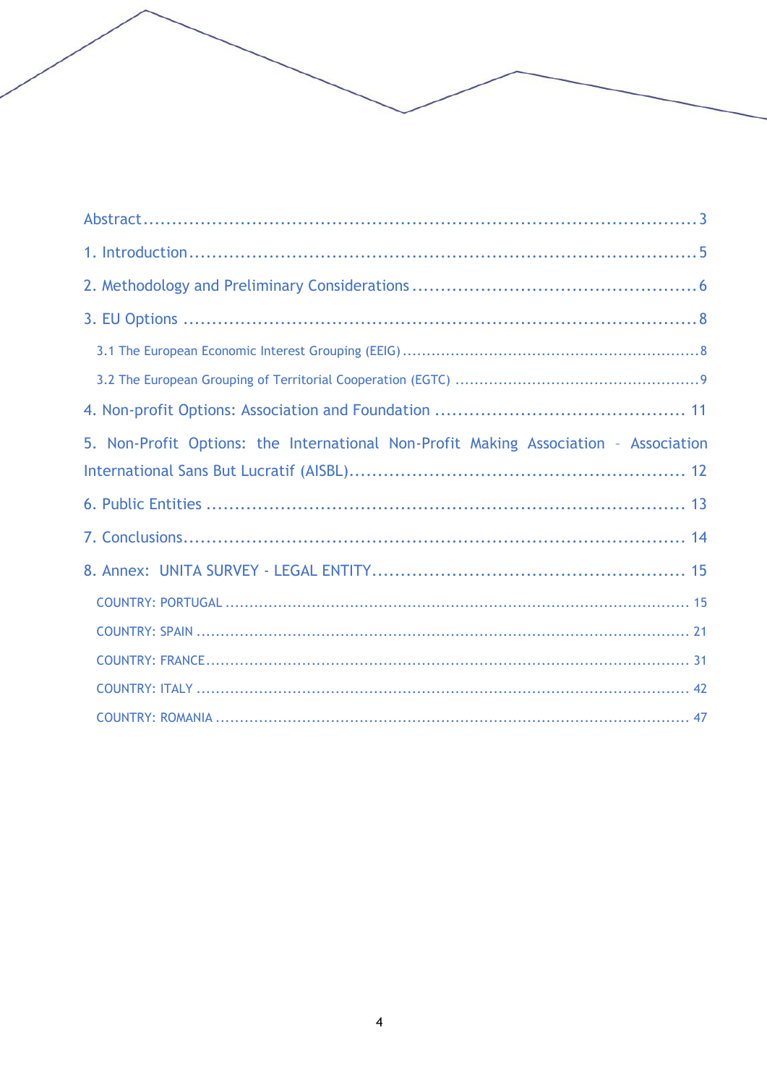| 5. Non-Profit Options: the International Non-Profit Making Association - Association |
|--------------------------------------------------------------------------------------|
|                                                                                      |
|                                                                                      |
|                                                                                      |
|                                                                                      |
|                                                                                      |
|                                                                                      |
|                                                                                      |
|                                                                                      |
|                                                                                      |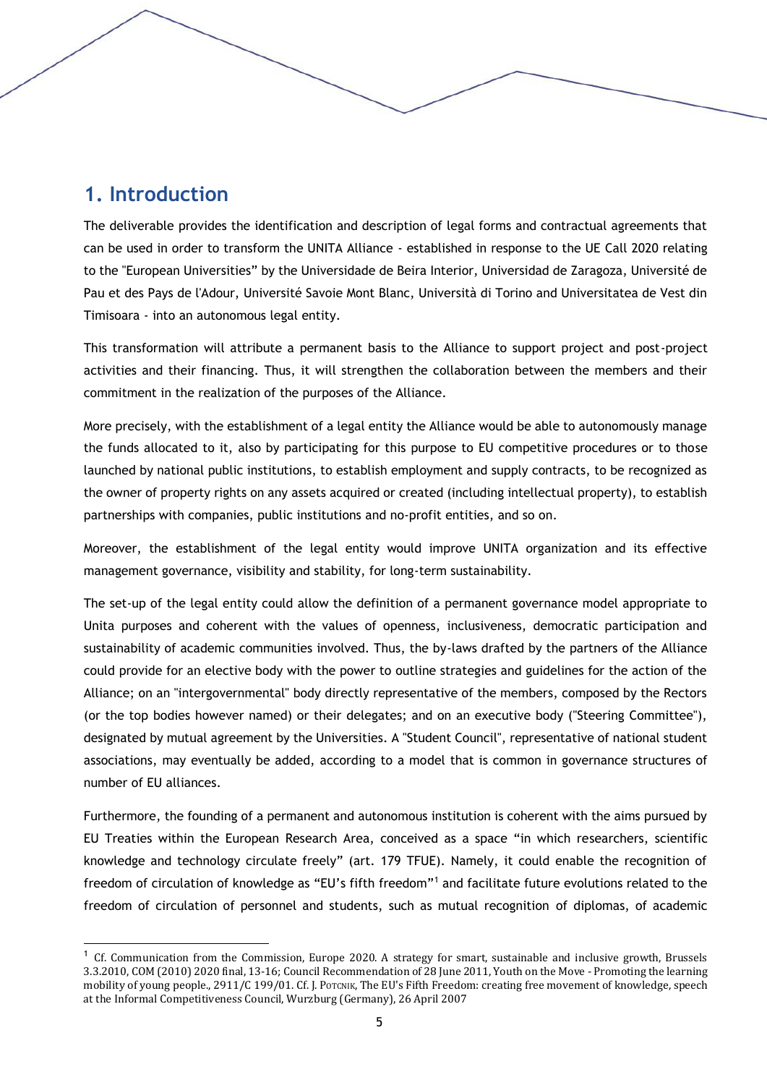# **1. Introduction**

The deliverable provides the identification and description of legal forms and contractual agreements that can be used in order to transform the UNITA Alliance - established in response to the UE Call 2020 relating to the "European Universities" by the Universidade de Beira Interior, Universidad de Zaragoza, Université de Pau et des Pays de l'Adour, Université Savoie Mont Blanc, Università di Torino and Universitatea de Vest din Timisoara - into an autonomous legal entity.

This transformation will attribute a permanent basis to the Alliance to support project and post-project activities and their financing. Thus, it will strengthen the collaboration between the members and their commitment in the realization of the purposes of the Alliance.

More precisely, with the establishment of a legal entity the Alliance would be able to autonomously manage the funds allocated to it, also by participating for this purpose to EU competitive procedures or to those launched by national public institutions, to establish employment and supply contracts, to be recognized as the owner of property rights on any assets acquired or created (including intellectual property), to establish partnerships with companies, public institutions and no-profit entities, and so on.

Moreover, the establishment of the legal entity would improve UNITA organization and its effective management governance, visibility and stability, for long-term sustainability.

The set-up of the legal entity could allow the definition of a permanent governance model appropriate to Unita purposes and coherent with the values of openness, inclusiveness, democratic participation and sustainability of academic communities involved. Thus, the by-laws drafted by the partners of the Alliance could provide for an elective body with the power to outline strategies and guidelines for the action of the Alliance; on an "intergovernmental" body directly representative of the members, composed by the Rectors (or the top bodies however named) or their delegates; and on an executive body ("Steering Committee"), designated by mutual agreement by the Universities. A "Student Council", representative of national student associations, may eventually be added, according to a model that is common in governance structures of number of EU alliances.

Furthermore, the founding of a permanent and autonomous institution is coherent with the aims pursued by EU Treaties within the European Research Area, conceived as a space "in which researchers, scientific knowledge and technology circulate freely" (art. 179 TFUE). Namely, it could enable the recognition of freedom of circulation of knowledge as "EU's fifth freedom"<sup>1</sup> and facilitate future evolutions related to the freedom of circulation of personnel and students, such as mutual recognition of diplomas, of academic

<sup>1</sup> Cf. Communication from the Commission, Europe 2020. A strategy for smart, sustainable and inclusive growth, Brussels 3.3.2010, COM (2010) 2020 final, 13-16; Council Recommendation of 28 June 2011, Youth on the Move - Promoting the learning mobility of young people., 2911/C 199/01. Cf. J. POTCNIK, The EU's Fifth Freedom: creating free movement of knowledge, speech at the Informal Competitiveness Council, Wurzburg (Germany), 26 April 2007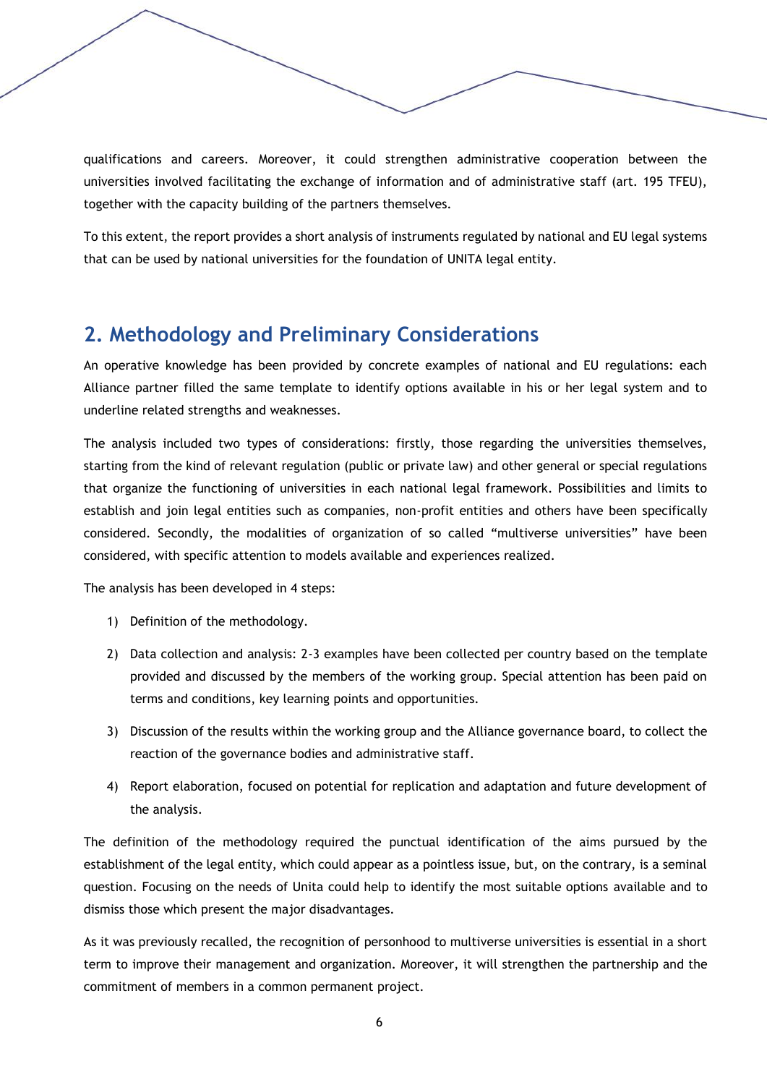qualifications and careers. Moreover, it could strengthen administrative cooperation between the universities involved facilitating the exchange of information and of administrative staff (art. 195 TFEU), together with the capacity building of the partners themselves.

To this extent, the report provides a short analysis of instruments regulated by national and EU legal systems that can be used by national universities for the foundation of UNITA legal entity.

# **2. Methodology and Preliminary Considerations**

An operative knowledge has been provided by concrete examples of national and EU regulations: each Alliance partner filled the same template to identify options available in his or her legal system and to underline related strengths and weaknesses.

The analysis included two types of considerations: firstly, those regarding the universities themselves, starting from the kind of relevant regulation (public or private law) and other general or special regulations that organize the functioning of universities in each national legal framework. Possibilities and limits to establish and join legal entities such as companies, non-profit entities and others have been specifically considered. Secondly, the modalities of organization of so called "multiverse universities" have been considered, with specific attention to models available and experiences realized.

The analysis has been developed in 4 steps:

- 1) Definition of the methodology.
- 2) Data collection and analysis: 2-3 examples have been collected per country based on the template provided and discussed by the members of the working group. Special attention has been paid on terms and conditions, key learning points and opportunities.
- 3) Discussion of the results within the working group and the Alliance governance board, to collect the reaction of the governance bodies and administrative staff.
- 4) Report elaboration, focused on potential for replication and adaptation and future development of the analysis.

The definition of the methodology required the punctual identification of the aims pursued by the establishment of the legal entity, which could appear as a pointless issue, but, on the contrary, is a seminal question. Focusing on the needs of Unita could help to identify the most suitable options available and to dismiss those which present the major disadvantages.

As it was previously recalled, the recognition of personhood to multiverse universities is essential in a short term to improve their management and organization. Moreover, it will strengthen the partnership and the commitment of members in a common permanent project.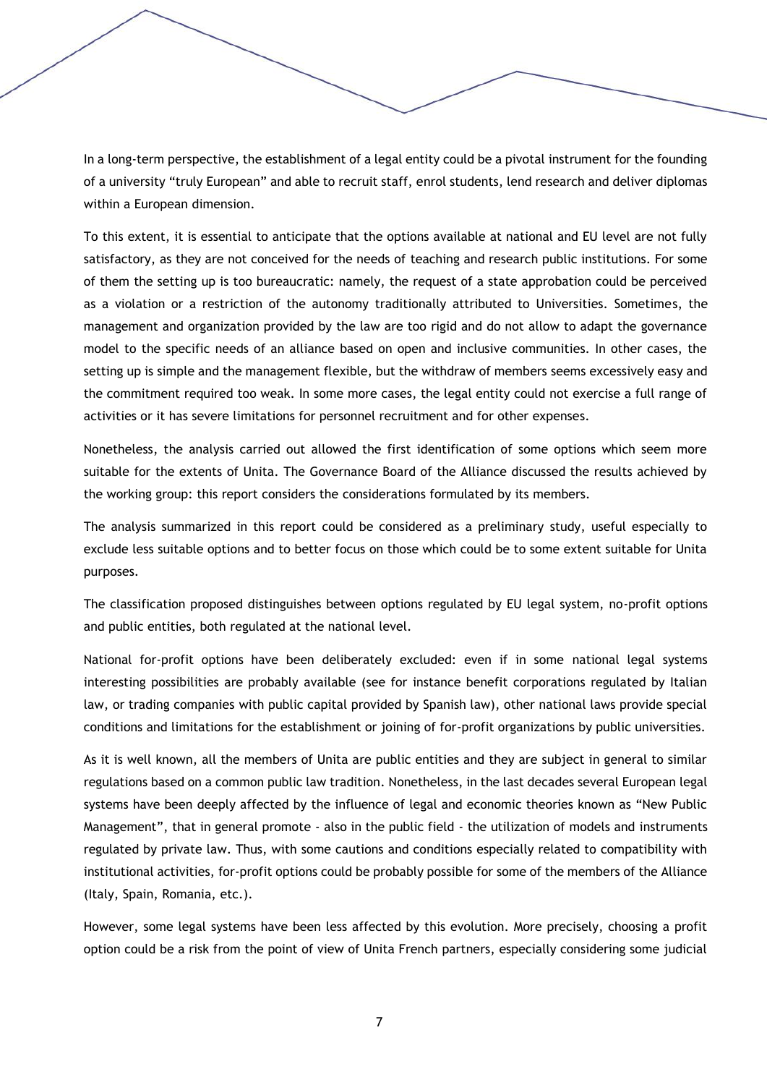In a long-term perspective, the establishment of a legal entity could be a pivotal instrument for the founding of a university "truly European" and able to recruit staff, enrol students, lend research and deliver diplomas within a European dimension.

To this extent, it is essential to anticipate that the options available at national and EU level are not fully satisfactory, as they are not conceived for the needs of teaching and research public institutions. For some of them the setting up is too bureaucratic: namely, the request of a state approbation could be perceived as a violation or a restriction of the autonomy traditionally attributed to Universities. Sometimes, the management and organization provided by the law are too rigid and do not allow to adapt the governance model to the specific needs of an alliance based on open and inclusive communities. In other cases, the setting up is simple and the management flexible, but the withdraw of members seems excessively easy and the commitment required too weak. In some more cases, the legal entity could not exercise a full range of activities or it has severe limitations for personnel recruitment and for other expenses.

Nonetheless, the analysis carried out allowed the first identification of some options which seem more suitable for the extents of Unita. The Governance Board of the Alliance discussed the results achieved by the working group: this report considers the considerations formulated by its members.

The analysis summarized in this report could be considered as a preliminary study, useful especially to exclude less suitable options and to better focus on those which could be to some extent suitable for Unita purposes.

The classification proposed distinguishes between options regulated by EU legal system, no-profit options and public entities, both regulated at the national level.

National for-profit options have been deliberately excluded: even if in some national legal systems interesting possibilities are probably available (see for instance benefit corporations regulated by Italian law, or trading companies with public capital provided by Spanish law), other national laws provide special conditions and limitations for the establishment or joining of for-profit organizations by public universities.

As it is well known, all the members of Unita are public entities and they are subject in general to similar regulations based on a common public law tradition. Nonetheless, in the last decades several European legal systems have been deeply affected by the influence of legal and economic theories known as "New Public Management", that in general promote - also in the public field - the utilization of models and instruments regulated by private law. Thus, with some cautions and conditions especially related to compatibility with institutional activities, for-profit options could be probably possible for some of the members of the Alliance (Italy, Spain, Romania, etc.).

However, some legal systems have been less affected by this evolution. More precisely, choosing a profit option could be a risk from the point of view of Unita French partners, especially considering some judicial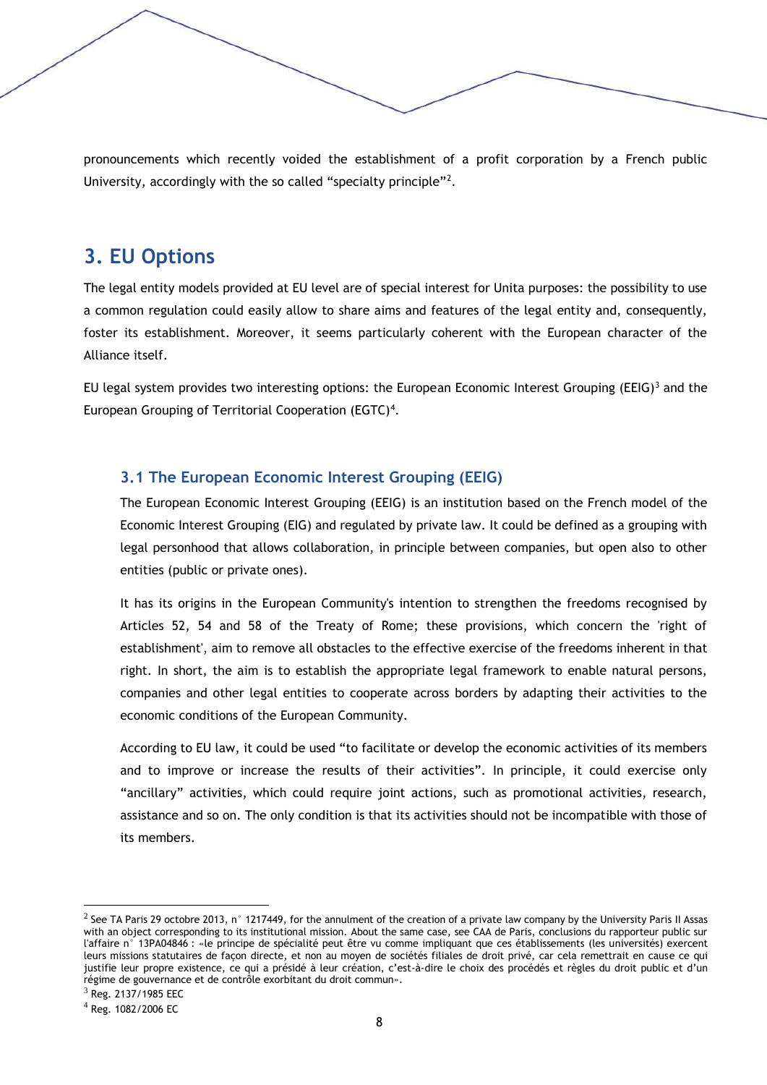pronouncements which recently voided the establishment of a profit corporation by a French public University, accordingly with the so called "specialty principle"<sup>2</sup>.

# **3. EU Options**

The legal entity models provided at EU level are of special interest for Unita purposes: the possibility to use a common regulation could easily allow to share aims and features of the legal entity and, consequently, foster its establishment. Moreover, it seems particularly coherent with the European character of the Alliance itself.

EU legal system provides two interesting options: the European Economic Interest Grouping (EEIG)<sup>3</sup> and the European Grouping of Territorial Cooperation (EGTC)<sup>4</sup>.

# **3.1 The European Economic Interest Grouping (EEIG)**

The European Economic Interest Grouping (EEIG) is an institution based on the French model of the Economic Interest Grouping (EIG) and regulated by private law. It could be defined as a grouping with legal personhood that allows collaboration, in principle between companies, but open also to other entities (public or private ones).

It has its origins in the European Community's intention to strengthen the freedoms recognised by Articles 52, 54 and 58 of the Treaty of Rome; these provisions, which concern the 'right of establishment', aim to remove all obstacles to the effective exercise of the freedoms inherent in that right. In short, the aim is to establish the appropriate legal framework to enable natural persons, companies and other legal entities to cooperate across borders by adapting their activities to the economic conditions of the European Community.

According to EU law, it could be used "to facilitate or develop the economic activities of its members and to improve or increase the results of their activities". In principle, it could exercise only "ancillary" activities, which could require joint actions, such as promotional activities, research, assistance and so on. The only condition is that its activities should not be incompatible with those of its members.

 $^2$  See TA Paris 29 octobre 2013, n $^{\circ}$  1217449, for the annulment of the creation of a private law company by the University Paris II Assas with an object corresponding to its institutional mission. About the same case, see CAA de Paris, conclusions du rapporteur public sur l'affaire n° 13PA04846 : «le principe de spécialité peut être vu comme impliquant que ces établissements (les universités) exercent leurs missions statutaires de façon directe, et non au moyen de sociétés filiales de droit privé, car cela remettrait en cause ce qui justifie leur propre existence, ce qui a présidé à leur création, c'est-à-dire le choix des procédés et règles du droit public et d'un régime de gouvernance et de contrôle exorbitant du droit commun».

<sup>3</sup> Reg. 2137/1985 EEC

<sup>4</sup> Reg. 1082/2006 EC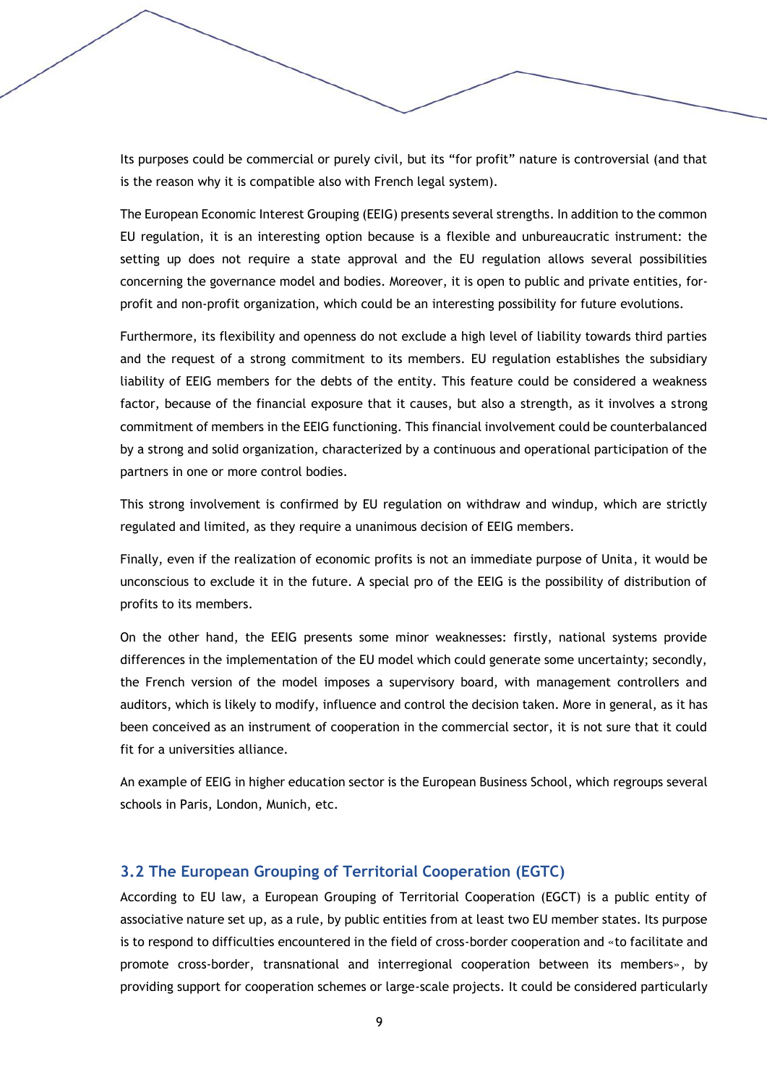Its purposes could be commercial or purely civil, but its "for profit" nature is controversial (and that is the reason why it is compatible also with French legal system).

The European Economic Interest Grouping (EEIG) presents several strengths. In addition to the common EU regulation, it is an interesting option because is a flexible and unbureaucratic instrument: the setting up does not require a state approval and the EU regulation allows several possibilities concerning the governance model and bodies. Moreover, it is open to public and private entities, forprofit and non-profit organization, which could be an interesting possibility for future evolutions.

Furthermore, its flexibility and openness do not exclude a high level of liability towards third parties and the request of a strong commitment to its members. EU regulation establishes the subsidiary liability of EEIG members for the debts of the entity. This feature could be considered a weakness factor, because of the financial exposure that it causes, but also a strength, as it involves a strong commitment of members in the EEIG functioning. This financial involvement could be counterbalanced by a strong and solid organization, characterized by a continuous and operational participation of the partners in one or more control bodies.

This strong involvement is confirmed by EU regulation on withdraw and windup, which are strictly regulated and limited, as they require a unanimous decision of EEIG members.

Finally, even if the realization of economic profits is not an immediate purpose of Unita, it would be unconscious to exclude it in the future. A special pro of the EEIG is the possibility of distribution of profits to its members.

On the other hand, the EEIG presents some minor weaknesses: firstly, national systems provide differences in the implementation of the EU model which could generate some uncertainty; secondly, the French version of the model imposes a supervisory board, with management controllers and auditors, which is likely to modify, influence and control the decision taken. More in general, as it has been conceived as an instrument of cooperation in the commercial sector, it is not sure that it could fit for a universities alliance.

An example of EEIG in higher education sector is the European Business School, which regroups several schools in Paris, London, Munich, etc.

# **3.2 The European Grouping of Territorial Cooperation (EGTC)**

According to EU law, a European Grouping of Territorial Cooperation (EGCT) is a public entity of associative nature set up, as a rule, by public entities from at least two EU member states. Its purpose is to respond to difficulties encountered in the field of cross-border cooperation and «to facilitate and promote cross-border, transnational and interregional cooperation between its members», by providing support for cooperation schemes or large-scale projects. It could be considered particularly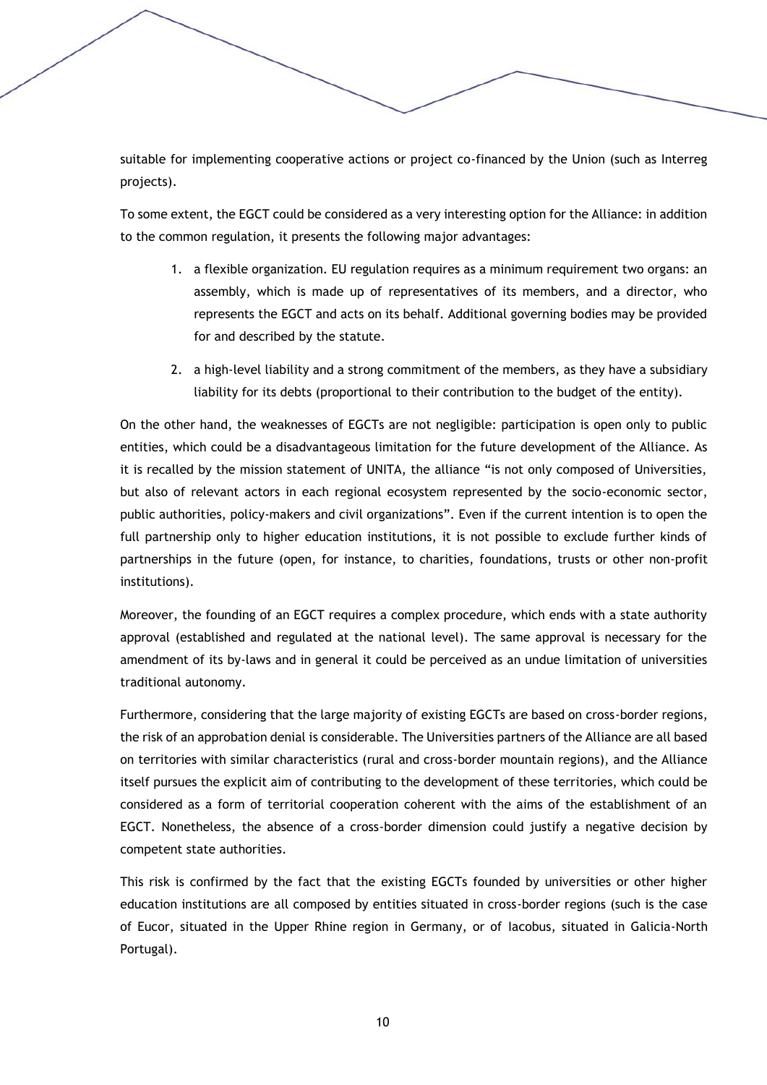suitable for implementing cooperative actions or project co-financed by the Union (such as Interreg projects).

To some extent, the EGCT could be considered as a very interesting option for the Alliance: in addition to the common regulation, it presents the following major advantages:

- 1. a flexible organization. EU regulation requires as a minimum requirement two organs: an assembly, which is made up of representatives of its members, and a director, who represents the EGCT and acts on its behalf. Additional governing bodies may be provided for and described by the statute.
- 2. a high-level liability and a strong commitment of the members, as they have a subsidiary liability for its debts (proportional to their contribution to the budget of the entity).

On the other hand, the weaknesses of EGCTs are not negligible: participation is open only to public entities, which could be a disadvantageous limitation for the future development of the Alliance. As it is recalled by the mission statement of UNITA, the alliance "is not only composed of Universities, but also of relevant actors in each regional ecosystem represented by the socio-economic sector, public authorities, policy-makers and civil organizations". Even if the current intention is to open the full partnership only to higher education institutions, it is not possible to exclude further kinds of partnerships in the future (open, for instance, to charities, foundations, trusts or other non-profit institutions).

Moreover, the founding of an EGCT requires a complex procedure, which ends with a state authority approval (established and regulated at the national level). The same approval is necessary for the amendment of its by-laws and in general it could be perceived as an undue limitation of universities traditional autonomy.

Furthermore, considering that the large majority of existing EGCTs are based on cross-border regions, the risk of an approbation denial is considerable. The Universities partners of the Alliance are all based on territories with similar characteristics (rural and cross-border mountain regions), and the Alliance itself pursues the explicit aim of contributing to the development of these territories, which could be considered as a form of territorial cooperation coherent with the aims of the establishment of an EGCT. Nonetheless, the absence of a cross-border dimension could justify a negative decision by competent state authorities.

This risk is confirmed by the fact that the existing EGCTs founded by universities or other higher education institutions are all composed by entities situated in cross-border regions (such is the case of Eucor, situated in the Upper Rhine region in Germany, or of Iacobus, situated in Galicia-North Portugal).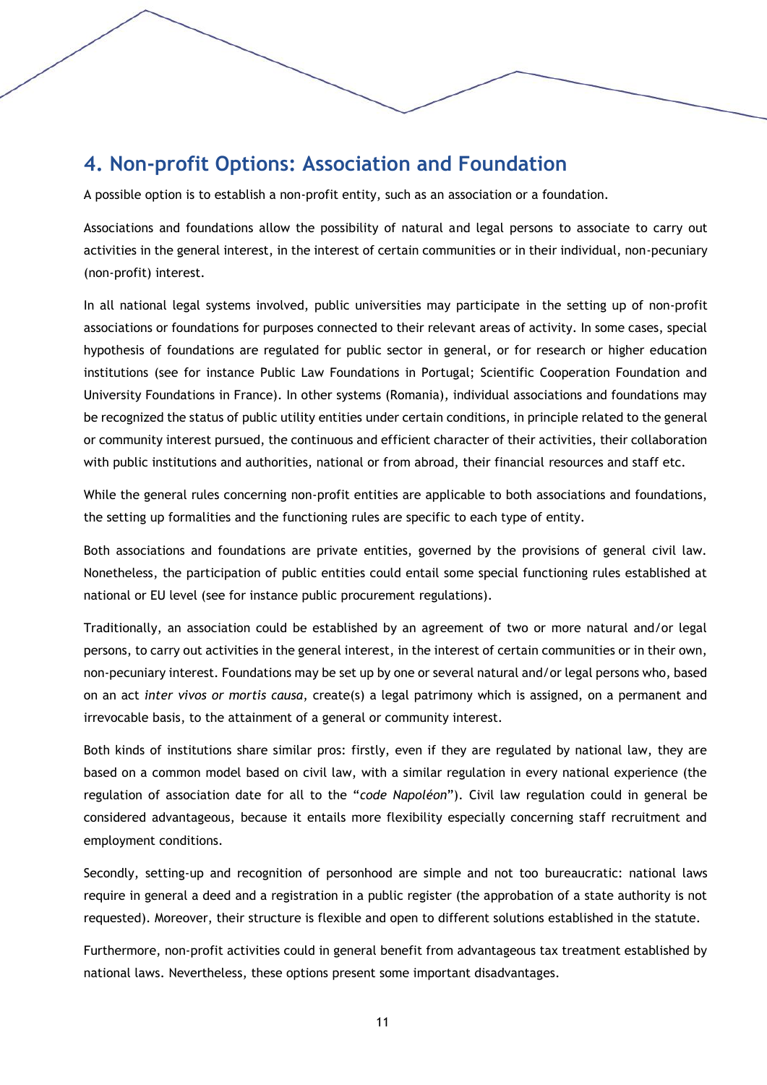# **4. Non-profit Options: Association and Foundation**

A possible option is to establish a non-profit entity, such as an association or a foundation.

Associations and foundations allow the possibility of natural and legal persons to associate to carry out activities in the general interest, in the interest of certain communities or in their individual, non-pecuniary (non-profit) interest.

In all national legal systems involved, public universities may participate in the setting up of non-profit associations or foundations for purposes connected to their relevant areas of activity. In some cases, special hypothesis of foundations are regulated for public sector in general, or for research or higher education institutions (see for instance Public Law Foundations in Portugal; Scientific Cooperation Foundation and University Foundations in France). In other systems (Romania), individual associations and foundations may be recognized the status of public utility entities under certain conditions, in principle related to the general or community interest pursued, the continuous and efficient character of their activities, their collaboration with public institutions and authorities, national or from abroad, their financial resources and staff etc.

While the general rules concerning non-profit entities are applicable to both associations and foundations, the setting up formalities and the functioning rules are specific to each type of entity.

Both associations and foundations are private entities, governed by the provisions of general civil law. Nonetheless, the participation of public entities could entail some special functioning rules established at national or EU level (see for instance public procurement regulations).

Traditionally, an association could be established by an agreement of two or more natural and/or legal persons, to carry out activities in the general interest, in the interest of certain communities or in their own, non-pecuniary interest. Foundations may be set up by one or several natural and/or legal persons who, based on an act *inter vivos or mortis causa*, create(s) a legal patrimony which is assigned, on a permanent and irrevocable basis, to the attainment of a general or community interest.

Both kinds of institutions share similar pros: firstly, even if they are regulated by national law, they are based on a common model based on civil law, with a similar regulation in every national experience (the regulation of association date for all to the "*code Napoléon*"). Civil law regulation could in general be considered advantageous, because it entails more flexibility especially concerning staff recruitment and employment conditions.

Secondly, setting-up and recognition of personhood are simple and not too bureaucratic: national laws require in general a deed and a registration in a public register (the approbation of a state authority is not requested). Moreover, their structure is flexible and open to different solutions established in the statute.

Furthermore, non-profit activities could in general benefit from advantageous tax treatment established by national laws. Nevertheless, these options present some important disadvantages.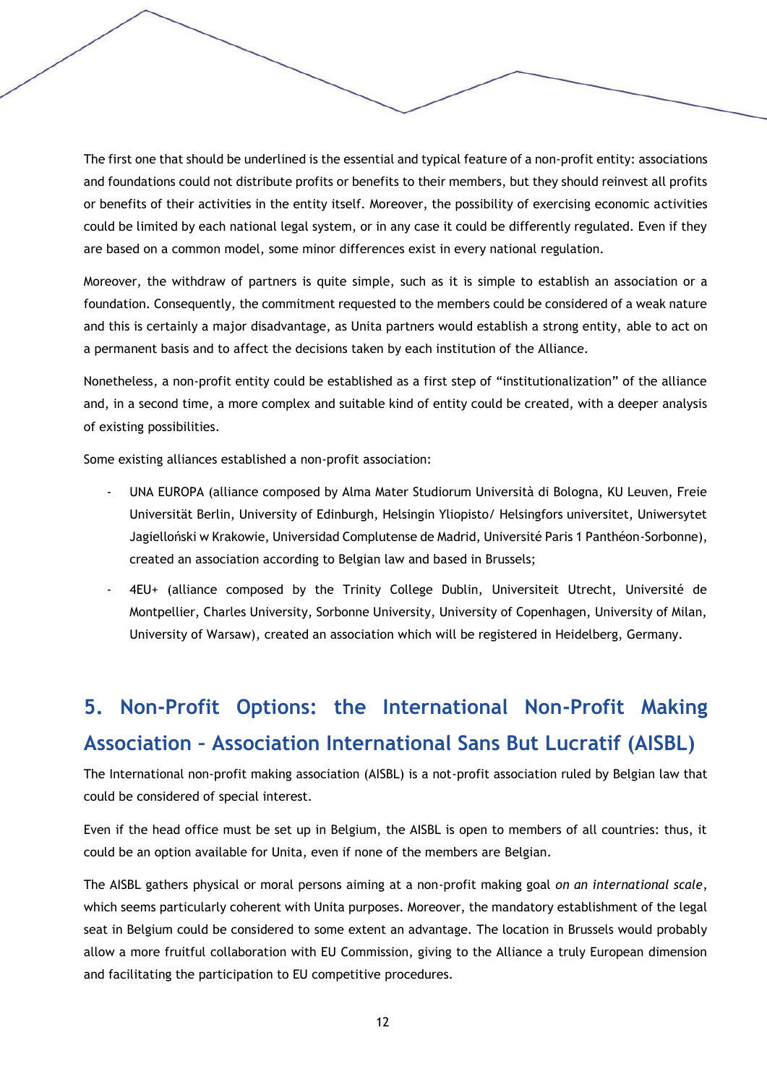The first one that should be underlined is the essential and typical feature of a non-profit entity: associations and foundations could not distribute profits or benefits to their members, but they should reinvest all profits or benefits of their activities in the entity itself. Moreover, the possibility of exercising economic activities could be limited by each national legal system, or in any case it could be differently regulated. Even if they are based on a common model, some minor differences exist in every national regulation.

Moreover, the withdraw of partners is quite simple, such as it is simple to establish an association or a foundation. Consequently, the commitment requested to the members could be considered of a weak nature and this is certainly a major disadvantage, as Unita partners would establish a strong entity, able to act on a permanent basis and to affect the decisions taken by each institution of the Alliance.

Nonetheless, a non-profit entity could be established as a first step of "institutionalization" of the alliance and, in a second time, a more complex and suitable kind of entity could be created, with a deeper analysis of existing possibilities.

Some existing alliances established a non-profit association:

- UNA EUROPA (alliance composed by Alma Mater Studiorum Università di Bologna, KU Leuven, Freie Universität Berlin, University of Edinburgh, Helsingin Yliopisto/ Helsingfors universitet, Uniwersytet Jagielloński w Krakowie, Universidad Complutense de Madrid, Université Paris 1 Panthéon-Sorbonne), created an association according to Belgian law and based in Brussels;
- 4EU+ (alliance composed by the Trinity College Dublin, Universiteit Utrecht, Université de Montpellier, Charles University, Sorbonne University, University of Copenhagen, University of Milan, University of Warsaw), created an association which will be registered in Heidelberg, Germany.

# **5. Non-Profit Options: the International Non-Profit Making Association – Association International Sans But Lucratif (AISBL)**

The International non-profit making association (AISBL) is a not-profit association ruled by Belgian law that could be considered of special interest.

Even if the head office must be set up in Belgium, the AISBL is open to members of all countries: thus, it could be an option available for Unita, even if none of the members are Belgian.

The AISBL gathers physical or moral persons aiming at a non-profit making goal *on an international scale*, which seems particularly coherent with Unita purposes. Moreover, the mandatory establishment of the legal seat in Belgium could be considered to some extent an advantage. The location in Brussels would probably allow a more fruitful collaboration with EU Commission, giving to the Alliance a truly European dimension and facilitating the participation to EU competitive procedures.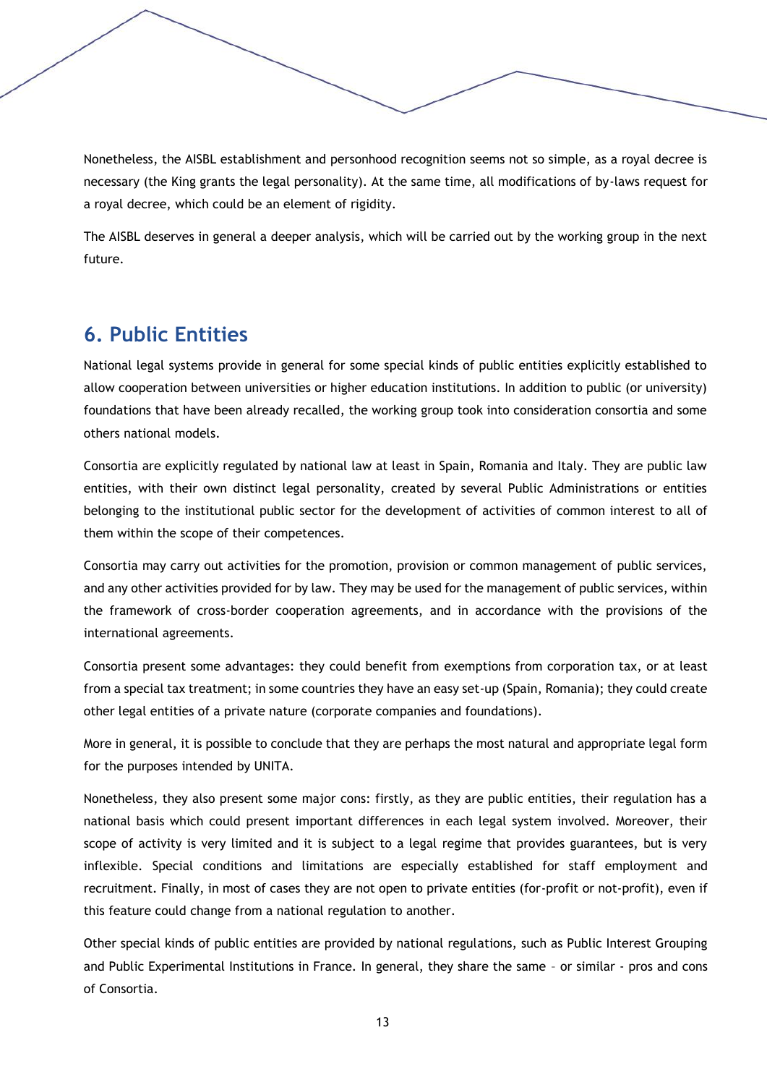Nonetheless, the AISBL establishment and personhood recognition seems not so simple, as a royal decree is necessary (the King grants the legal personality). At the same time, all modifications of by-laws request for a royal decree, which could be an element of rigidity.

The AISBL deserves in general a deeper analysis, which will be carried out by the working group in the next future.

# **6. Public Entities**

National legal systems provide in general for some special kinds of public entities explicitly established to allow cooperation between universities or higher education institutions. In addition to public (or university) foundations that have been already recalled, the working group took into consideration consortia and some others national models.

Consortia are explicitly regulated by national law at least in Spain, Romania and Italy. They are public law entities, with their own distinct legal personality, created by several Public Administrations or entities belonging to the institutional public sector for the development of activities of common interest to all of them within the scope of their competences.

Consortia may carry out activities for the promotion, provision or common management of public services, and any other activities provided for by law. They may be used for the management of public services, within the framework of cross-border cooperation agreements, and in accordance with the provisions of the international agreements.

Consortia present some advantages: they could benefit from exemptions from corporation tax, or at least from a special tax treatment; in some countries they have an easy set-up (Spain, Romania); they could create other legal entities of a private nature (corporate companies and foundations).

More in general, it is possible to conclude that they are perhaps the most natural and appropriate legal form for the purposes intended by UNITA.

Nonetheless, they also present some major cons: firstly, as they are public entities, their regulation has a national basis which could present important differences in each legal system involved. Moreover, their scope of activity is very limited and it is subject to a legal regime that provides guarantees, but is very inflexible. Special conditions and limitations are especially established for staff employment and recruitment. Finally, in most of cases they are not open to private entities (for-profit or not-profit), even if this feature could change from a national regulation to another.

Other special kinds of public entities are provided by national regulations, such as Public Interest Grouping and Public Experimental Institutions in France. In general, they share the same – or similar - pros and cons of Consortia.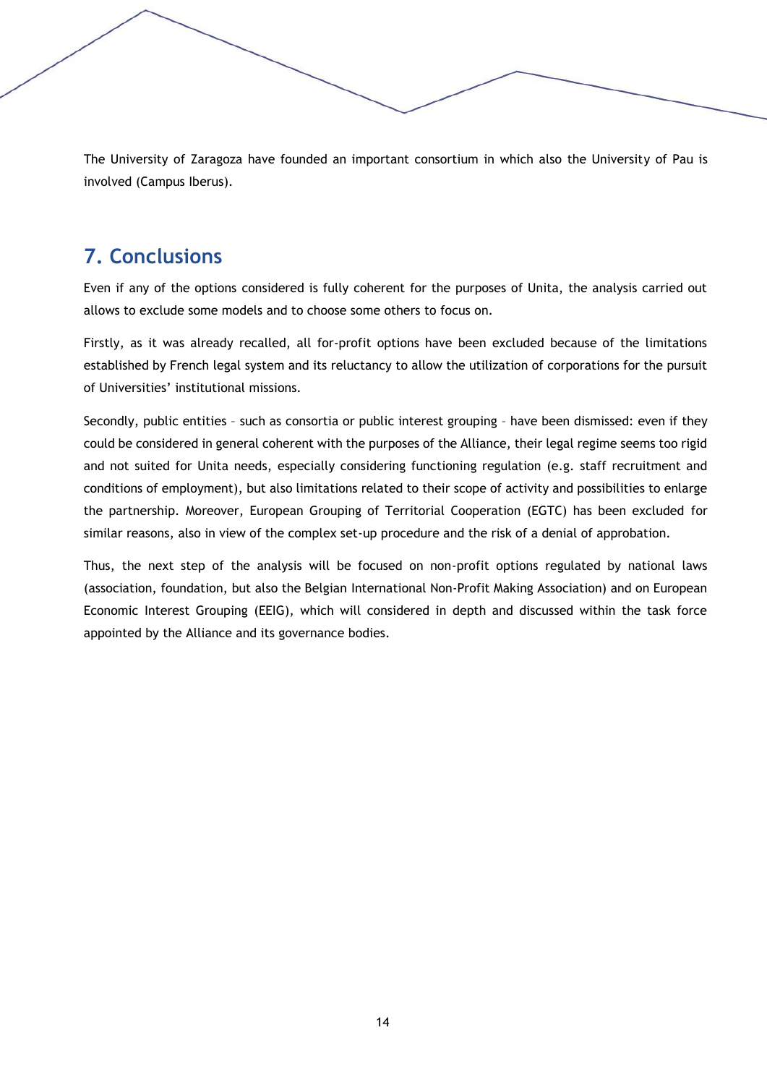The University of Zaragoza have founded an important consortium in which also the University of Pau is involved (Campus Iberus).

# **7. Conclusions**

Even if any of the options considered is fully coherent for the purposes of Unita, the analysis carried out allows to exclude some models and to choose some others to focus on.

Firstly, as it was already recalled, all for-profit options have been excluded because of the limitations established by French legal system and its reluctancy to allow the utilization of corporations for the pursuit of Universities' institutional missions.

Secondly, public entities – such as consortia or public interest grouping – have been dismissed: even if they could be considered in general coherent with the purposes of the Alliance, their legal regime seems too rigid and not suited for Unita needs, especially considering functioning regulation (e.g. staff recruitment and conditions of employment), but also limitations related to their scope of activity and possibilities to enlarge the partnership. Moreover, European Grouping of Territorial Cooperation (EGTC) has been excluded for similar reasons, also in view of the complex set-up procedure and the risk of a denial of approbation.

Thus, the next step of the analysis will be focused on non-profit options regulated by national laws (association, foundation, but also the Belgian International Non-Profit Making Association) and on European Economic Interest Grouping (EEIG), which will considered in depth and discussed within the task force appointed by the Alliance and its governance bodies.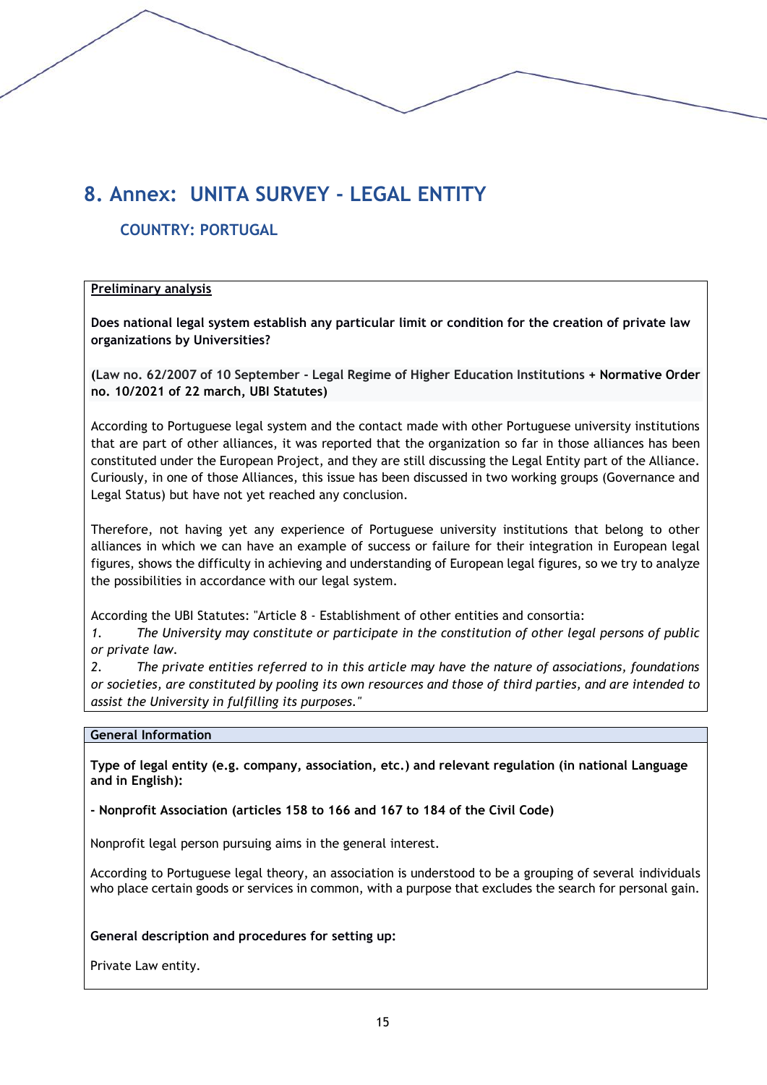# **8. Annex: UNITA SURVEY - LEGAL ENTITY**

# **COUNTRY: PORTUGAL**

## **Preliminary analysis**

**Does national legal system establish any particular limit or condition for the creation of private law organizations by Universities?**

**(Law no. 62/2007 of 10 September - Legal Regime of Higher Education Institutions + Normative Order no. 10/2021 of 22 march, UBI Statutes)**

According to Portuguese legal system and the contact made with other Portuguese university institutions that are part of other alliances, it was reported that the organization so far in those alliances has been constituted under the European Project, and they are still discussing the Legal Entity part of the Alliance. Curiously, in one of those Alliances, this issue has been discussed in two working groups (Governance and Legal Status) but have not yet reached any conclusion.

Therefore, not having yet any experience of Portuguese university institutions that belong to other alliances in which we can have an example of success or failure for their integration in European legal figures, shows the difficulty in achieving and understanding of European legal figures, so we try to analyze the possibilities in accordance with our legal system.

According the UBI Statutes: "Article 8 - Establishment of other entities and consortia:

*1. The University may constitute or participate in the constitution of other legal persons of public or private law.*

*2. The private entities referred to in this article may have the nature of associations, foundations or societies, are constituted by pooling its own resources and those of third parties, and are intended to assist the University in fulfilling its purposes."*

#### **General Information**

**Type of legal entity (e.g. company, association, etc.) and relevant regulation (in national Language and in English):** 

**- Nonprofit Association (articles 158 to 166 and 167 to 184 of the Civil Code)**

Nonprofit legal person pursuing aims in the general interest.

According to Portuguese legal theory, an association is understood to be a grouping of several individuals who place certain goods or services in common, with a purpose that excludes the search for personal gain.

**General description and procedures for setting up:**

Private Law entity.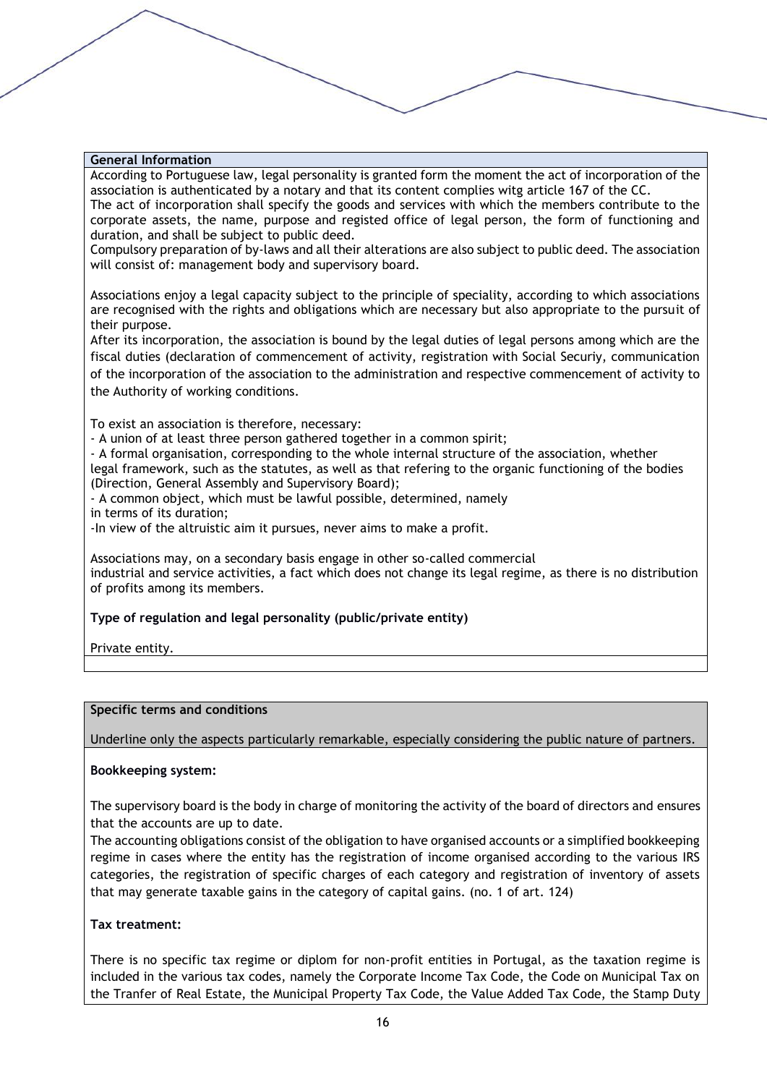According to Portuguese law, legal personality is granted form the moment the act of incorporation of the association is authenticated by a notary and that its content complies witg article 167 of the CC. The act of incorporation shall specify the goods and services with which the members contribute to the

corporate assets, the name, purpose and registed office of legal person, the form of functioning and duration, and shall be subject to public deed.

Compulsory preparation of by-laws and all their alterations are also subject to public deed. The association will consist of: management body and supervisory board.

Associations enjoy a legal capacity subject to the principle of speciality, according to which associations are recognised with the rights and obligations which are necessary but also appropriate to the pursuit of their purpose.

After its incorporation, the association is bound by the legal duties of legal persons among which are the fiscal duties (declaration of commencement of activity, registration with Social Securiy, communication of the incorporation of the association to the administration and respective commencement of activity to the Authority of working conditions.

To exist an association is therefore, necessary:

- A union of at least three person gathered together in a common spirit;

- A formal organisation, corresponding to the whole internal structure of the association, whether legal framework, such as the statutes, as well as that refering to the organic functioning of the bodies (Direction, General Assembly and Supervisory Board);

- A common object, which must be lawful possible, determined, namely

in terms of its duration;

-In view of the altruistic aim it pursues, never aims to make a profit.

Associations may, on a secondary basis engage in other so-called commercial industrial and service activities, a fact which does not change its legal regime, as there is no distribution of profits among its members.

#### **Type of regulation and legal personality (public/private entity)**

Private entity.

#### **Specific terms and conditions**

Underline only the aspects particularly remarkable, especially considering the public nature of partners.

#### **Bookkeeping system:**

The supervisory board is the body in charge of monitoring the activity of the board of directors and ensures that the accounts are up to date.

The accounting obligations consist of the obligation to have organised accounts or a simplified bookkeeping regime in cases where the entity has the registration of income organised according to the various IRS categories, the registration of specific charges of each category and registration of inventory of assets that may generate taxable gains in the category of capital gains. (no. 1 of art. 124)

#### **Tax treatment:**

There is no specific tax regime or diplom for non-profit entities in Portugal, as the taxation regime is included in the various tax codes, namely the Corporate Income Tax Code, the Code on Municipal Tax on the Tranfer of Real Estate, the Municipal Property Tax Code, the Value Added Tax Code, the Stamp Duty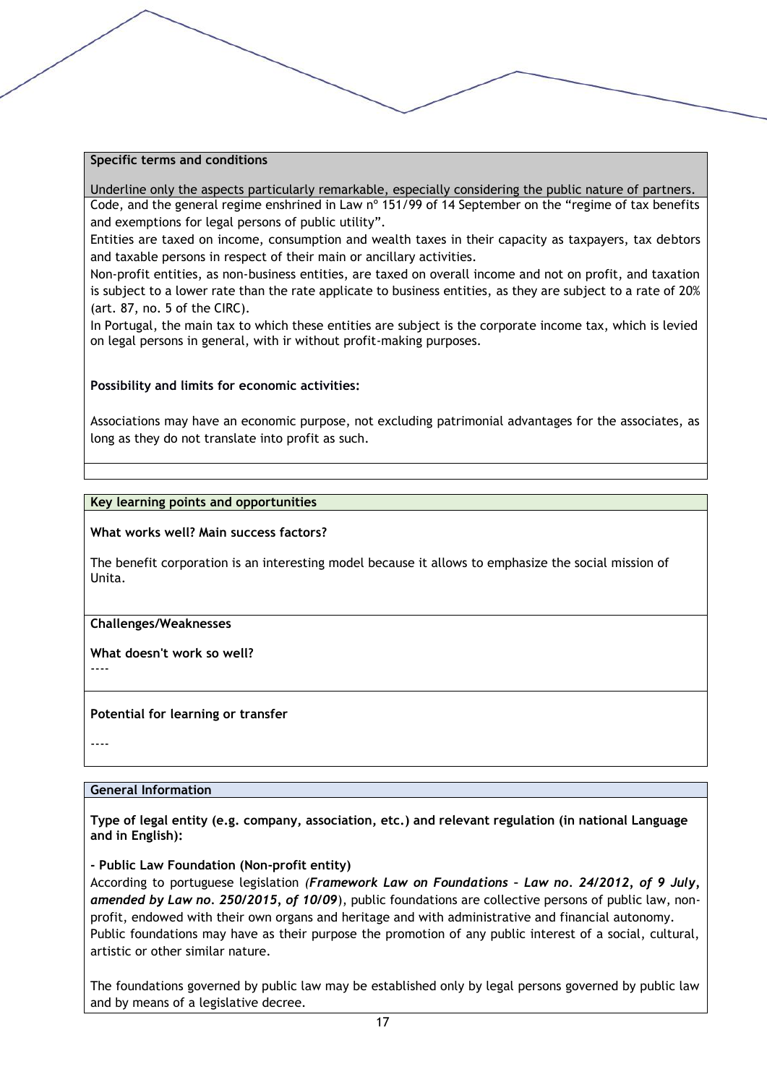#### **Specific terms and conditions**

Underline only the aspects particularly remarkable, especially considering the public nature of partners. Code, and the general regime enshrined in Law nº 151/99 of 14 September on the "regime of tax benefits and exemptions for legal persons of public utility".

Entities are taxed on income, consumption and wealth taxes in their capacity as taxpayers, tax debtors and taxable persons in respect of their main or ancillary activities.

Non-profit entities, as non-business entities, are taxed on overall income and not on profit, and taxation is subject to a lower rate than the rate applicate to business entities, as they are subject to a rate of 20% (art. 87, no. 5 of the CIRC).

In Portugal, the main tax to which these entities are subject is the corporate income tax, which is levied on legal persons in general, with ir without profit-making purposes.

#### **Possibility and limits for economic activities:**

Associations may have an economic purpose, not excluding patrimonial advantages for the associates, as long as they do not translate into profit as such.

#### **Key learning points and opportunities**

#### **What works well? Main success factors?**

The benefit corporation is an interesting model because it allows to emphasize the social mission of Unita.

#### **Challenges/Weaknesses**

#### **What doesn't work so well?**

----

#### **Potential for learning or transfer**

----

#### **General Information**

**Type of legal entity (e.g. company, association, etc.) and relevant regulation (in national Language and in English):** 

**- Public Law Foundation (Non-profit entity)**

According to portuguese legislation *(Framework Law on Foundations – Law no. 24/2012, of 9 July, amended by Law no. 250/2015, of 10/09*), public foundations are collective persons of public law, nonprofit, endowed with their own organs and heritage and with administrative and financial autonomy. Public foundations may have as their purpose the promotion of any public interest of a social, cultural, artistic or other similar nature.

The foundations governed by public law may be established only by legal persons governed by public law and by means of a legislative decree.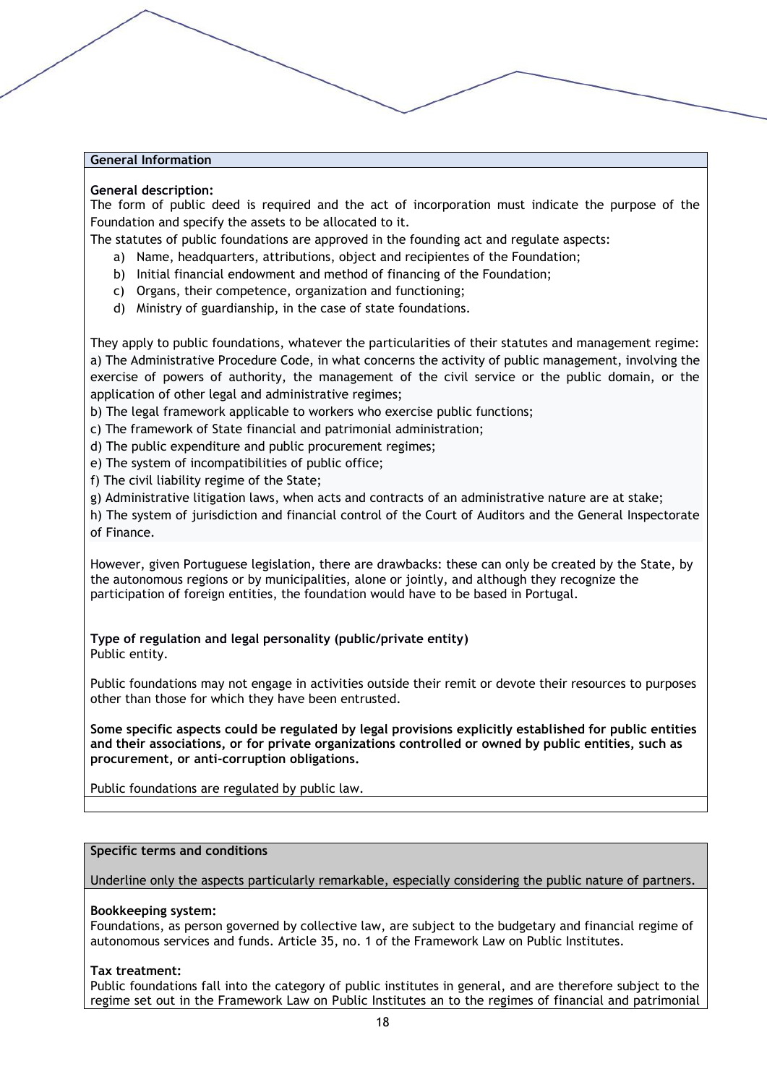#### **General description:**

The form of public deed is required and the act of incorporation must indicate the purpose of the Foundation and specify the assets to be allocated to it.

The statutes of public foundations are approved in the founding act and regulate aspects:

- a) Name, headquarters, attributions, object and recipientes of the Foundation;
- b) Initial financial endowment and method of financing of the Foundation;
- c) Organs, their competence, organization and functioning;
- d) Ministry of guardianship, in the case of state foundations.

They apply to public foundations, whatever the particularities of their statutes and management regime: a) The Administrative Procedure Code, in what concerns the activity of public management, involving the exercise of powers of authority, the management of the civil service or the public domain, or the application of other legal and administrative regimes;

b) The legal framework applicable to workers who exercise public functions;

c) The framework of State financial and patrimonial administration;

d) The public expenditure and public procurement regimes;

e) The system of incompatibilities of public office;

f) The civil liability regime of the State;

g) Administrative litigation laws, when acts and contracts of an administrative nature are at stake;

h) The system of jurisdiction and financial control of the Court of Auditors and the General Inspectorate of Finance.

However, given Portuguese legislation, there are drawbacks: these can only be created by the State, by the autonomous regions or by municipalities, alone or jointly, and although they recognize the participation of foreign entities, the foundation would have to be based in Portugal.

**Type of regulation and legal personality (public/private entity)** Public entity.

Public foundations may not engage in activities outside their remit or devote their resources to purposes other than those for which they have been entrusted.

**Some specific aspects could be regulated by legal provisions explicitly established for public entities and their associations, or for private organizations controlled or owned by public entities, such as procurement, or anti-corruption obligations.**

Public foundations are regulated by public law.

#### **Specific terms and conditions**

Underline only the aspects particularly remarkable, especially considering the public nature of partners.

#### **Bookkeeping system:**

Foundations, as person governed by collective law, are subject to the budgetary and financial regime of autonomous services and funds. Article 35, no. 1 of the Framework Law on Public Institutes.

#### **Tax treatment:**

Public foundations fall into the category of public institutes in general, and are therefore subject to the regime set out in the Framework Law on Public Institutes an to the regimes of financial and patrimonial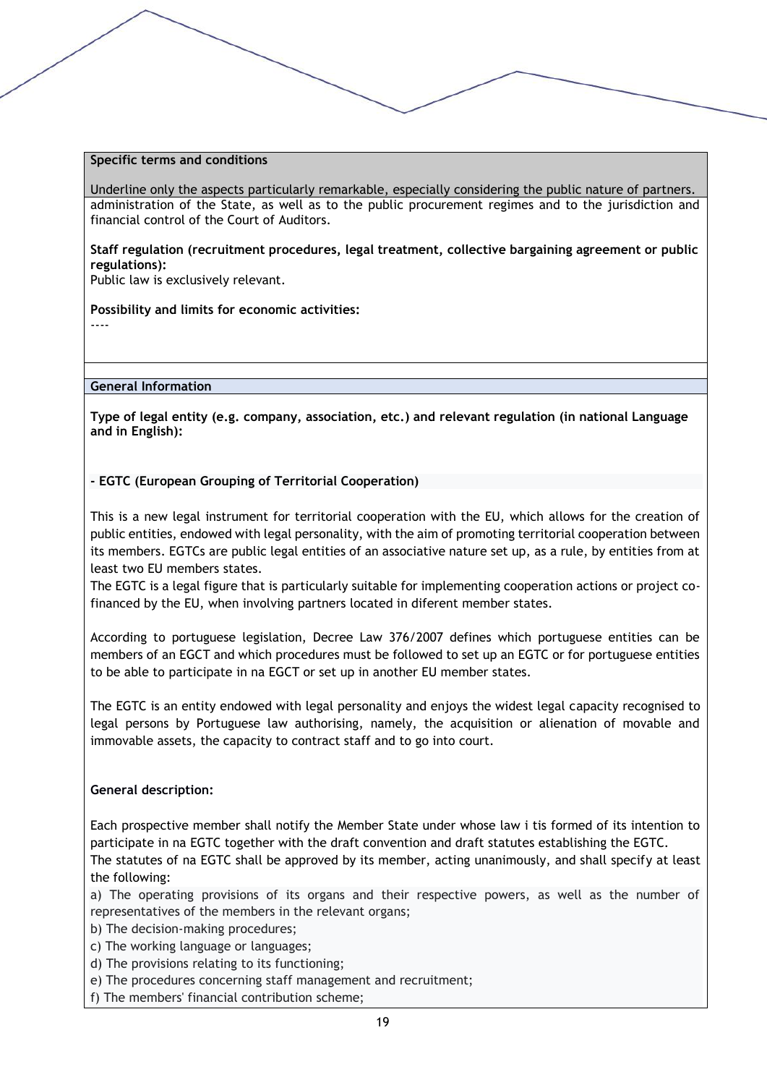#### **Specific terms and conditions**

Underline only the aspects particularly remarkable, especially considering the public nature of partners. administration of the State, as well as to the public procurement regimes and to the jurisdiction and financial control of the Court of Auditors.

**Staff regulation (recruitment procedures, legal treatment, collective bargaining agreement or public regulations):**

Public law is exclusively relevant.

#### **Possibility and limits for economic activities:**

----

#### **General Information**

**Type of legal entity (e.g. company, association, etc.) and relevant regulation (in national Language and in English):** 

#### **- EGTC (European Grouping of Territorial Cooperation)**

This is a new legal instrument for territorial cooperation with the EU, which allows for the creation of public entities, endowed with legal personality, with the aim of promoting territorial cooperation between its members. EGTCs are public legal entities of an associative nature set up, as a rule, by entities from at least two EU members states.

The EGTC is a legal figure that is particularly suitable for implementing cooperation actions or project cofinanced by the EU, when involving partners located in diferent member states.

According to portuguese legislation, Decree Law 376/2007 defines which portuguese entities can be members of an EGCT and which procedures must be followed to set up an EGTC or for portuguese entities to be able to participate in na EGCT or set up in another EU member states.

The EGTC is an entity endowed with legal personality and enjoys the widest legal capacity recognised to legal persons by Portuguese law authorising, namely, the acquisition or alienation of movable and immovable assets, the capacity to contract staff and to go into court.

#### **General description:**

Each prospective member shall notify the Member State under whose law i tis formed of its intention to participate in na EGTC together with the draft convention and draft statutes establishing the EGTC.

The statutes of na EGTC shall be approved by its member, acting unanimously, and shall specify at least the following:

a) The operating provisions of its organs and their respective powers, as well as the number of representatives of the members in the relevant organs;

- b) The decision-making procedures;
- c) The working language or languages;
- d) The provisions relating to its functioning;
- e) The procedures concerning staff management and recruitment;
- f) The members' financial contribution scheme;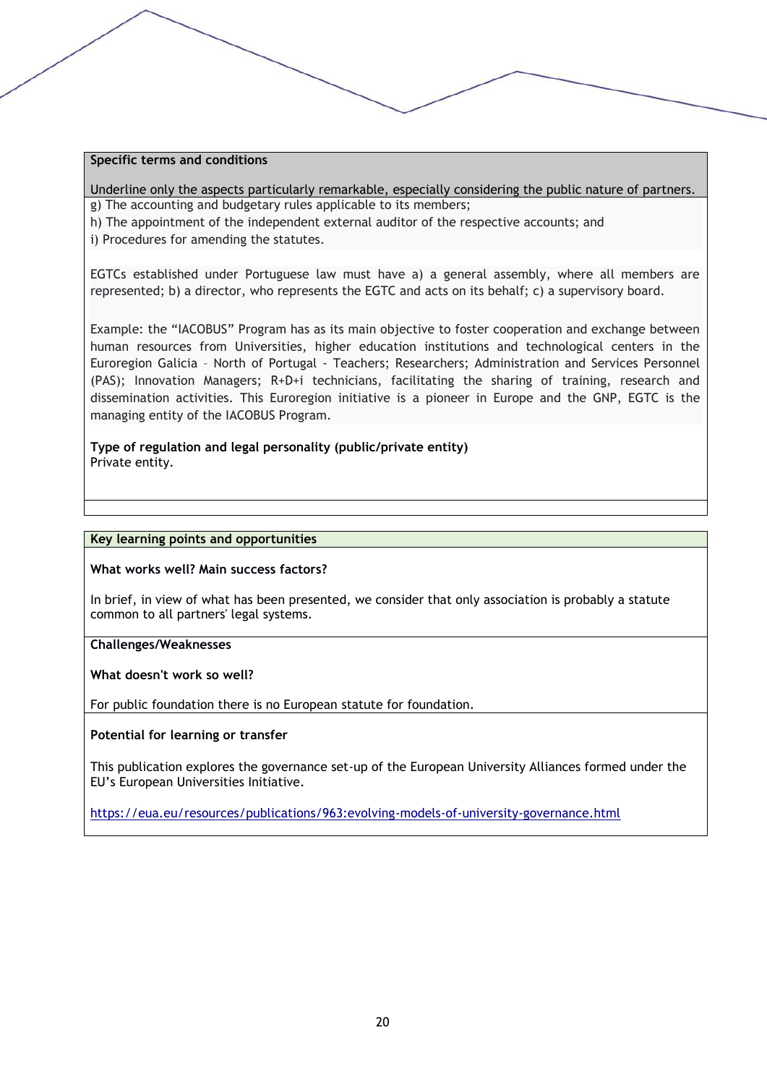#### **Specific terms and conditions**

Underline only the aspects particularly remarkable, especially considering the public nature of partners. g) The accounting and budgetary rules applicable to its members;

h) The appointment of the independent external auditor of the respective accounts; and

i) Procedures for amending the statutes.

EGTCs established under Portuguese law must have a) a general assembly, where all members are represented; b) a director, who represents the EGTC and acts on its behalf; c) a supervisory board.

Example: the "IACOBUS" Program has as its main objective to foster cooperation and exchange between human resources from Universities, higher education institutions and technological centers in the Euroregion Galicia – North of Portugal - Teachers; Researchers; Administration and Services Personnel (PAS); Innovation Managers; R+D+i technicians, facilitating the sharing of training, research and dissemination activities. This Euroregion initiative is a pioneer in Europe and the GNP, EGTC is the managing entity of the IACOBUS Program.

**Type of regulation and legal personality (public/private entity)** Private entity.

#### **Key learning points and opportunities**

#### **What works well? Main success factors?**

In brief, in view of what has been presented, we consider that only association is probably a statute common to all partners' legal systems.

#### **Challenges/Weaknesses**

**What doesn't work so well?**

For public foundation there is no European statute for foundation.

#### **Potential for learning or transfer**

This publication explores the governance set-up of the European University Alliances formed under the EU's European Universities Initiative.

<https://eua.eu/resources/publications/963:evolving-models-of-university-governance.html>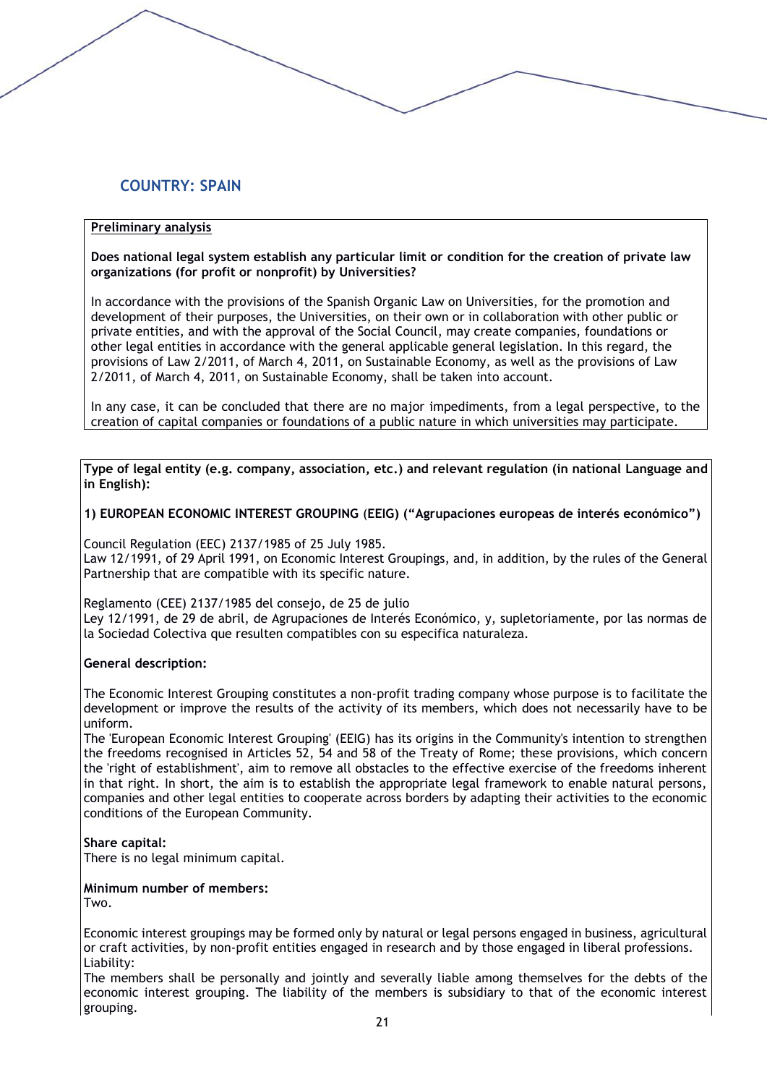# **COUNTRY: SPAIN**

### **Preliminary analysis**

#### **Does national legal system establish any particular limit or condition for the creation of private law organizations (for profit or nonprofit) by Universities?**

In accordance with the provisions of the Spanish Organic Law on Universities, for the promotion and development of their purposes, the Universities, on their own or in collaboration with other public or private entities, and with the approval of the Social Council, may create companies, foundations or other legal entities in accordance with the general applicable general legislation. In this regard, the provisions of Law 2/2011, of March 4, 2011, on Sustainable Economy, as well as the provisions of Law 2/2011, of March 4, 2011, on Sustainable Economy, shall be taken into account.

In any case, it can be concluded that there are no major impediments, from a legal perspective, to the creation of capital companies or foundations of a public nature in which universities may participate.

**Type of legal entity (e.g. company, association, etc.) and relevant regulation (in national Language and in English):** 

#### **1) EUROPEAN ECONOMIC INTEREST GROUPING** (**EEIG) ("Agrupaciones europeas de interés económico")**

Council Regulation (EEC) 2137/1985 of 25 July 1985.

Law 12/1991, of 29 April 1991, on Economic Interest Groupings, and, in addition, by the rules of the General Partnership that are compatible with its specific nature.

Reglamento (CEE) 2137/1985 del consejo, de 25 de julio

Ley 12/1991, de 29 de abril, de Agrupaciones de Interés Económico, y, supletoriamente, por las normas de la Sociedad Colectiva que resulten compatibles con su especifica naturaleza.

#### **General description:**

The Economic Interest Grouping constitutes a non-profit trading company whose purpose is to facilitate the development or improve the results of the activity of its members, which does not necessarily have to be uniform.

The 'European Economic Interest Grouping' (EEIG) has its origins in the Community's intention to strengthen the freedoms recognised in Articles 52, 54 and 58 of the Treaty of Rome; these provisions, which concern the 'right of establishment', aim to remove all obstacles to the effective exercise of the freedoms inherent in that right. In short, the aim is to establish the appropriate legal framework to enable natural persons, companies and other legal entities to cooperate across borders by adapting their activities to the economic conditions of the European Community.

#### **Share capital:**

There is no legal minimum capital.

# **Minimum number of members:**

**Two** 

Economic interest groupings may be formed only by natural or legal persons engaged in business, agricultural or craft activities, by non-profit entities engaged in research and by those engaged in liberal professions. Liability:

The members shall be personally and jointly and severally liable among themselves for the debts of the economic interest grouping. The liability of the members is subsidiary to that of the economic interest grouping.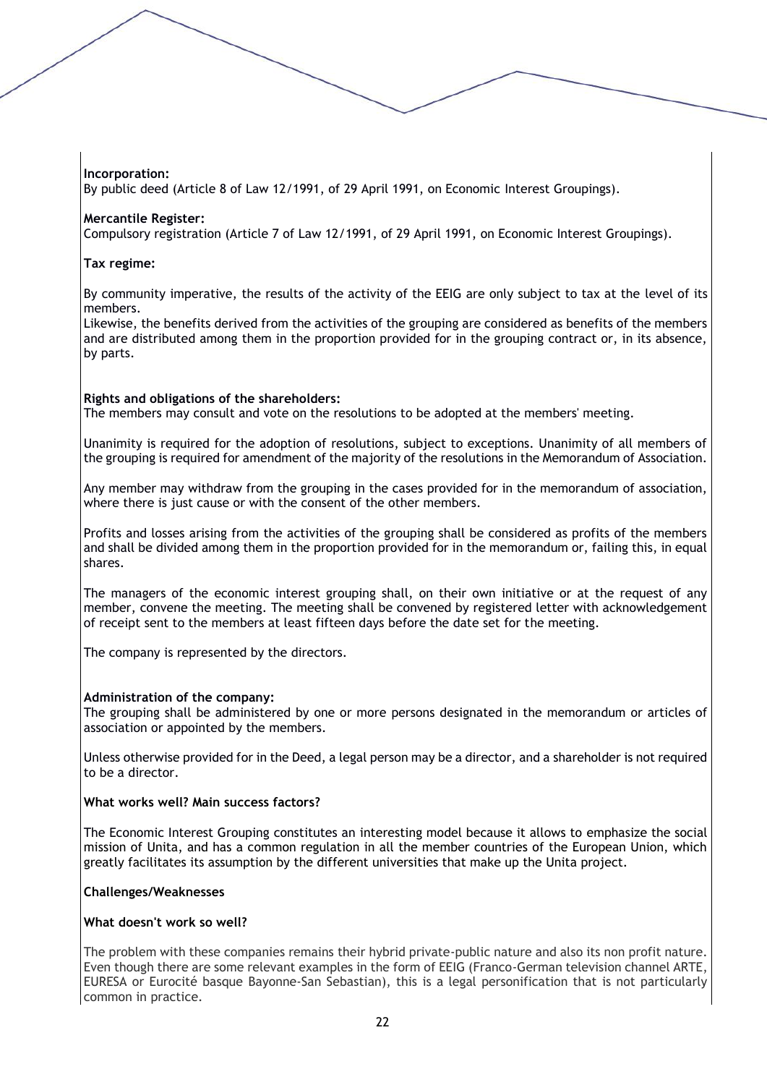# **Incorporation:**

By public deed (Article 8 of Law 12/1991, of 29 April 1991, on Economic Interest Groupings).

### **Mercantile Register:**

Compulsory registration (Article 7 of Law 12/1991, of 29 April 1991, on Economic Interest Groupings).

## **Tax regime:**

By community imperative, the results of the activity of the EEIG are only subject to tax at the level of its members.

Likewise, the benefits derived from the activities of the grouping are considered as benefits of the members and are distributed among them in the proportion provided for in the grouping contract or, in its absence, by parts.

## **Rights and obligations of the shareholders:**

The members may consult and vote on the resolutions to be adopted at the members' meeting.

Unanimity is required for the adoption of resolutions, subject to exceptions. Unanimity of all members of the grouping is required for amendment of the majority of the resolutions in the Memorandum of Association.

Any member may withdraw from the grouping in the cases provided for in the memorandum of association, where there is just cause or with the consent of the other members.

Profits and losses arising from the activities of the grouping shall be considered as profits of the members and shall be divided among them in the proportion provided for in the memorandum or, failing this, in equal shares.

The managers of the economic interest grouping shall, on their own initiative or at the request of any member, convene the meeting. The meeting shall be convened by registered letter with acknowledgement of receipt sent to the members at least fifteen days before the date set for the meeting.

The company is represented by the directors.

#### **Administration of the company:**

The grouping shall be administered by one or more persons designated in the memorandum or articles of association or appointed by the members.

Unless otherwise provided for in the Deed, a legal person may be a director, and a shareholder is not required to be a director.

#### **What works well? Main success factors?**

The Economic Interest Grouping constitutes an interesting model because it allows to emphasize the social mission of Unita, and has a common regulation in all the member countries of the European Union, which greatly facilitates its assumption by the different universities that make up the Unita project.

#### **Challenges/Weaknesses**

#### **What doesn't work so well?**

The problem with these companies remains their hybrid private-public nature and also its non profit nature. Even though there are some relevant examples in the form of EEIG (Franco-German television channel ARTE, EURESA or Eurocité basque Bayonne-San Sebastian), this is a legal personification that is not particularly common in practice.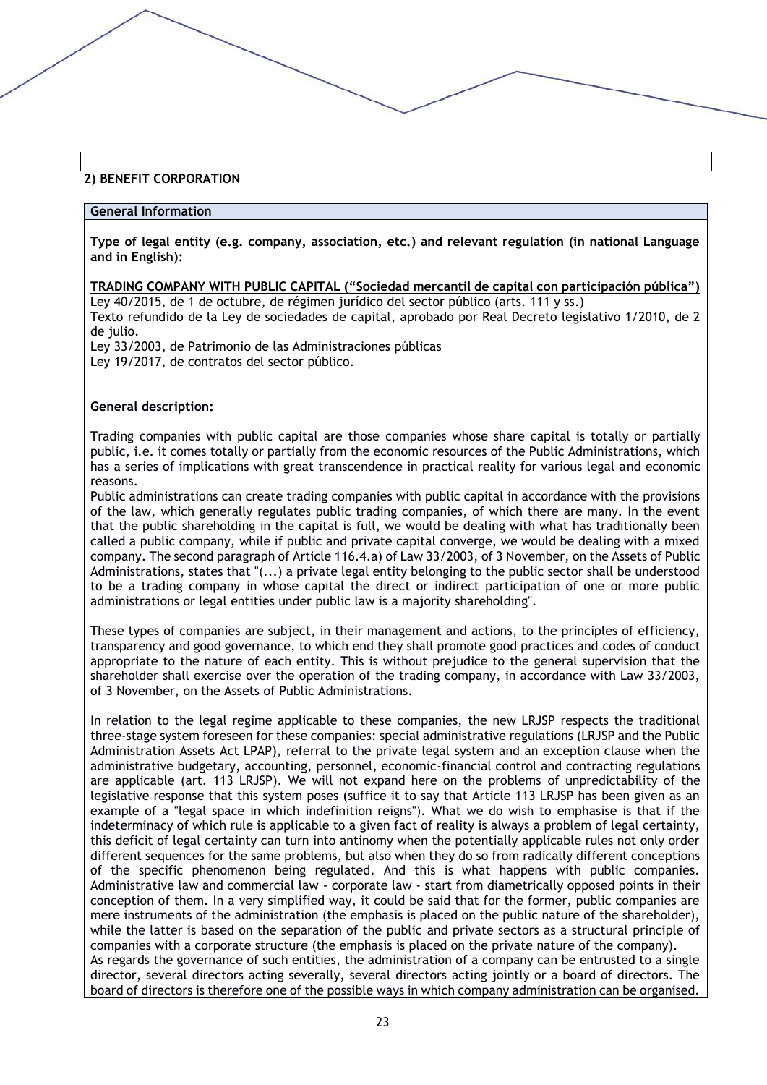# **2) BENEFIT CORPORATION**

#### **General Information**

**Type of legal entity (e.g. company, association, etc.) and relevant regulation (in national Language and in English):** 

**TRADING COMPANY WITH PUBLIC CAPITAL ("Sociedad mercantil de capital con participación pública")** Ley 40/2015, de 1 de octubre, de régimen jurídico del sector público (arts. 111 y ss.)

Texto refundido de la Ley de sociedades de capital, aprobado por Real Decreto legislativo 1/2010, de 2 de julio.

Ley 33/2003, de Patrimonio de las Administraciones públicas Ley 19/2017, de contratos del sector público.

#### **General description:**

Trading companies with public capital are those companies whose share capital is totally or partially public, i.e. it comes totally or partially from the economic resources of the Public Administrations, which has a series of implications with great transcendence in practical reality for various legal and economic reasons.

Public administrations can create trading companies with public capital in accordance with the provisions of the law, which generally regulates public trading companies, of which there are many. In the event that the public shareholding in the capital is full, we would be dealing with what has traditionally been called a public company, while if public and private capital converge, we would be dealing with a mixed company. The second paragraph of Article 116.4.a) of Law 33/2003, of 3 November, on the Assets of Public Administrations, states that "(...) a private legal entity belonging to the public sector shall be understood to be a trading company in whose capital the direct or indirect participation of one or more public administrations or legal entities under public law is a majority shareholding".

These types of companies are subject, in their management and actions, to the principles of efficiency, transparency and good governance, to which end they shall promote good practices and codes of conduct appropriate to the nature of each entity. This is without prejudice to the general supervision that the shareholder shall exercise over the operation of the trading company, in accordance with Law 33/2003, of 3 November, on the Assets of Public Administrations.

In relation to the legal regime applicable to these companies, the new LRJSP respects the traditional three-stage system foreseen for these companies: special administrative regulations (LRJSP and the Public Administration Assets Act LPAP), referral to the private legal system and an exception clause when the administrative budgetary, accounting, personnel, economic-financial control and contracting regulations are applicable (art. 113 LRJSP). We will not expand here on the problems of unpredictability of the legislative response that this system poses (suffice it to say that Article 113 LRJSP has been given as an example of a "legal space in which indefinition reigns"). What we do wish to emphasise is that if the indeterminacy of which rule is applicable to a given fact of reality is always a problem of legal certainty, this deficit of legal certainty can turn into antinomy when the potentially applicable rules not only order different sequences for the same problems, but also when they do so from radically different conceptions of the specific phenomenon being regulated. And this is what happens with public companies. Administrative law and commercial law - corporate law - start from diametrically opposed points in their conception of them. In a very simplified way, it could be said that for the former, public companies are mere instruments of the administration (the emphasis is placed on the public nature of the shareholder), while the latter is based on the separation of the public and private sectors as a structural principle of companies with a corporate structure (the emphasis is placed on the private nature of the company). As regards the governance of such entities, the administration of a company can be entrusted to a single director, several directors acting severally, several directors acting jointly or a board of directors. The board of directors is therefore one of the possible ways in which company administration can be organised.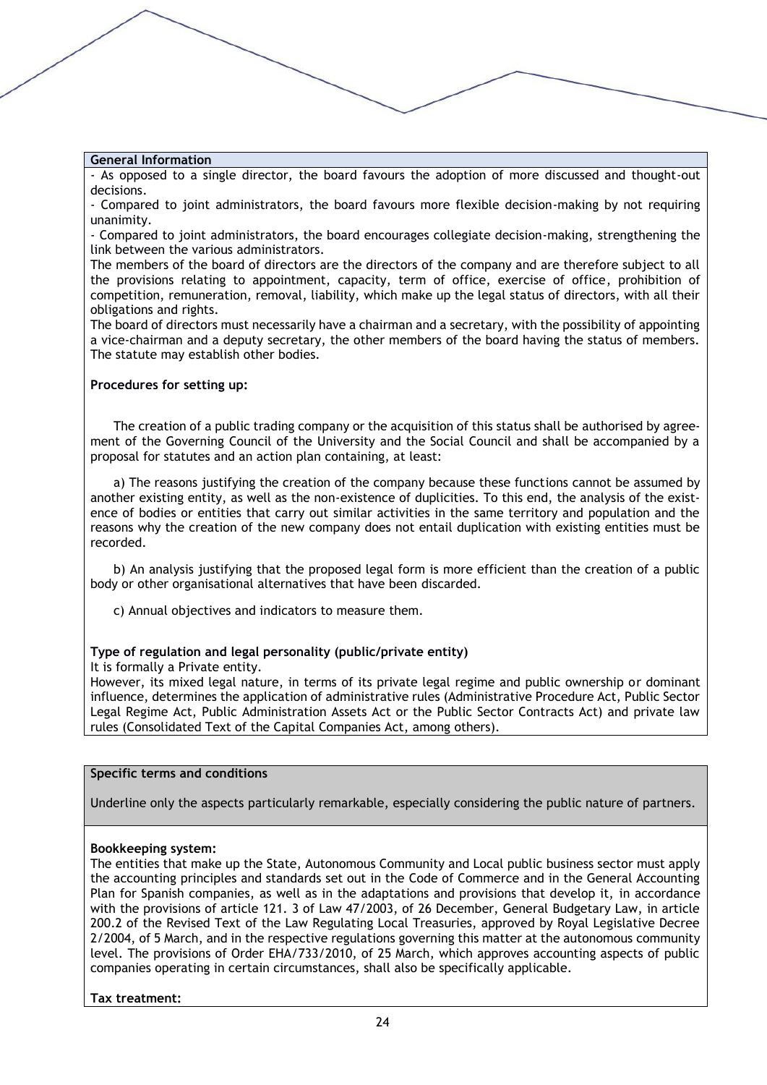- As opposed to a single director, the board favours the adoption of more discussed and thought-out decisions.

- Compared to joint administrators, the board favours more flexible decision-making by not requiring unanimity.

- Compared to joint administrators, the board encourages collegiate decision-making, strengthening the link between the various administrators.

The members of the board of directors are the directors of the company and are therefore subject to all the provisions relating to appointment, capacity, term of office, exercise of office, prohibition of competition, remuneration, removal, liability, which make up the legal status of directors, with all their obligations and rights.

The board of directors must necessarily have a chairman and a secretary, with the possibility of appointing a vice-chairman and a deputy secretary, the other members of the board having the status of members. The statute may establish other bodies.

#### **Procedures for setting up:**

The creation of a public trading company or the acquisition of this status shall be authorised by agreement of the Governing Council of the University and the Social Council and shall be accompanied by a proposal for statutes and an action plan containing, at least:

a) The reasons justifying the creation of the company because these functions cannot be assumed by another existing entity, as well as the non-existence of duplicities. To this end, the analysis of the existence of bodies or entities that carry out similar activities in the same territory and population and the reasons why the creation of the new company does not entail duplication with existing entities must be recorded.

b) An analysis justifying that the proposed legal form is more efficient than the creation of a public body or other organisational alternatives that have been discarded.

c) Annual objectives and indicators to measure them.

#### **Type of regulation and legal personality (public/private entity)**

It is formally a Private entity.

However, its mixed legal nature, in terms of its private legal regime and public ownership or dominant influence, determines the application of administrative rules (Administrative Procedure Act, Public Sector Legal Regime Act, Public Administration Assets Act or the Public Sector Contracts Act) and private law rules (Consolidated Text of the Capital Companies Act, among others).

### **Specific terms and conditions**

Underline only the aspects particularly remarkable, especially considering the public nature of partners.

#### **Bookkeeping system:**

The entities that make up the State, Autonomous Community and Local public business sector must apply the accounting principles and standards set out in the Code of Commerce and in the General Accounting Plan for Spanish companies, as well as in the adaptations and provisions that develop it, in accordance with the provisions of article 121. 3 of Law 47/2003, of 26 December, General Budgetary Law, in article 200.2 of the Revised Text of the Law Regulating Local Treasuries, approved by Royal Legislative Decree 2/2004, of 5 March, and in the respective regulations governing this matter at the autonomous community level. The provisions of Order EHA/733/2010, of 25 March, which approves accounting aspects of public companies operating in certain circumstances, shall also be specifically applicable.

#### **Tax treatment:**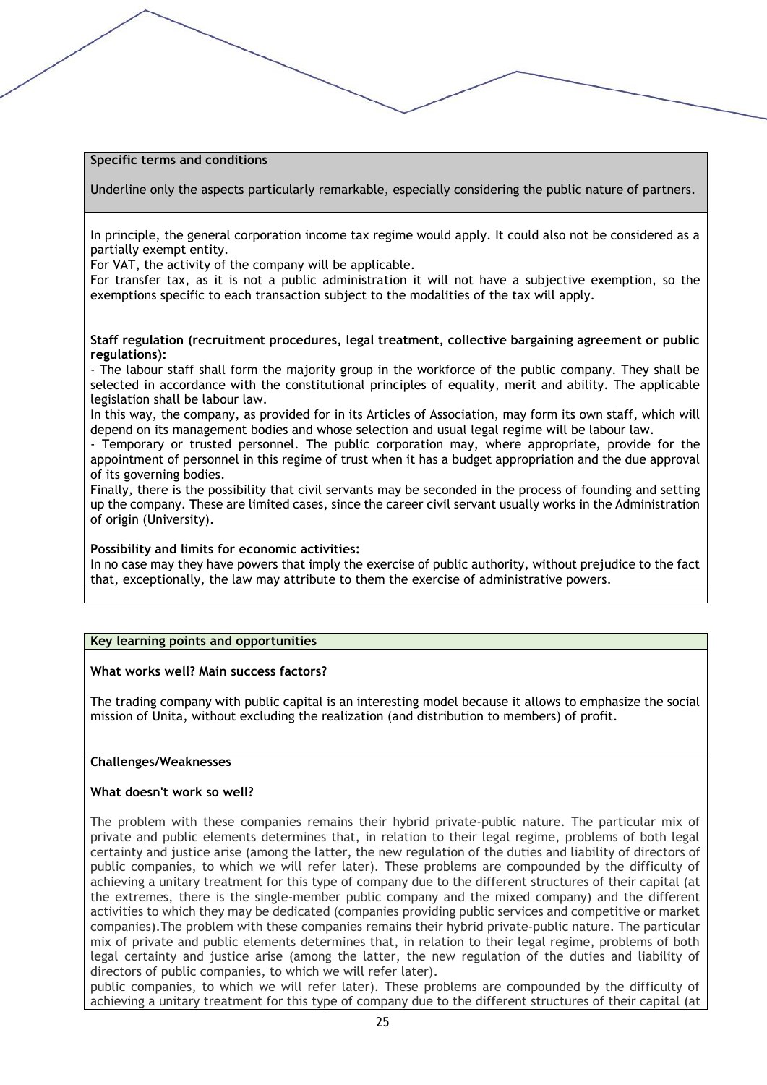#### **Specific terms and conditions**

Underline only the aspects particularly remarkable, especially considering the public nature of partners.

In principle, the general corporation income tax regime would apply. It could also not be considered as a partially exempt entity.

For VAT, the activity of the company will be applicable.

For transfer tax, as it is not a public administration it will not have a subjective exemption, so the exemptions specific to each transaction subject to the modalities of the tax will apply.

#### **Staff regulation (recruitment procedures, legal treatment, collective bargaining agreement or public regulations):**

- The labour staff shall form the majority group in the workforce of the public company. They shall be selected in accordance with the constitutional principles of equality, merit and ability. The applicable legislation shall be labour law.

In this way, the company, as provided for in its Articles of Association, may form its own staff, which will depend on its management bodies and whose selection and usual legal regime will be labour law.

- Temporary or trusted personnel. The public corporation may, where appropriate, provide for the appointment of personnel in this regime of trust when it has a budget appropriation and the due approval of its governing bodies.

Finally, there is the possibility that civil servants may be seconded in the process of founding and setting up the company. These are limited cases, since the career civil servant usually works in the Administration of origin (University).

#### **Possibility and limits for economic activities:**

In no case may they have powers that imply the exercise of public authority, without prejudice to the fact that, exceptionally, the law may attribute to them the exercise of administrative powers.

#### **Key learning points and opportunities**

#### **What works well? Main success factors?**

The trading company with public capital is an interesting model because it allows to emphasize the social mission of Unita, without excluding the realization (and distribution to members) of profit.

#### **Challenges/Weaknesses**

#### **What doesn't work so well?**

The problem with these companies remains their hybrid private-public nature. The particular mix of private and public elements determines that, in relation to their legal regime, problems of both legal certainty and justice arise (among the latter, the new regulation of the duties and liability of directors of public companies, to which we will refer later). These problems are compounded by the difficulty of achieving a unitary treatment for this type of company due to the different structures of their capital (at the extremes, there is the single-member public company and the mixed company) and the different activities to which they may be dedicated (companies providing public services and competitive or market companies).The problem with these companies remains their hybrid private-public nature. The particular mix of private and public elements determines that, in relation to their legal regime, problems of both legal certainty and justice arise (among the latter, the new regulation of the duties and liability of directors of public companies, to which we will refer later).

public companies, to which we will refer later). These problems are compounded by the difficulty of achieving a unitary treatment for this type of company due to the different structures of their capital (at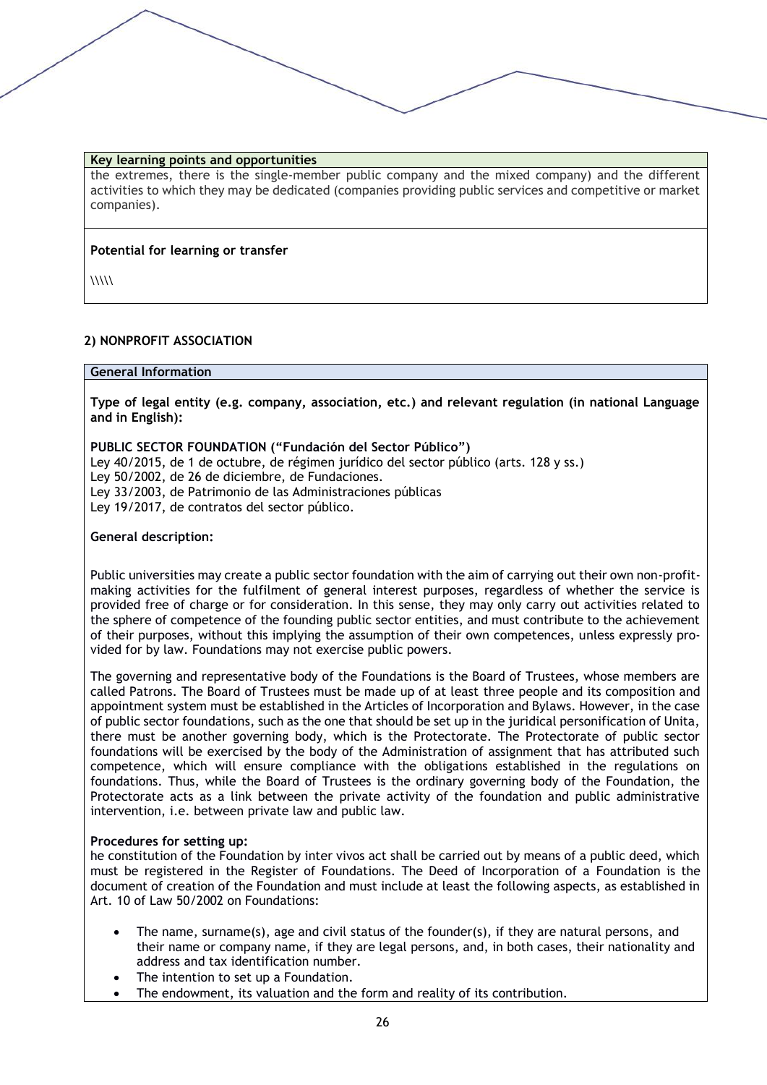#### **Key learning points and opportunities**

the extremes, there is the single-member public company and the mixed company) and the different activities to which they may be dedicated (companies providing public services and competitive or market companies).

#### **Potential for learning or transfer**

 $\langle\langle\langle\langle\rangle\rangle\rangle\langle\langle\rangle\rangle\rangle$ 

## **2) NONPROFIT ASSOCIATION**

#### **General Information**

**Type of legal entity (e.g. company, association, etc.) and relevant regulation (in national Language and in English):** 

## **PUBLIC SECTOR FOUNDATION ("Fundación del Sector Público")**

Ley 40/2015, de 1 de octubre, de régimen jurídico del sector público (arts. 128 y ss.) Ley 50/2002, de 26 de diciembre, de Fundaciones. Ley 33/2003, de Patrimonio de las Administraciones públicas Ley 19/2017, de contratos del sector público.

#### **General description:**

Public universities may create a public sector foundation with the aim of carrying out their own non-profitmaking activities for the fulfilment of general interest purposes, regardless of whether the service is provided free of charge or for consideration. In this sense, they may only carry out activities related to the sphere of competence of the founding public sector entities, and must contribute to the achievement of their purposes, without this implying the assumption of their own competences, unless expressly provided for by law. Foundations may not exercise public powers.

The governing and representative body of the Foundations is the Board of Trustees, whose members are called Patrons. The Board of Trustees must be made up of at least three people and its composition and appointment system must be established in the Articles of Incorporation and Bylaws. However, in the case of public sector foundations, such as the one that should be set up in the juridical personification of Unita, there must be another governing body, which is the Protectorate. The Protectorate of public sector foundations will be exercised by the body of the Administration of assignment that has attributed such competence, which will ensure compliance with the obligations established in the regulations on foundations. Thus, while the Board of Trustees is the ordinary governing body of the Foundation, the Protectorate acts as a link between the private activity of the foundation and public administrative intervention, i.e. between private law and public law.

#### **Procedures for setting up:**

he constitution of the Foundation by inter vivos act shall be carried out by means of a public deed, which must be registered in the Register of Foundations. The Deed of Incorporation of a Foundation is the document of creation of the Foundation and must include at least the following aspects, as established in Art. 10 of Law 50/2002 on Foundations:

- The name, surname(s), age and civil status of the founder(s), if they are natural persons, and their name or company name, if they are legal persons, and, in both cases, their nationality and address and tax identification number.
- The intention to set up a Foundation.
- The endowment, its valuation and the form and reality of its contribution.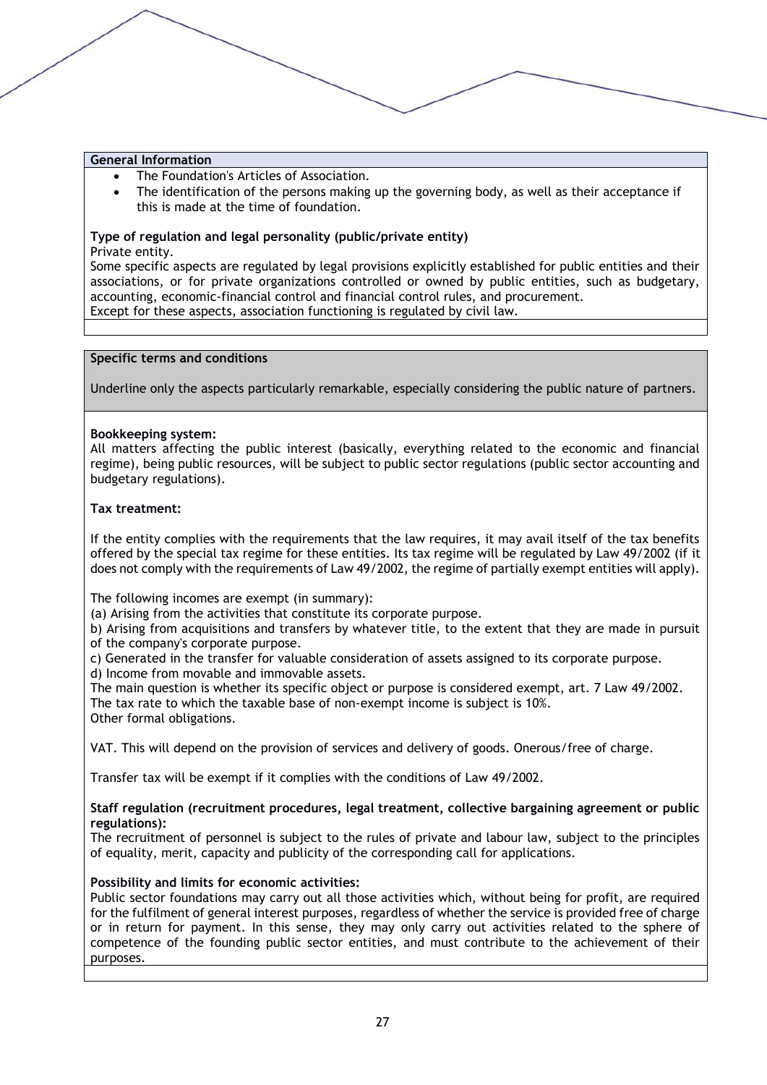- The Foundation's Articles of Association.
- The identification of the persons making up the governing body, as well as their acceptance if this is made at the time of foundation.

# **Type of regulation and legal personality (public/private entity)**

Private entity.

Some specific aspects are regulated by legal provisions explicitly established for public entities and their associations, or for private organizations controlled or owned by public entities, such as budgetary, accounting, economic-financial control and financial control rules, and procurement. Except for these aspects, association functioning is regulated by civil law.

#### **Specific terms and conditions**

Underline only the aspects particularly remarkable, especially considering the public nature of partners.

#### **Bookkeeping system:**

All matters affecting the public interest (basically, everything related to the economic and financial regime), being public resources, will be subject to public sector regulations (public sector accounting and budgetary regulations).

#### **Tax treatment:**

If the entity complies with the requirements that the law requires, it may avail itself of the tax benefits offered by the special tax regime for these entities. Its tax regime will be regulated by Law 49/2002 (if it does not comply with the requirements of Law 49/2002, the regime of partially exempt entities will apply).

The following incomes are exempt (in summary):

(a) Arising from the activities that constitute its corporate purpose.

b) Arising from acquisitions and transfers by whatever title, to the extent that they are made in pursuit of the company's corporate purpose.

c) Generated in the transfer for valuable consideration of assets assigned to its corporate purpose.

d) Income from movable and immovable assets.

The main question is whether its specific object or purpose is considered exempt, art. 7 Law 49/2002. The tax rate to which the taxable base of non-exempt income is subject is 10%. Other formal obligations.

VAT. This will depend on the provision of services and delivery of goods. Onerous/free of charge.

Transfer tax will be exempt if it complies with the conditions of Law 49/2002.

#### **Staff regulation (recruitment procedures, legal treatment, collective bargaining agreement or public regulations):**

The recruitment of personnel is subject to the rules of private and labour law, subject to the principles of equality, merit, capacity and publicity of the corresponding call for applications.

#### **Possibility and limits for economic activities:**

Public sector foundations may carry out all those activities which, without being for profit, are required for the fulfilment of general interest purposes, regardless of whether the service is provided free of charge or in return for payment. In this sense, they may only carry out activities related to the sphere of competence of the founding public sector entities, and must contribute to the achievement of their purposes.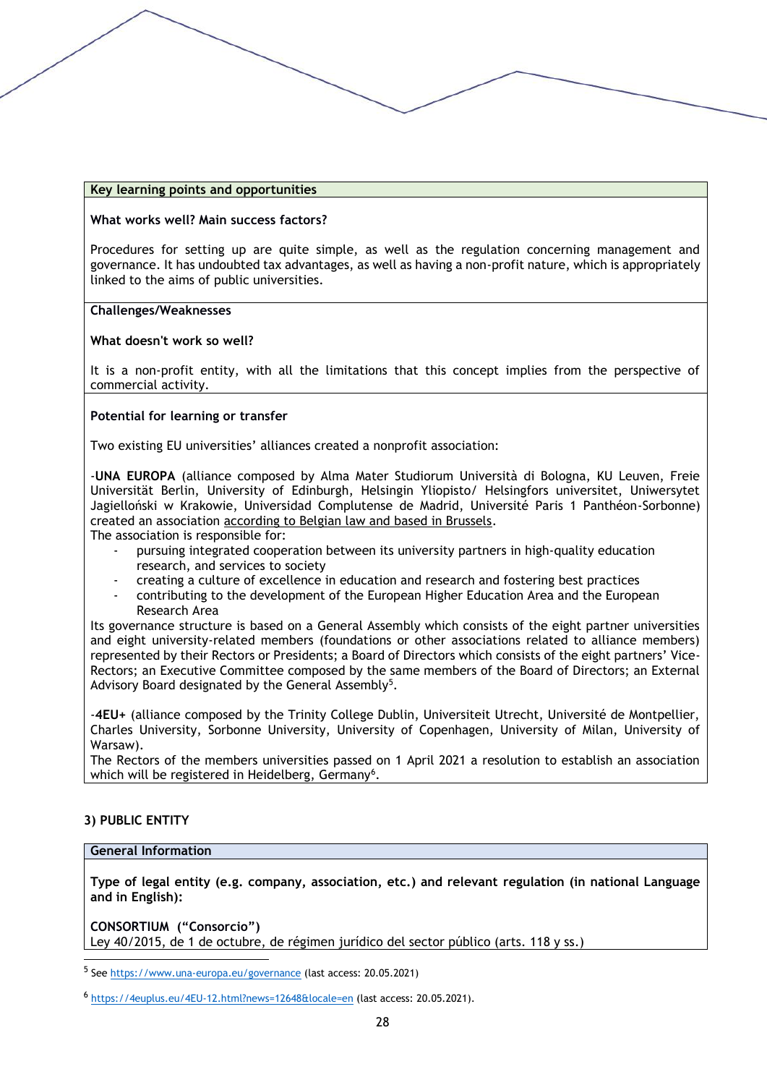#### **Key learning points and opportunities**

#### **What works well? Main success factors?**

Procedures for setting up are quite simple, as well as the regulation concerning management and governance. It has undoubted tax advantages, as well as having a non-profit nature, which is appropriately linked to the aims of public universities.

#### **Challenges/Weaknesses**

#### **What doesn't work so well?**

It is a non-profit entity, with all the limitations that this concept implies from the perspective of commercial activity.

#### **Potential for learning or transfer**

Two existing EU universities' alliances created a nonprofit association:

-**UNA EUROPA** (alliance composed by Alma Mater Studiorum Università di Bologna, KU Leuven, Freie Universität Berlin, University of Edinburgh, Helsingin Yliopisto/ Helsingfors universitet, Uniwersytet Jagielloński w Krakowie, Universidad Complutense de Madrid, Université Paris 1 Panthéon-Sorbonne) created an association according to Belgian law and based in Brussels.

The association is responsible for:

- pursuing integrated cooperation between its university partners in high-quality education research, and services to society
- creating a culture of excellence in education and research and fostering best practices
- contributing to the development of the European Higher Education Area and the European Research Area

Its governance structure is based on a General Assembly which consists of the eight partner universities and eight university-related members (foundations or other associations related to alliance members) represented by their Rectors or Presidents; a Board of Directors which consists of the eight partners' Vice-Rectors; an Executive Committee composed by the same members of the Board of Directors; an External Advisory Board designated by the General Assembly<sup>5</sup>.

-**4EU+** (alliance composed by the Trinity College Dublin, Universiteit Utrecht, Université de Montpellier, Charles University, Sorbonne University, University of Copenhagen, University of Milan, University of Warsaw).

The Rectors of the members universities passed on 1 April 2021 a resolution to establish an association which will be registered in Heidelberg, Germany<sup>6</sup>.

#### **3) PUBLIC ENTITY**

#### **General Information**

**Type of legal entity (e.g. company, association, etc.) and relevant regulation (in national Language and in English):** 

**CONSORTIUM ("Consorcio")** Ley 40/2015, de 1 de octubre, de régimen jurídico del sector público (arts. 118 y ss.)

<sup>&</sup>lt;sup>5</sup> See<https://www.una-europa.eu/governance> (last access: 20.05.2021)

<sup>6</sup> <https://4euplus.eu/4EU-12.html?news=12648&locale=en> (last access: 20.05.2021).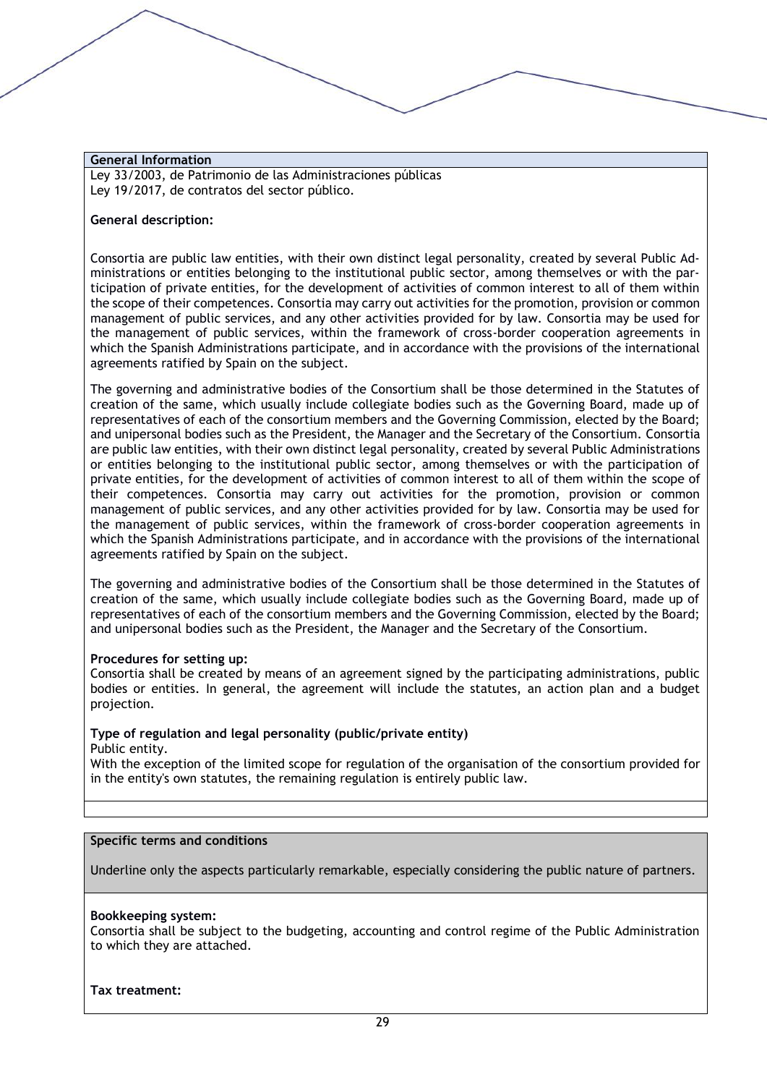Ley 33/2003, de Patrimonio de las Administraciones públicas Ley 19/2017, de contratos del sector público.

#### **General description:**

Consortia are public law entities, with their own distinct legal personality, created by several Public Administrations or entities belonging to the institutional public sector, among themselves or with the participation of private entities, for the development of activities of common interest to all of them within the scope of their competences. Consortia may carry out activities for the promotion, provision or common management of public services, and any other activities provided for by law. Consortia may be used for the management of public services, within the framework of cross-border cooperation agreements in which the Spanish Administrations participate, and in accordance with the provisions of the international agreements ratified by Spain on the subject.

The governing and administrative bodies of the Consortium shall be those determined in the Statutes of creation of the same, which usually include collegiate bodies such as the Governing Board, made up of representatives of each of the consortium members and the Governing Commission, elected by the Board; and unipersonal bodies such as the President, the Manager and the Secretary of the Consortium. Consortia are public law entities, with their own distinct legal personality, created by several Public Administrations or entities belonging to the institutional public sector, among themselves or with the participation of private entities, for the development of activities of common interest to all of them within the scope of their competences. Consortia may carry out activities for the promotion, provision or common management of public services, and any other activities provided for by law. Consortia may be used for the management of public services, within the framework of cross-border cooperation agreements in which the Spanish Administrations participate, and in accordance with the provisions of the international agreements ratified by Spain on the subject.

The governing and administrative bodies of the Consortium shall be those determined in the Statutes of creation of the same, which usually include collegiate bodies such as the Governing Board, made up of representatives of each of the consortium members and the Governing Commission, elected by the Board; and unipersonal bodies such as the President, the Manager and the Secretary of the Consortium.

#### **Procedures for setting up:**

Consortia shall be created by means of an agreement signed by the participating administrations, public bodies or entities. In general, the agreement will include the statutes, an action plan and a budget projection.

#### **Type of regulation and legal personality (public/private entity)**

Public entity.

With the exception of the limited scope for regulation of the organisation of the consortium provided for in the entity's own statutes, the remaining regulation is entirely public law.

#### **Specific terms and conditions**

Underline only the aspects particularly remarkable, especially considering the public nature of partners.

#### **Bookkeeping system:**

Consortia shall be subject to the budgeting, accounting and control regime of the Public Administration to which they are attached.

**Tax treatment:**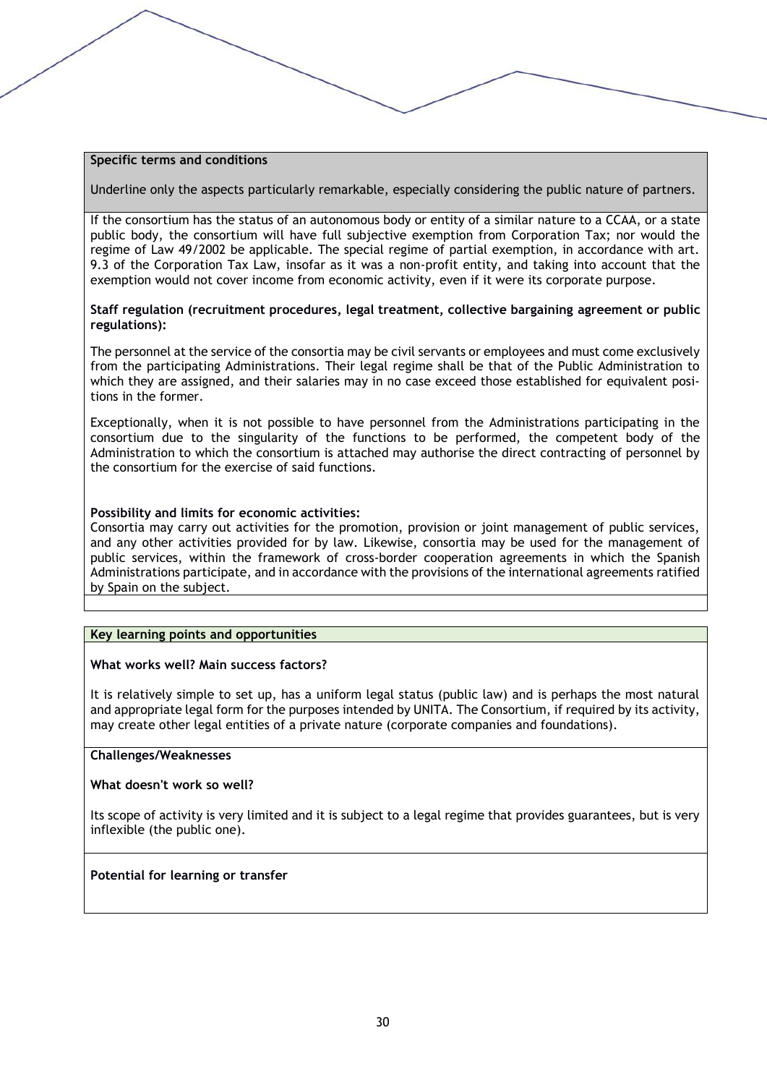#### **Specific terms and conditions**

Underline only the aspects particularly remarkable, especially considering the public nature of partners.

If the consortium has the status of an autonomous body or entity of a similar nature to a CCAA, or a state public body, the consortium will have full subjective exemption from Corporation Tax; nor would the regime of Law 49/2002 be applicable. The special regime of partial exemption, in accordance with art. 9.3 of the Corporation Tax Law, insofar as it was a non-profit entity, and taking into account that the exemption would not cover income from economic activity, even if it were its corporate purpose.

#### **Staff regulation (recruitment procedures, legal treatment, collective bargaining agreement or public regulations):**

The personnel at the service of the consortia may be civil servants or employees and must come exclusively from the participating Administrations. Their legal regime shall be that of the Public Administration to which they are assigned, and their salaries may in no case exceed those established for equivalent positions in the former.

Exceptionally, when it is not possible to have personnel from the Administrations participating in the consortium due to the singularity of the functions to be performed, the competent body of the Administration to which the consortium is attached may authorise the direct contracting of personnel by the consortium for the exercise of said functions.

#### **Possibility and limits for economic activities:**

Consortia may carry out activities for the promotion, provision or joint management of public services, and any other activities provided for by law. Likewise, consortia may be used for the management of public services, within the framework of cross-border cooperation agreements in which the Spanish Administrations participate, and in accordance with the provisions of the international agreements ratified by Spain on the subject.

#### **Key learning points and opportunities**

#### **What works well? Main success factors?**

It is relatively simple to set up, has a uniform legal status (public law) and is perhaps the most natural and appropriate legal form for the purposes intended by UNITA. The Consortium, if required by its activity, may create other legal entities of a private nature (corporate companies and foundations).

#### **Challenges/Weaknesses**

#### **What doesn't work so well?**

Its scope of activity is very limited and it is subject to a legal regime that provides guarantees, but is very inflexible (the public one).

#### **Potential for learning or transfer**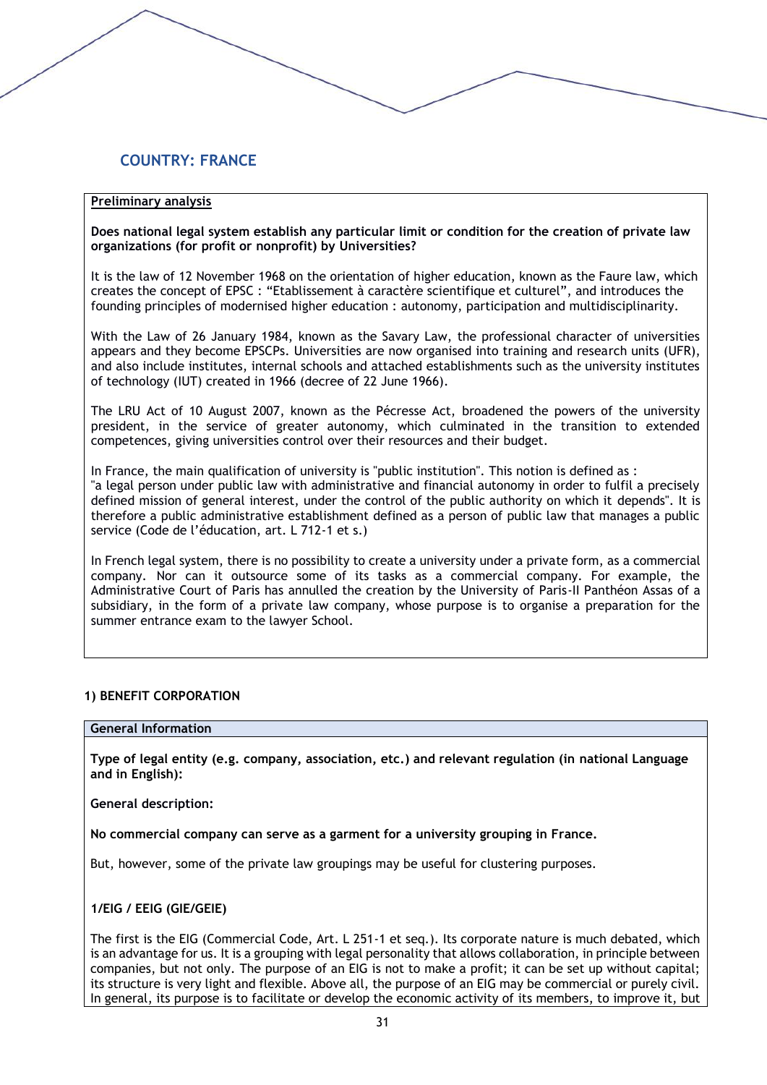# **COUNTRY: FRANCE**

#### **Preliminary analysis**

**Does national legal system establish any particular limit or condition for the creation of private law organizations (for profit or nonprofit) by Universities?**

It is the law of 12 November 1968 on the orientation of higher education, known as the Faure law, which creates the concept of EPSC : "Etablissement à caractère scientifique et culturel", and introduces the founding principles of modernised higher education : autonomy, participation and multidisciplinarity.

With the Law of 26 January 1984, known as the Savary Law, the professional character of universities appears and they become EPSCPs. Universities are now organised into training and research units (UFR), and also include institutes, internal schools and attached establishments such as the university institutes of technology (IUT) created in 1966 (decree of 22 June 1966).

The LRU Act of 10 August 2007, known as the Pécresse Act, broadened the powers of the university president, in the service of greater autonomy, which culminated in the transition to extended competences, giving universities control over their resources and their budget.

In France, the main qualification of university is "public institution". This notion is defined as : "a legal person under public law with administrative and financial autonomy in order to fulfil a precisely defined mission of general interest, under the control of the public authority on which it depends". It is therefore a public administrative establishment defined as a person of public law that manages a public service (Code de l'éducation, art. L 712-1 et s.)

In French legal system, there is no possibility to create a university under a private form, as a commercial company. Nor can it outsource some of its tasks as a commercial company. For example, the Administrative Court of Paris has annulled the creation by the University of Paris-II Panthéon Assas of a subsidiary, in the form of a private law company, whose purpose is to organise a preparation for the summer entrance exam to the lawyer School.

#### **1) BENEFIT CORPORATION**

#### **General Information**

**Type of legal entity (e.g. company, association, etc.) and relevant regulation (in national Language and in English):** 

**General description:**

**No commercial company can serve as a garment for a university grouping in France.**

But, however, some of the private law groupings may be useful for clustering purposes.

#### **1/EIG / EEIG (GIE/GEIE)**

The first is the EIG (Commercial Code, Art. L 251-1 et seq.). Its corporate nature is much debated, which is an advantage for us. It is a grouping with legal personality that allows collaboration, in principle between companies, but not only. The purpose of an EIG is not to make a profit; it can be set up without capital; its structure is very light and flexible. Above all, the purpose of an EIG may be commercial or purely civil. In general, its purpose is to facilitate or develop the economic activity of its members, to improve it, but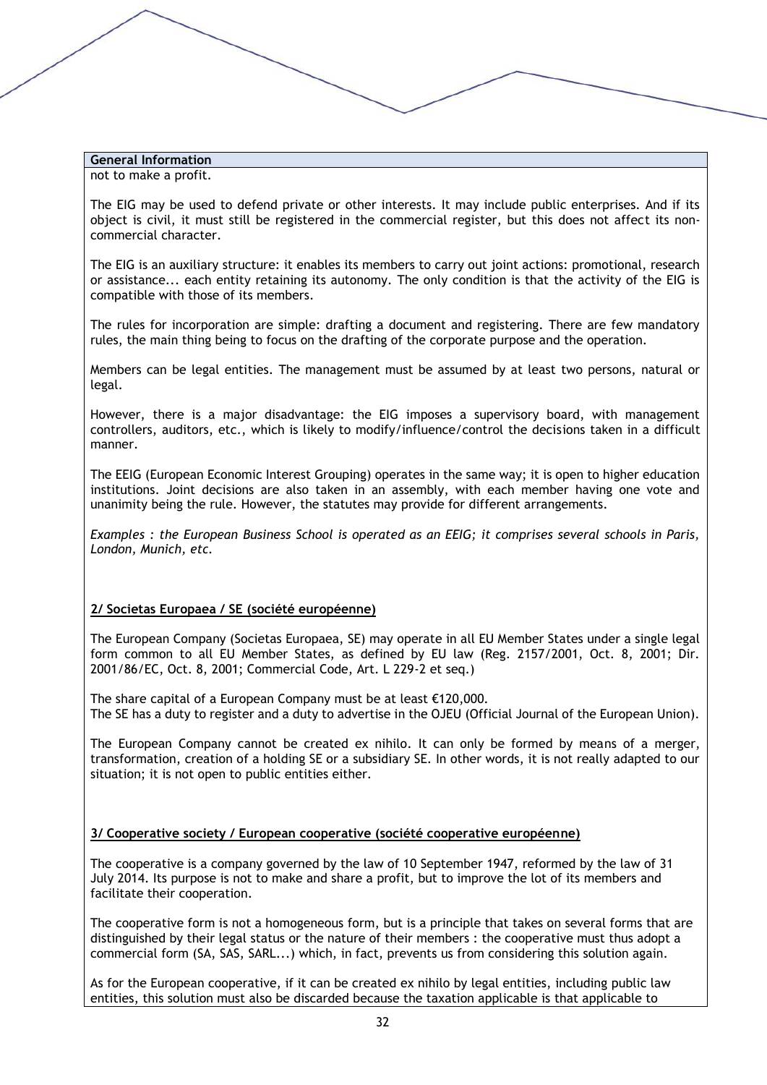not to make a profit.

The EIG may be used to defend private or other interests. It may include public enterprises. And if its object is civil, it must still be registered in the commercial register, but this does not affect its noncommercial character.

The EIG is an auxiliary structure: it enables its members to carry out joint actions: promotional, research or assistance... each entity retaining its autonomy. The only condition is that the activity of the EIG is compatible with those of its members.

The rules for incorporation are simple: drafting a document and registering. There are few mandatory rules, the main thing being to focus on the drafting of the corporate purpose and the operation.

Members can be legal entities. The management must be assumed by at least two persons, natural or legal.

However, there is a major disadvantage: the EIG imposes a supervisory board, with management controllers, auditors, etc., which is likely to modify/influence/control the decisions taken in a difficult manner.

The EEIG (European Economic Interest Grouping) operates in the same way; it is open to higher education institutions. Joint decisions are also taken in an assembly, with each member having one vote and unanimity being the rule. However, the statutes may provide for different arrangements.

*Examples : the European Business School is operated as an EEIG; it comprises several schools in Paris, London, Munich, etc.*

# **2/ Societas Europaea / SE (société européenne)**

The European Company (Societas Europaea, SE) may operate in all EU Member States under a single legal form common to all EU Member States, as defined by EU law (Reg. 2157/2001, Oct. 8, 2001; Dir. 2001/86/EC, Oct. 8, 2001; Commercial Code, Art. L 229-2 et seq.)

The share capital of a European Company must be at least €120,000. The SE has a duty to register and a duty to advertise in the OJEU (Official Journal of the European Union).

The European Company cannot be created ex nihilo. It can only be formed by means of a merger, transformation, creation of a holding SE or a subsidiary SE. In other words, it is not really adapted to our situation; it is not open to public entities either.

#### **3/ Cooperative society / European cooperative (société cooperative européenne)**

The cooperative is a company governed by the law of 10 September 1947, reformed by the law of 31 July 2014. Its purpose is not to make and share a profit, but to improve the lot of its members and facilitate their cooperation.

The cooperative form is not a homogeneous form, but is a principle that takes on several forms that are distinguished by their legal status or the nature of their members : the cooperative must thus adopt a commercial form (SA, SAS, SARL...) which, in fact, prevents us from considering this solution again.

As for the European cooperative, if it can be created ex nihilo by legal entities, including public law entities, this solution must also be discarded because the taxation applicable is that applicable to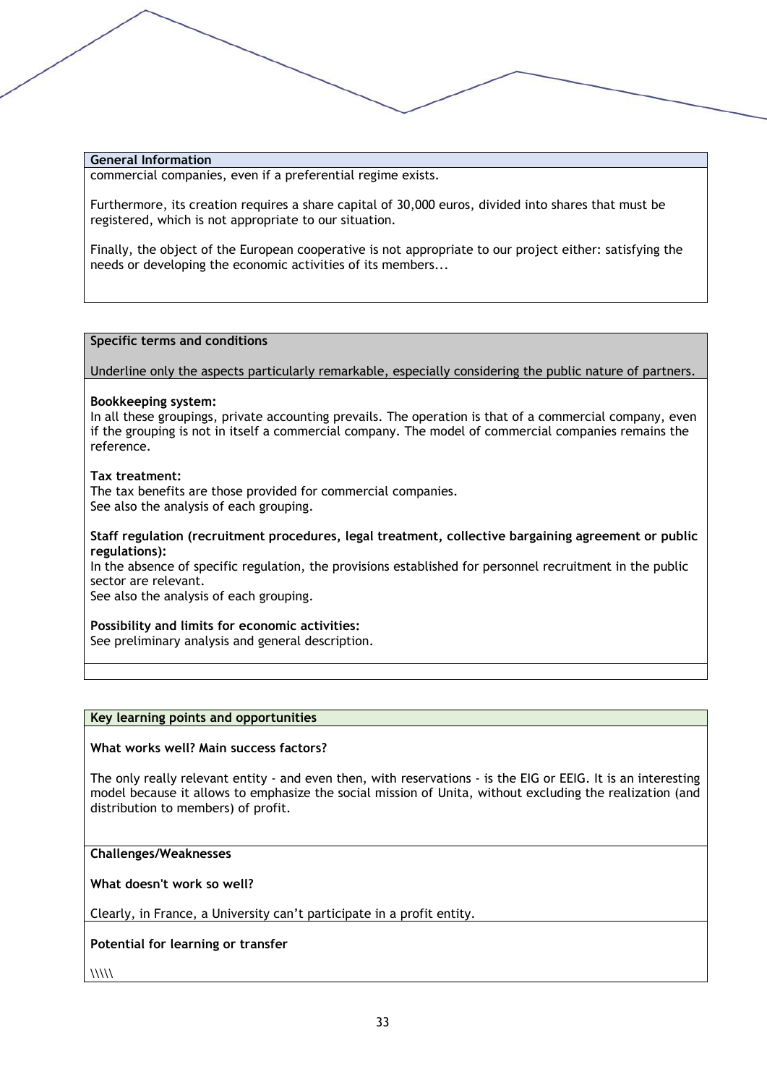commercial companies, even if a preferential regime exists.

Furthermore, its creation requires a share capital of 30,000 euros, divided into shares that must be registered, which is not appropriate to our situation.

Finally, the object of the European cooperative is not appropriate to our project either: satisfying the needs or developing the economic activities of its members...

#### **Specific terms and conditions**

#### Underline only the aspects particularly remarkable, especially considering the public nature of partners.

#### **Bookkeeping system:**

In all these groupings, private accounting prevails. The operation is that of a commercial company, even if the grouping is not in itself a commercial company. The model of commercial companies remains the reference.

#### **Tax treatment:**

The tax benefits are those provided for commercial companies. See also the analysis of each grouping.

#### **Staff regulation (recruitment procedures, legal treatment, collective bargaining agreement or public regulations):**

In the absence of specific regulation, the provisions established for personnel recruitment in the public sector are relevant.

See also the analysis of each grouping.

#### **Possibility and limits for economic activities:**

See preliminary analysis and general description.

#### **Key learning points and opportunities**

#### **What works well? Main success factors?**

The only really relevant entity - and even then, with reservations - is the EIG or EEIG. It is an interesting model because it allows to emphasize the social mission of Unita, without excluding the realization (and distribution to members) of profit.

**Challenges/Weaknesses**

**What doesn't work so well?**

Clearly, in France, a University can't participate in a profit entity.

#### **Potential for learning or transfer**

 $\langle\langle\langle\rangle\rangle\langle\langle\rangle\rangle$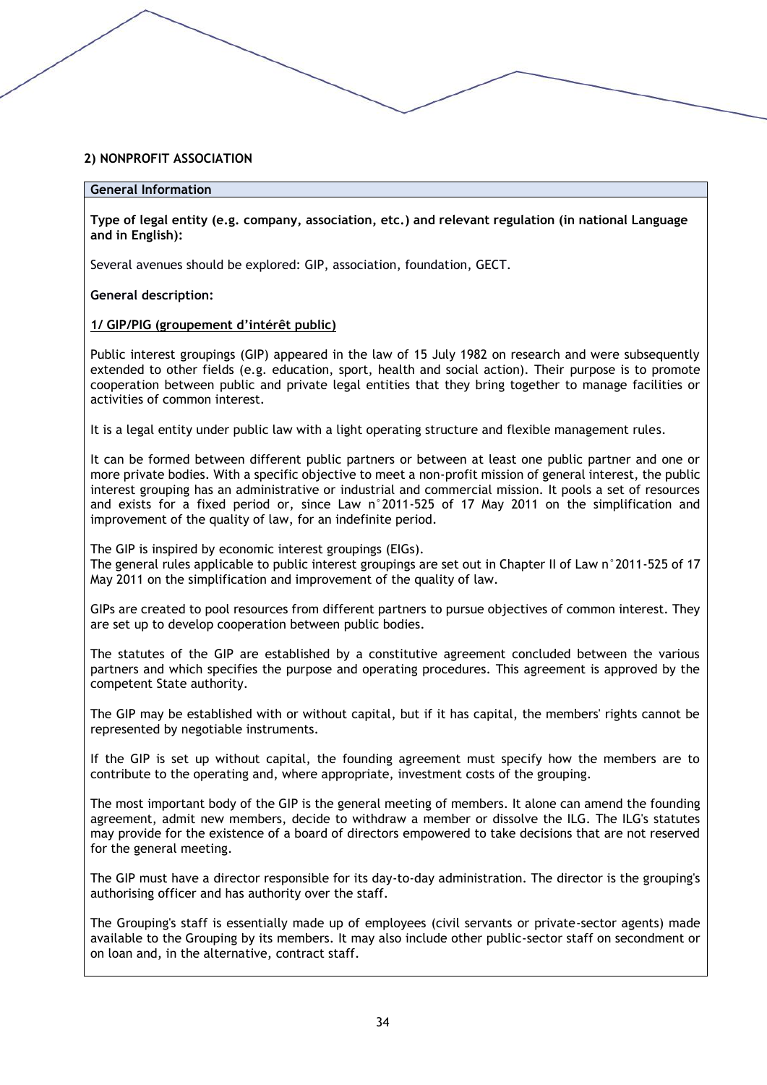#### **2) NONPROFIT ASSOCIATION**

#### **General Information**

**Type of legal entity (e.g. company, association, etc.) and relevant regulation (in national Language and in English):** 

Several avenues should be explored: GIP, association, foundation, GECT.

**General description:**

#### **1/ GIP/PIG (groupement d'intérêt public)**

Public interest groupings (GIP) appeared in the law of 15 July 1982 on research and were subsequently extended to other fields (e.g. education, sport, health and social action). Their purpose is to promote cooperation between public and private legal entities that they bring together to manage facilities or activities of common interest.

It is a legal entity under public law with a light operating structure and flexible management rules.

It can be formed between different public partners or between at least one public partner and one or more private bodies. With a specific objective to meet a non-profit mission of general interest, the public interest grouping has an administrative or industrial and commercial mission. It pools a set of resources and exists for a fixed period or, since Law n°2011-525 of 17 May 2011 on the simplification and improvement of the quality of law, for an indefinite period.

The GIP is inspired by economic interest groupings (EIGs). The general rules applicable to public interest groupings are set out in Chapter II of Law n°2011-525 of 17 May 2011 on the simplification and improvement of the quality of law.

GIPs are created to pool resources from different partners to pursue objectives of common interest. They are set up to develop cooperation between public bodies.

The statutes of the GIP are established by a constitutive agreement concluded between the various partners and which specifies the purpose and operating procedures. This agreement is approved by the competent State authority.

The GIP may be established with or without capital, but if it has capital, the members' rights cannot be represented by negotiable instruments.

If the GIP is set up without capital, the founding agreement must specify how the members are to contribute to the operating and, where appropriate, investment costs of the grouping.

The most important body of the GIP is the general meeting of members. It alone can amend the founding agreement, admit new members, decide to withdraw a member or dissolve the ILG. The ILG's statutes may provide for the existence of a board of directors empowered to take decisions that are not reserved for the general meeting.

The GIP must have a director responsible for its day-to-day administration. The director is the grouping's authorising officer and has authority over the staff.

The Grouping's staff is essentially made up of employees (civil servants or private-sector agents) made available to the Grouping by its members. It may also include other public-sector staff on secondment or on loan and, in the alternative, contract staff.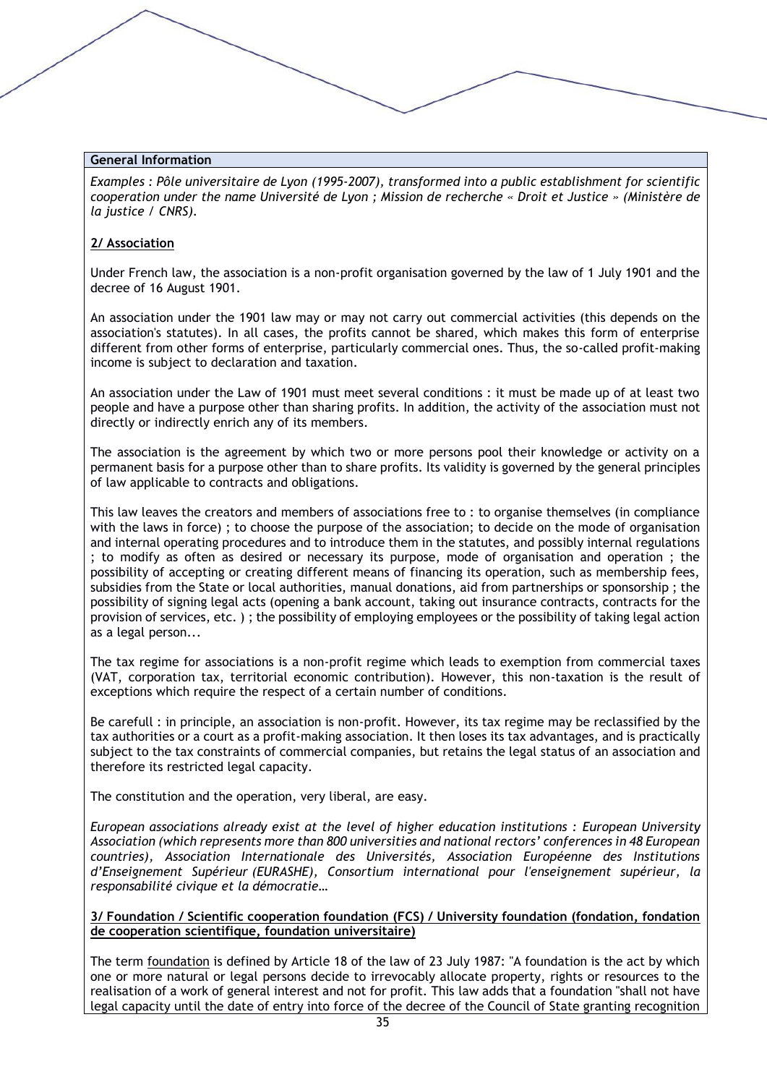*Examples : [Pôle universitaire de Lyon](https://fr.wikipedia.org/wiki/Pôle_universitaire_de_Lyon) (1995-2007), transformed into a public establishment for scientific cooperation under the name Université de Lyon ; Mission de recherche « Droit et Justice » (Ministère de la justice / CNRS).*

#### **2/ Association**

Under French law, the association is a non-profit organisation governed by the law of 1 July 1901 and the decree of 16 August 1901.

An association under the 1901 law may or may not carry out commercial activities (this depends on the association's statutes). In all cases, the profits cannot be shared, which makes this form of enterprise different from other forms of enterprise, particularly commercial ones. Thus, the so-called profit-making income is subject to declaration and taxation.

An association under the Law of 1901 must meet several conditions : it must be made up of at least two people and have a purpose other than sharing profits. In addition, the activity of the association must not directly or indirectly enrich any of its members.

The association is the agreement by which two or more persons pool their knowledge or activity on a permanent basis for a purpose other than to share profits. Its validity is governed by the general principles of law applicable to contracts and obligations.

This law leaves the creators and members of associations free to : to organise themselves (in compliance with the laws in force) ; to choose the purpose of the association; to decide on the mode of organisation and internal operating procedures and to introduce them in the statutes, and possibly internal regulations ; to modify as often as desired or necessary its purpose, mode of organisation and operation ; the possibility of accepting or creating different means of financing its operation, such as membership fees, subsidies from the State or local authorities, manual donations, aid from partnerships or sponsorship ; the possibility of signing legal acts (opening a bank account, taking out insurance contracts, contracts for the provision of services, etc. ) ; the possibility of employing employees or the possibility of taking legal action as a legal person...

The tax regime for associations is a non-profit regime which leads to exemption from commercial taxes (VAT, corporation tax, territorial economic contribution). However, this non-taxation is the result of exceptions which require the respect of a certain number of conditions.

Be carefull : in principle, an association is non-profit. However, its tax regime may be reclassified by the tax authorities or a court as a profit-making association. It then loses its tax advantages, and is practically subject to the tax constraints of commercial companies, but retains the legal status of an association and therefore its restricted legal capacity.

The constitution and the operation, very liberal, are easy.

*European associations already exist at the level of higher education institutions : European University Association (which represents more than 800 universities and national rectors' conferences in 48 European countries), Association Internationale des Universités, Association Européenne des Institutions d'Enseignement Supérieur (EURASHE), Consortium international pour l'enseignement supérieur, la responsabilité civique et la démocratie…*

**3/ Foundation / Scientific cooperation foundation (FCS) / University foundation (fondation, fondation de cooperation scientifique, foundation universitaire)**

The term foundation is defined by Article 18 of the law of 23 July 1987: "A foundation is the act by which one or more natural or legal persons decide to irrevocably allocate property, rights or resources to the realisation of a work of general interest and not for profit. This law adds that a foundation "shall not have legal capacity until the date of entry into force of the decree of the Council of State granting recognition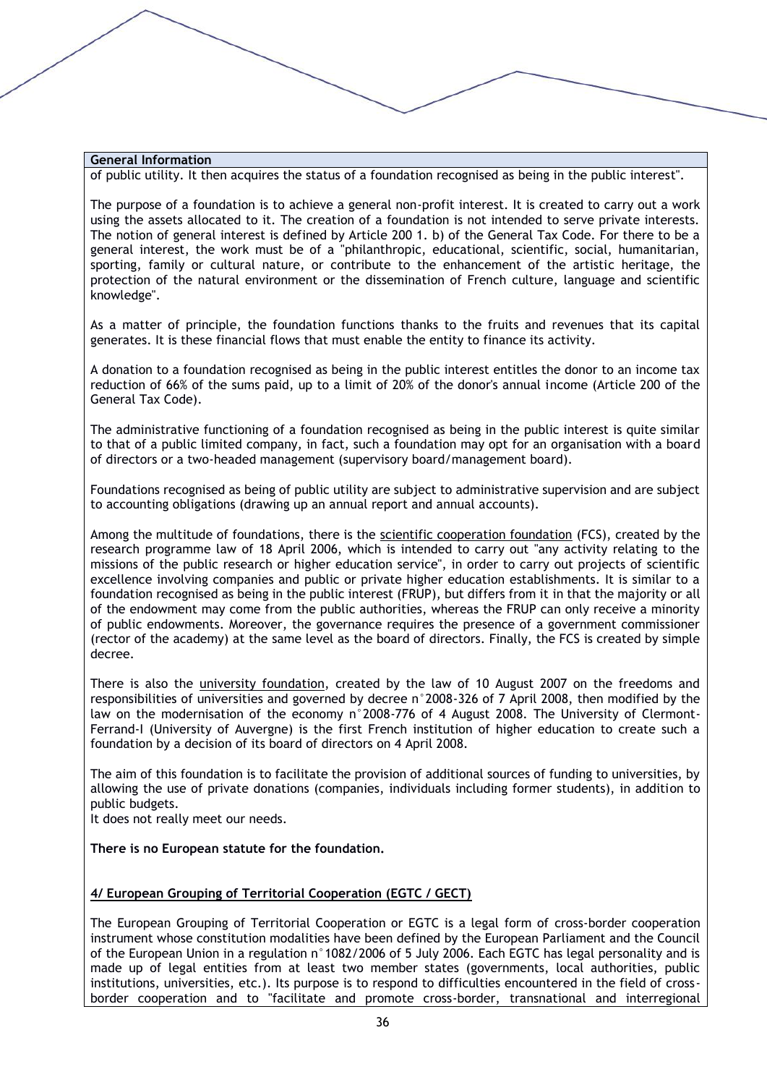of public utility. It then acquires the status of a foundation recognised as being in the public interest".

The purpose of a foundation is to achieve a general non-profit interest. It is created to carry out a work using the assets allocated to it. The creation of a foundation is not intended to serve private interests. The notion of general interest is defined by Article 200 1. b) of the General Tax Code. For there to be a general interest, the work must be of a "philanthropic, educational, scientific, social, humanitarian, sporting, family or cultural nature, or contribute to the enhancement of the artistic heritage, the protection of the natural environment or the dissemination of French culture, language and scientific knowledge".

As a matter of principle, the foundation functions thanks to the fruits and revenues that its capital generates. It is these financial flows that must enable the entity to finance its activity.

A donation to a foundation recognised as being in the public interest entitles the donor to an income tax reduction of 66% of the sums paid, up to a limit of 20% of the donor's annual income (Article 200 of the General Tax Code).

The administrative functioning of a foundation recognised as being in the public interest is quite similar to that of a public limited company, in fact, such a foundation may opt for an organisation with a board of directors or a two-headed management (supervisory board/management board).

Foundations recognised as being of public utility are subject to administrative supervision and are subject to accounting obligations (drawing up an annual report and annual accounts).

Among the multitude of foundations, there is the scientific cooperation foundation (FCS), created by the research programme law of 18 April 2006, which is intended to carry out "any activity relating to the missions of the public research or higher education service", in order to carry out projects of scientific excellence involving companies and public or private higher education establishments. It is similar to a foundation recognised as being in the public interest (FRUP), but differs from it in that the majority or all of the endowment may come from the public authorities, whereas the FRUP can only receive a minority of public endowments. Moreover, the governance requires the presence of a government commissioner (rector of the academy) at the same level as the board of directors. Finally, the FCS is created by simple decree.

There is also the university foundation, created by the law of 10 August 2007 on the freedoms and responsibilities of universities and governed by decree n°2008-326 of 7 April 2008, then modified by the law on the modernisation of the economy n°2008-776 of 4 August 2008. The University of Clermont-Ferrand-I (University of Auvergne) is the first French institution of higher education to create such a foundation by a decision of its board of directors on 4 April 2008.

The aim of this foundation is to facilitate the provision of additional sources of funding to universities, by allowing the use of private donations (companies, individuals including former students), in addition to public budgets.

It does not really meet our needs.

#### **There is no European statute for the foundation.**

#### **4/ European Grouping of Territorial Cooperation (EGTC / GECT)**

The European Grouping of Territorial Cooperation or EGTC is a legal form of cross-border cooperation instrument whose constitution modalities have been defined by the European Parliament and the Council of the European Union in a regulation n°1082/2006 of 5 July 2006. Each EGTC has legal personality and is made up of legal entities from at least two member states (governments, local authorities, public institutions, universities, etc.). Its purpose is to respond to difficulties encountered in the field of crossborder cooperation and to "facilitate and promote cross-border, transnational and interregional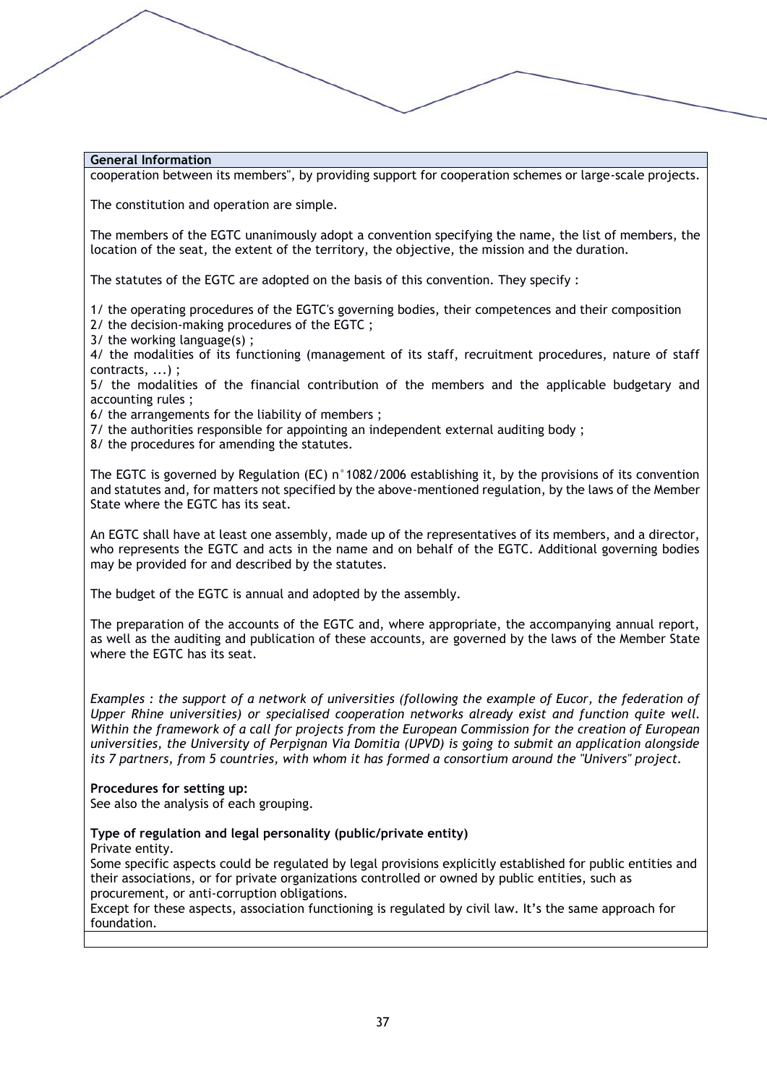cooperation between its members", by providing support for cooperation schemes or large-scale projects.

The constitution and operation are simple.

The members of the EGTC unanimously adopt a convention specifying the name, the list of members, the location of the seat, the extent of the territory, the objective, the mission and the duration.

The statutes of the EGTC are adopted on the basis of this convention. They specify :

1/ the operating procedures of the EGTC's governing bodies, their competences and their composition

2/ the decision-making procedures of the EGTC ;

3/ the working language(s) ;

4/ the modalities of its functioning (management of its staff, recruitment procedures, nature of staff contracts, ...) ;

5/ the modalities of the financial contribution of the members and the applicable budgetary and accounting rules ;

6/ the arrangements for the liability of members ;

7/ the authorities responsible for appointing an independent external auditing body ;

8/ the procedures for amending the statutes.

The EGTC is governed by Regulation (EC) n°1082/2006 establishing it, by the provisions of its convention and statutes and, for matters not specified by the above-mentioned regulation, by the laws of the Member State where the EGTC has its seat.

An EGTC shall have at least one assembly, made up of the representatives of its members, and a director, who represents the EGTC and acts in the name and on behalf of the EGTC. Additional governing bodies may be provided for and described by the statutes.

The budget of the EGTC is annual and adopted by the assembly.

The preparation of the accounts of the EGTC and, where appropriate, the accompanying annual report, as well as the auditing and publication of these accounts, are governed by the laws of the Member State where the EGTC has its seat.

*Examples : the support of a network of universities (following the example of Eucor, the federation of Upper Rhine universities) or specialised cooperation networks already exist and function quite well. Within the framework of a call for projects from the European Commission for the creation of European universities, the University of Perpignan Via Domitia (UPVD) is going to submit an application alongside its 7 partners, from 5 countries, with whom it has formed a consortium around the "Univers" project.*

#### **Procedures for setting up:**

See also the analysis of each grouping.

# **Type of regulation and legal personality (public/private entity)**

Private entity.

Some specific aspects could be regulated by legal provisions explicitly established for public entities and their associations, or for private organizations controlled or owned by public entities, such as procurement, or anti-corruption obligations.

Except for these aspects, association functioning is regulated by civil law. It's the same approach for foundation.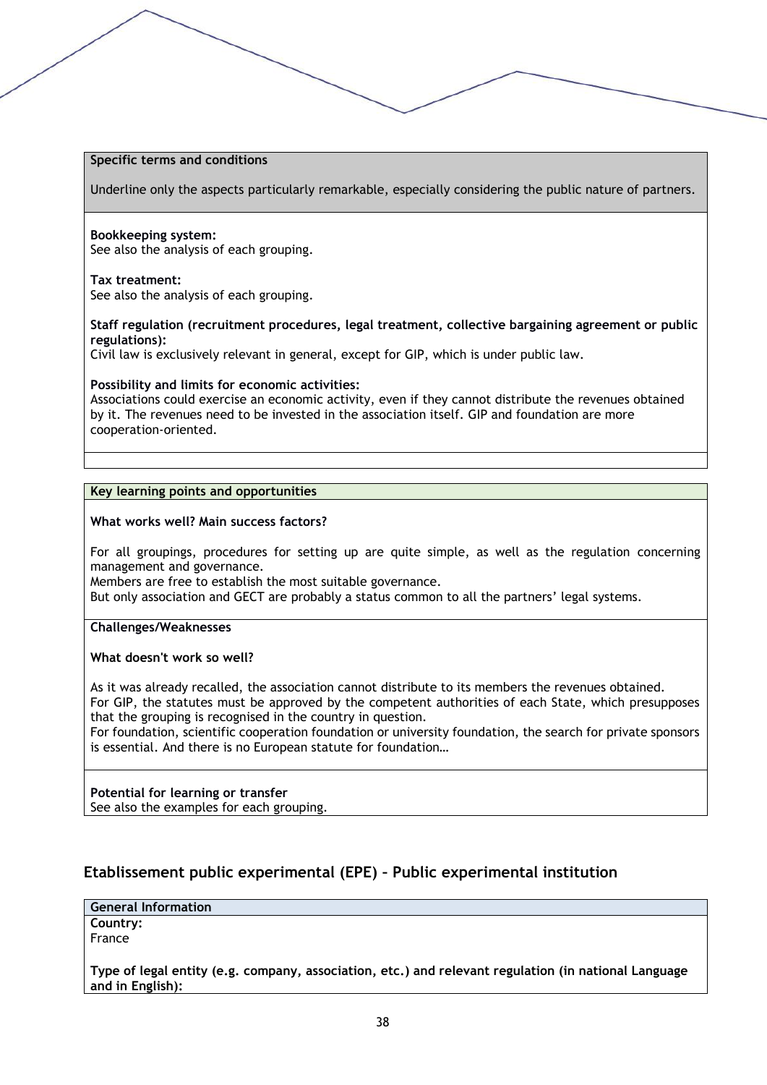#### **Specific terms and conditions**

Underline only the aspects particularly remarkable, especially considering the public nature of partners.

#### **Bookkeeping system:**

See also the analysis of each grouping.

#### **Tax treatment:**

See also the analysis of each grouping.

**Staff regulation (recruitment procedures, legal treatment, collective bargaining agreement or public regulations):**

Civil law is exclusively relevant in general, except for GIP, which is under public law.

#### **Possibility and limits for economic activities:**

Associations could exercise an economic activity, even if they cannot distribute the revenues obtained by it. The revenues need to be invested in the association itself. GIP and foundation are more cooperation-oriented.

#### **Key learning points and opportunities**

#### **What works well? Main success factors?**

For all groupings, procedures for setting up are quite simple, as well as the regulation concerning management and governance.

Members are free to establish the most suitable governance.

But only association and GECT are probably a status common to all the partners' legal systems.

**Challenges/Weaknesses**

#### **What doesn't work so well?**

As it was already recalled, the association cannot distribute to its members the revenues obtained. For GIP, the statutes must be approved by the competent authorities of each State, which presupposes that the grouping is recognised in the country in question.

For foundation, scientific cooperation foundation or university foundation, the search for private sponsors is essential. And there is no European statute for foundation…

#### **Potential for learning or transfer**

See also the examples for each grouping.

# **Etablissement public experimental (EPE) – Public experimental institution**

**General Information**

**Country:** France

**Type of legal entity (e.g. company, association, etc.) and relevant regulation (in national Language and in English):**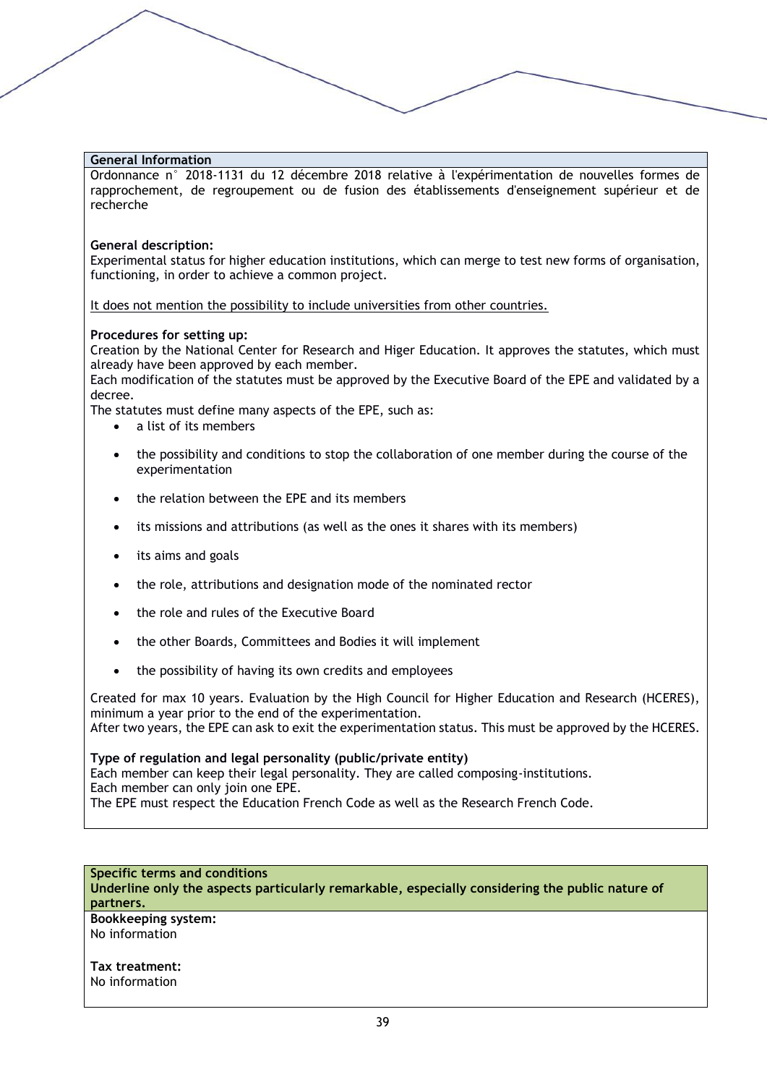Ordonnance n° 2018-1131 du 12 décembre 2018 relative à l'expérimentation de nouvelles formes de rapprochement, de regroupement ou de fusion des établissements d'enseignement supérieur et de recherche

#### **General description:**

Experimental status for higher education institutions, which can merge to test new forms of organisation, functioning, in order to achieve a common project.

It does not mention the possibility to include universities from other countries.

#### **Procedures for setting up:**

Creation by the National Center for Research and Higer Education. It approves the statutes, which must already have been approved by each member.

Each modification of the statutes must be approved by the Executive Board of the EPE and validated by a decree.

The statutes must define many aspects of the EPE, such as:

- a list of its members
- the possibility and conditions to stop the collaboration of one member during the course of the experimentation
- the relation between the EPE and its members
- its missions and attributions (as well as the ones it shares with its members)
- its aims and goals
- the role, attributions and designation mode of the nominated rector
- the role and rules of the Executive Board
- the other Boards, Committees and Bodies it will implement
- the possibility of having its own credits and employees

Created for max 10 years. Evaluation by the High Council for Higher Education and Research (HCERES), minimum a year prior to the end of the experimentation. After two years, the EPE can ask to exit the experimentation status. This must be approved by the HCERES.

**Type of regulation and legal personality (public/private entity)** Each member can keep their legal personality. They are called composing-institutions. Each member can only join one EPE. The EPE must respect the Education French Code as well as the Research French Code.

**Specific terms and conditions Underline only the aspects particularly remarkable, especially considering the public nature of partners.**

**Bookkeeping system:** No information

**Tax treatment:** No information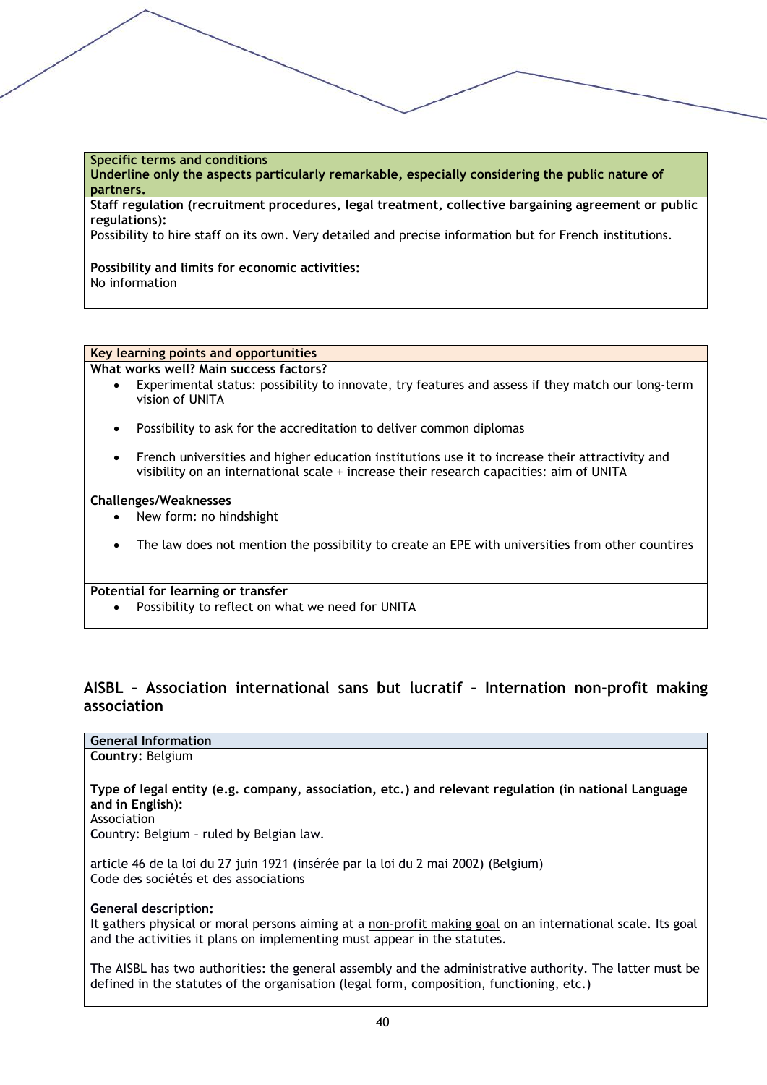### **Specific terms and conditions**

**Underline only the aspects particularly remarkable, especially considering the public nature of partners.**

**Staff regulation (recruitment procedures, legal treatment, collective bargaining agreement or public regulations):**

Possibility to hire staff on its own. Very detailed and precise information but for French institutions.

#### **Possibility and limits for economic activities:** No information

#### **Key learning points and opportunities**

**What works well? Main success factors?**

- Experimental status: possibility to innovate, try features and assess if they match our long-term vision of UNITA
- Possibility to ask for the accreditation to deliver common diplomas
- French universities and higher education institutions use it to increase their attractivity and visibility on an international scale + increase their research capacities: aim of UNITA

#### **Challenges/Weaknesses**

- New form: no hindshight
- The law does not mention the possibility to create an EPE with universities from other countires

#### **Potential for learning or transfer**

• Possibility to reflect on what we need for UNITA

# **AISBL – Association international sans but lucratif – Internation non-profit making association**

# **General Information**

**Country:** Belgium

**Type of legal entity (e.g. company, association, etc.) and relevant regulation (in national Language and in English):** 

Association

**C**ountry: Belgium – ruled by Belgian law.

article 46 de la loi du 27 juin 1921 (insérée par la loi du 2 mai 2002) (Belgium) Code des sociétés et des associations

#### **General description:**

It gathers physical or moral persons aiming at a non-profit making goal on an international scale. Its goal and the activities it plans on implementing must appear in the statutes.

The AISBL has two authorities: the general assembly and the administrative authority. The latter must be defined in the statutes of the organisation (legal form, composition, functioning, etc.)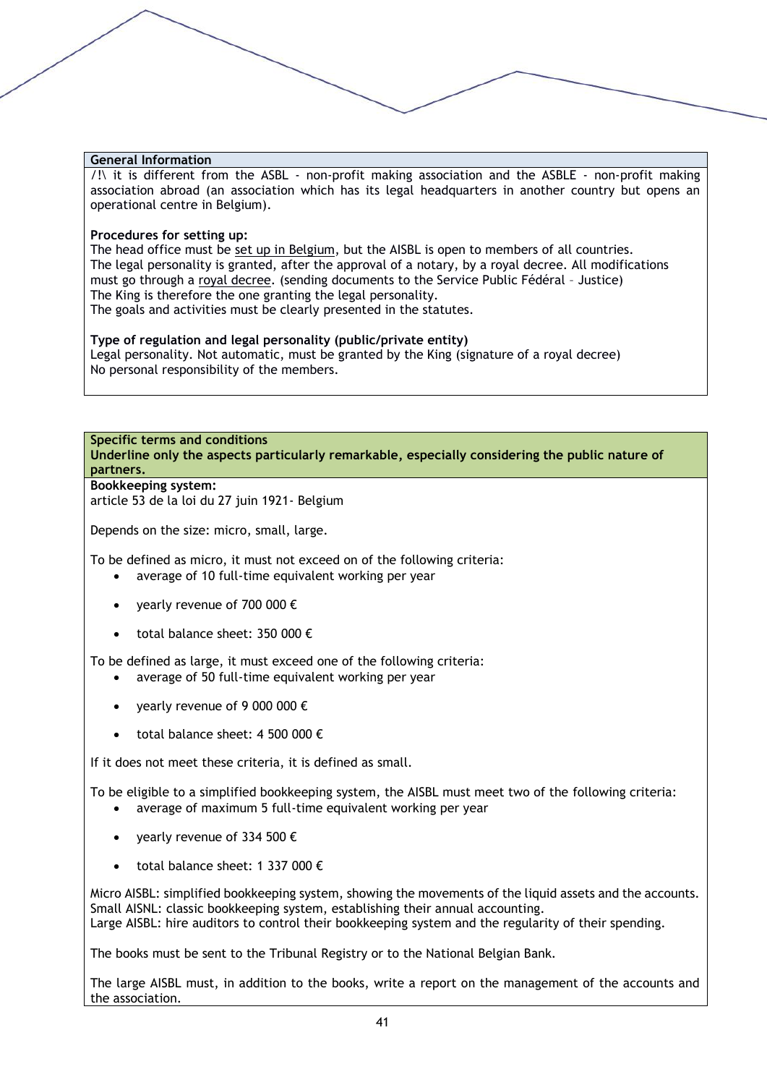/!\ it is different from the ASBL - non-profit making association and the ASBLE - non-profit making association abroad (an association which has its legal headquarters in another country but opens an operational centre in Belgium).

#### **Procedures for setting up:**

The head office must be set up in Belgium, but the AISBL is open to members of all countries. The legal personality is granted, after the approval of a notary, by a royal decree. All modifications must go through a royal decree. (sending documents to the Service Public Fédéral – Justice) The King is therefore the one granting the legal personality. The goals and activities must be clearly presented in the statutes.

#### **Type of regulation and legal personality (public/private entity)**

Legal personality. Not automatic, must be granted by the King (signature of a royal decree) No personal responsibility of the members.

#### **Specific terms and conditions**

**Underline only the aspects particularly remarkable, especially considering the public nature of partners.**

#### **Bookkeeping system:**

article 53 de la loi du 27 juin 1921- Belgium

Depends on the size: micro, small, large.

To be defined as micro, it must not exceed on of the following criteria:

- average of 10 full-time equivalent working per year
- yearly revenue of 700 000  $\epsilon$
- total balance sheet: 350 000  $\epsilon$

To be defined as large, it must exceed one of the following criteria:

- average of 50 full-time equivalent working per year
- vearly revenue of 9 000 000  $\epsilon$
- total balance sheet: 4 500 000  $\epsilon$

If it does not meet these criteria, it is defined as small.

To be eligible to a simplified bookkeeping system, the AISBL must meet two of the following criteria:

- average of maximum 5 full-time equivalent working per year
- yearly revenue of 334 500 €
- total balance sheet: 1 337 000  $\epsilon$

Micro AISBL: simplified bookkeeping system, showing the movements of the liquid assets and the accounts. Small AISNL: classic bookkeeping system, establishing their annual accounting. Large AISBL: hire auditors to control their bookkeeping system and the regularity of their spending.

The books must be sent to the Tribunal Registry or to the National Belgian Bank.

The large AISBL must, in addition to the books, write a report on the management of the accounts and the association.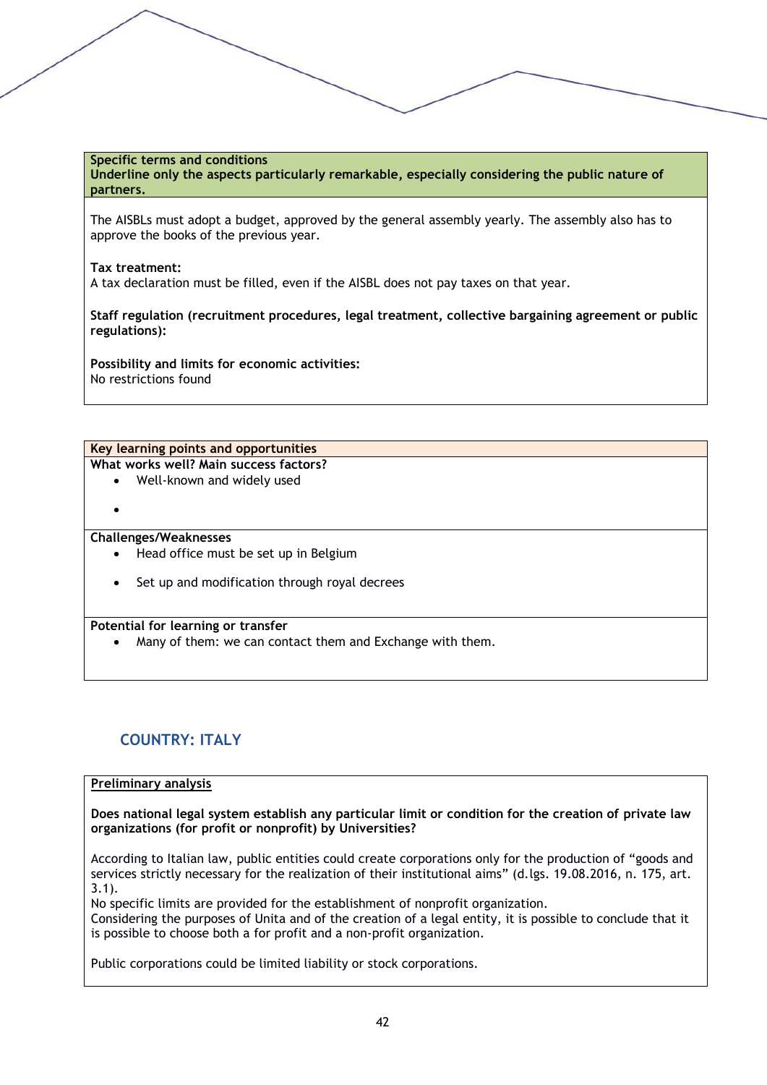# **Specific terms and conditions**

**Underline only the aspects particularly remarkable, especially considering the public nature of partners.**

The AISBLs must adopt a budget, approved by the general assembly yearly. The assembly also has to approve the books of the previous year.

#### **Tax treatment:**

A tax declaration must be filled, even if the AISBL does not pay taxes on that year.

**Staff regulation (recruitment procedures, legal treatment, collective bargaining agreement or public regulations):**

**Possibility and limits for economic activities:** No restrictions found

**Key learning points and opportunities What works well? Main success factors?**

- Well-known and widely used
- •

### **Challenges/Weaknesses**

- Head office must be set up in Belgium
- Set up and modification through royal decrees

#### **Potential for learning or transfer**

Many of them: we can contact them and Exchange with them.

# **COUNTRY: ITALY**

#### **Preliminary analysis**

**Does national legal system establish any particular limit or condition for the creation of private law organizations (for profit or nonprofit) by Universities?**

According to Italian law, public entities could create corporations only for the production of "goods and services strictly necessary for the realization of their institutional aims" (d.lgs. 19.08.2016, n. 175, art. 3.1).

No specific limits are provided for the establishment of nonprofit organization. Considering the purposes of Unita and of the creation of a legal entity, it is possible to conclude that it is possible to choose both a for profit and a non-profit organization.

Public corporations could be limited liability or stock corporations.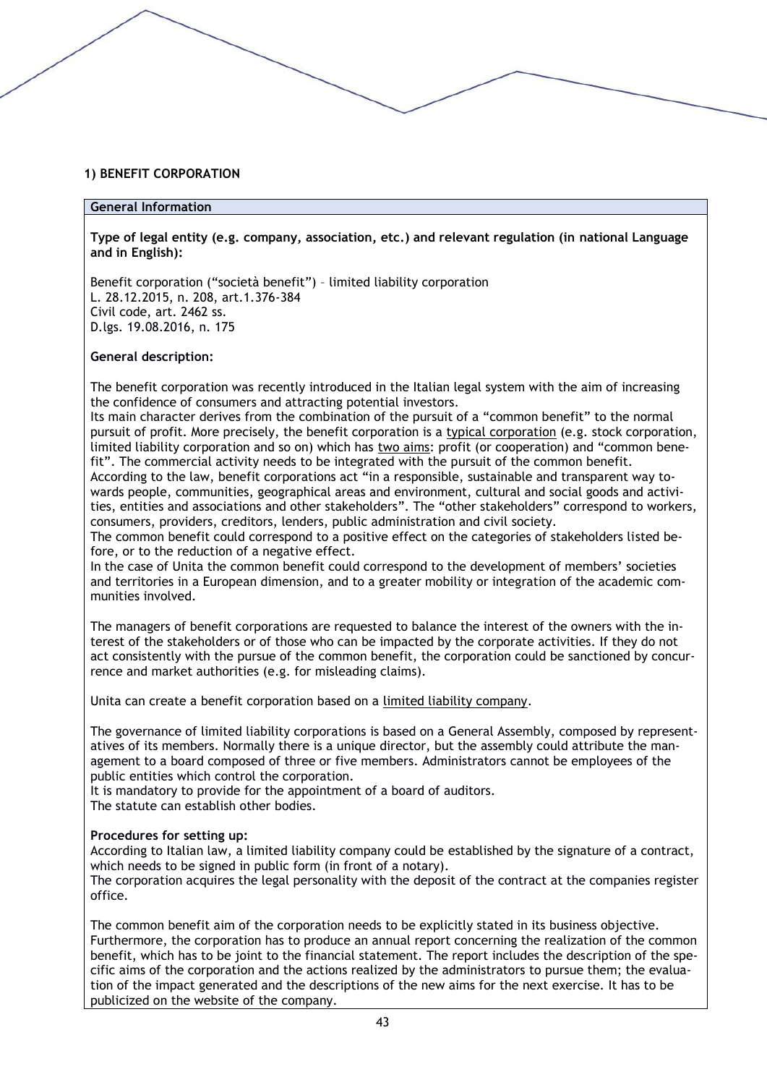#### **1) BENEFIT CORPORATION**

#### **General Information**

**Type of legal entity (e.g. company, association, etc.) and relevant regulation (in national Language and in English):** 

Benefit corporation ("società benefit") – limited liability corporation L. 28.12.2015, n. 208, art.1.376-384 Civil code, art. 2462 ss. D.lgs. 19.08.2016, n. 175

#### **General description:**

The benefit corporation was recently introduced in the Italian legal system with the aim of increasing the confidence of consumers and attracting potential investors.

Its main character derives from the combination of the pursuit of a "common benefit" to the normal pursuit of profit. More precisely, the benefit corporation is a typical corporation (e.g. stock corporation, limited liability corporation and so on) which has two aims: profit (or cooperation) and "common benefit". The commercial activity needs to be integrated with the pursuit of the common benefit. According to the law, benefit corporations act "in a responsible, sustainable and transparent way towards people, communities, geographical areas and environment, cultural and social goods and activities, entities and associations and other stakeholders". The "other stakeholders" correspond to workers, consumers, providers, creditors, lenders, public administration and civil society.

The common benefit could correspond to a positive effect on the categories of stakeholders listed before, or to the reduction of a negative effect.

In the case of Unita the common benefit could correspond to the development of members' societies and territories in a European dimension, and to a greater mobility or integration of the academic communities involved.

The managers of benefit corporations are requested to balance the interest of the owners with the interest of the stakeholders or of those who can be impacted by the corporate activities. If they do not act consistently with the pursue of the common benefit, the corporation could be sanctioned by concurrence and market authorities (e.g. for misleading claims).

Unita can create a benefit corporation based on a limited liability company.

The governance of limited liability corporations is based on a General Assembly, composed by representatives of its members. Normally there is a unique director, but the assembly could attribute the management to a board composed of three or five members. Administrators cannot be employees of the public entities which control the corporation.

It is mandatory to provide for the appointment of a board of auditors.

The statute can establish other bodies.

#### **Procedures for setting up:**

According to Italian law, a limited liability company could be established by the signature of a contract, which needs to be signed in public form (in front of a notary).

The corporation acquires the legal personality with the deposit of the contract at the companies register office.

The common benefit aim of the corporation needs to be explicitly stated in its business objective. Furthermore, the corporation has to produce an annual report concerning the realization of the common benefit, which has to be joint to the financial statement. The report includes the description of the specific aims of the corporation and the actions realized by the administrators to pursue them; the evaluation of the impact generated and the descriptions of the new aims for the next exercise. It has to be publicized on the website of the company.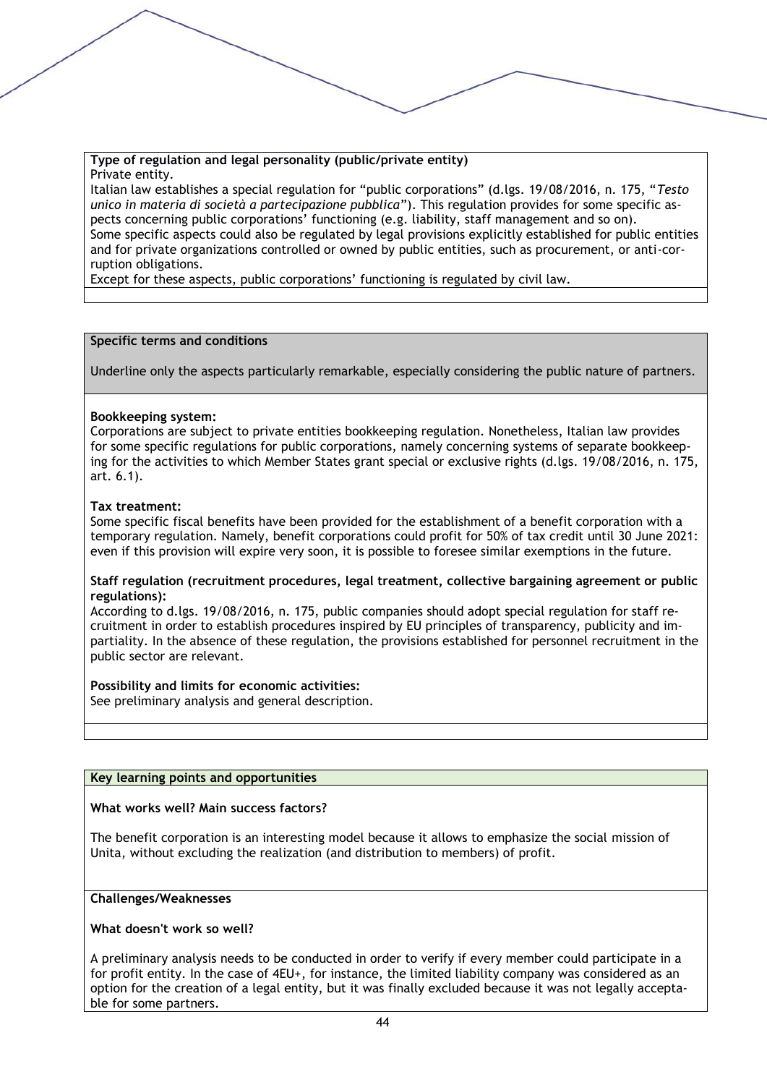#### **Type of regulation and legal personality (public/private entity)** Private entity.

Italian law establishes a special regulation for "public corporations" (d.lgs. 19/08/2016, n. 175, "*Testo unico in materia di società a partecipazione pubblica*"). This regulation provides for some specific aspects concerning public corporations' functioning (e.g. liability, staff management and so on). Some specific aspects could also be regulated by legal provisions explicitly established for public entities and for private organizations controlled or owned by public entities, such as procurement, or anti-corruption obligations.

Except for these aspects, public corporations' functioning is regulated by civil law.

## **Specific terms and conditions**

Underline only the aspects particularly remarkable, especially considering the public nature of partners.

## **Bookkeeping system:**

Corporations are subject to private entities bookkeeping regulation. Nonetheless, Italian law provides for some specific regulations for public corporations, namely concerning systems of separate bookkeeping for the activities to which Member States grant special or exclusive rights (d.lgs. 19/08/2016, n. 175, art. 6.1).

## **Tax treatment:**

Some specific fiscal benefits have been provided for the establishment of a benefit corporation with a temporary regulation. Namely, benefit corporations could profit for 50% of tax credit until 30 June 2021: even if this provision will expire very soon, it is possible to foresee similar exemptions in the future.

#### **Staff regulation (recruitment procedures, legal treatment, collective bargaining agreement or public regulations):**

According to d.lgs. 19/08/2016, n. 175, public companies should adopt special regulation for staff recruitment in order to establish procedures inspired by EU principles of transparency, publicity and impartiality. In the absence of these regulation, the provisions established for personnel recruitment in the public sector are relevant.

#### **Possibility and limits for economic activities:**

See preliminary analysis and general description.

#### **Key learning points and opportunities**

#### **What works well? Main success factors?**

The benefit corporation is an interesting model because it allows to emphasize the social mission of Unita, without excluding the realization (and distribution to members) of profit.

#### **Challenges/Weaknesses**

#### **What doesn't work so well?**

A preliminary analysis needs to be conducted in order to verify if every member could participate in a for profit entity. In the case of 4EU+, for instance, the limited liability company was considered as an option for the creation of a legal entity, but it was finally excluded because it was not legally acceptable for some partners.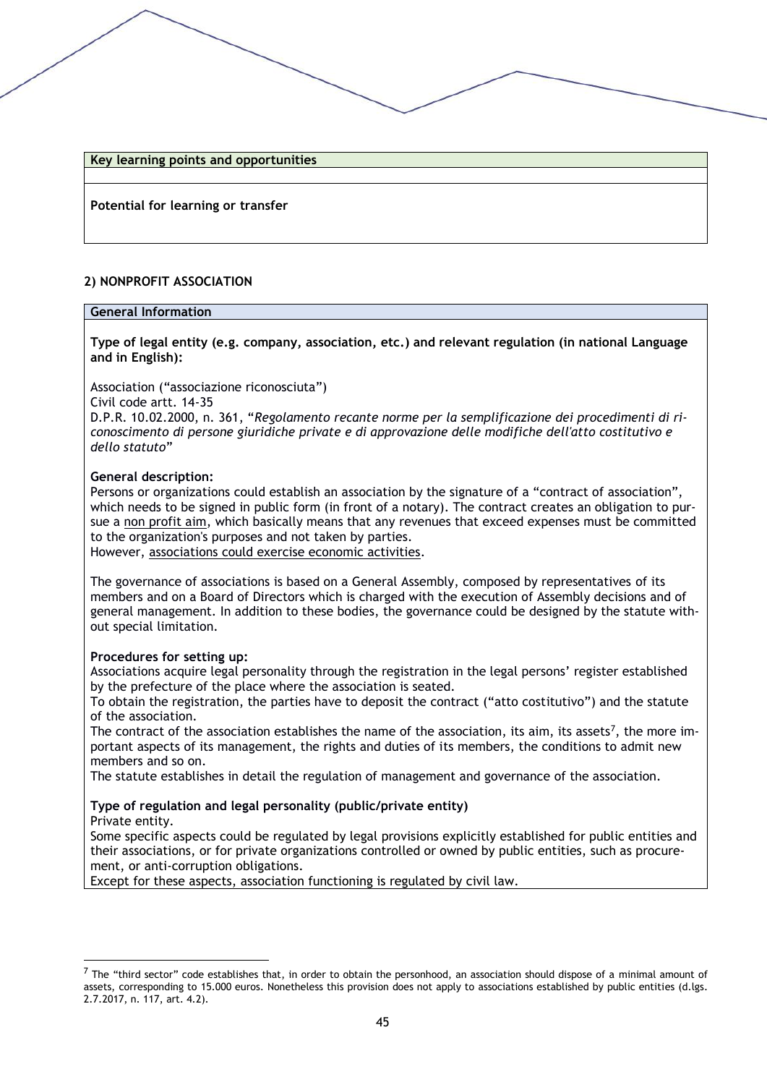#### **Key learning points and opportunities**

**Potential for learning or transfer** 

## **2) NONPROFIT ASSOCIATION**

#### **General Information**

**Type of legal entity (e.g. company, association, etc.) and relevant regulation (in national Language and in English):** 

Association ("associazione riconosciuta")

Civil code artt. 14-35

D.P.R. 10.02.2000, n. 361, "*Regolamento recante norme per la semplificazione dei procedimenti di riconoscimento di persone giuridiche private e di approvazione delle modifiche dell'atto costitutivo e dello statuto*"

#### **General description:**

Persons or organizations could establish an association by the signature of a "contract of association", which needs to be signed in public form (in front of a notary). The contract creates an obligation to pursue a non profit aim, which basically means that any revenues that exceed expenses must be committed to the organization's purposes and not taken by parties. However, associations could exercise economic activities.

The governance of associations is based on a General Assembly, composed by representatives of its members and on a Board of Directors which is charged with the execution of Assembly decisions and of general management. In addition to these bodies, the governance could be designed by the statute without special limitation.

#### **Procedures for setting up:**

Associations acquire legal personality through the registration in the legal persons' register established by the prefecture of the place where the association is seated.

To obtain the registration, the parties have to deposit the contract ("atto costitutivo") and the statute of the association.

The contract of the association establishes the name of the association, its aim, its assets<sup>7</sup>, the more important aspects of its management, the rights and duties of its members, the conditions to admit new members and so on.

The statute establishes in detail the regulation of management and governance of the association.

# **Type of regulation and legal personality (public/private entity)**

Private entity.

Some specific aspects could be regulated by legal provisions explicitly established for public entities and their associations, or for private organizations controlled or owned by public entities, such as procurement, or anti-corruption obligations.

Except for these aspects, association functioning is regulated by civil law.

 $<sup>7</sup>$  The "third sector" code establishes that, in order to obtain the personhood, an association should dispose of a minimal amount of</sup> assets, corresponding to 15.000 euros. Nonetheless this provision does not apply to associations established by public entities (d.lgs. 2.7.2017, n. 117, art. 4.2).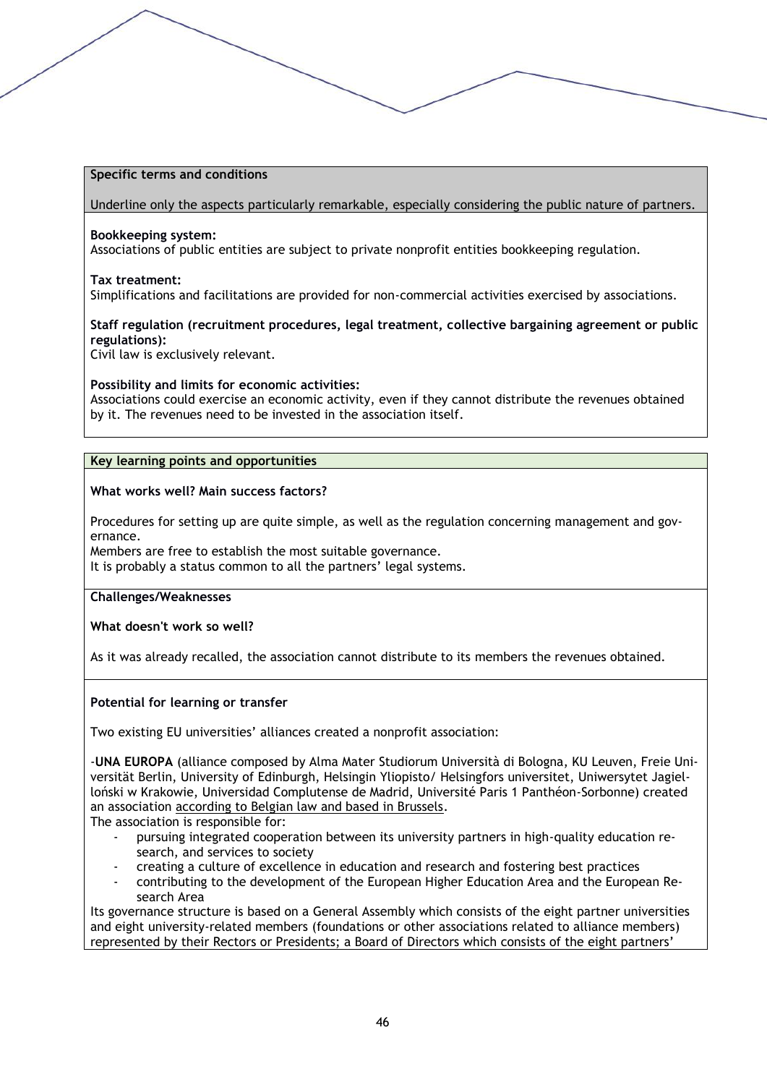#### **Specific terms and conditions**

Underline only the aspects particularly remarkable, especially considering the public nature of partners.

#### **Bookkeeping system:**

Associations of public entities are subject to private nonprofit entities bookkeeping regulation.

#### **Tax treatment:**

Simplifications and facilitations are provided for non-commercial activities exercised by associations.

#### **Staff regulation (recruitment procedures, legal treatment, collective bargaining agreement or public regulations):**

Civil law is exclusively relevant.

#### **Possibility and limits for economic activities:**

Associations could exercise an economic activity, even if they cannot distribute the revenues obtained by it. The revenues need to be invested in the association itself.

# **Key learning points and opportunities**

#### **What works well? Main success factors?**

Procedures for setting up are quite simple, as well as the regulation concerning management and governance.

Members are free to establish the most suitable governance.

It is probably a status common to all the partners' legal systems.

#### **Challenges/Weaknesses**

**What doesn't work so well?**

As it was already recalled, the association cannot distribute to its members the revenues obtained.

#### **Potential for learning or transfer**

Two existing EU universities' alliances created a nonprofit association:

-**UNA EUROPA** (alliance composed by Alma Mater Studiorum Università di Bologna, KU Leuven, Freie Universität Berlin, University of Edinburgh, Helsingin Yliopisto/ Helsingfors universitet, Uniwersytet Jagielloński w Krakowie, Universidad Complutense de Madrid, Université Paris 1 Panthéon-Sorbonne) created an association according to Belgian law and based in Brussels.

The association is responsible for:

- pursuing integrated cooperation between its university partners in high-quality education research, and services to society
- creating a culture of excellence in education and research and fostering best practices
- contributing to the development of the European Higher Education Area and the European Research Area

Its governance structure is based on a General Assembly which consists of the eight partner universities and eight university-related members (foundations or other associations related to alliance members) represented by their Rectors or Presidents; a Board of Directors which consists of the eight partners'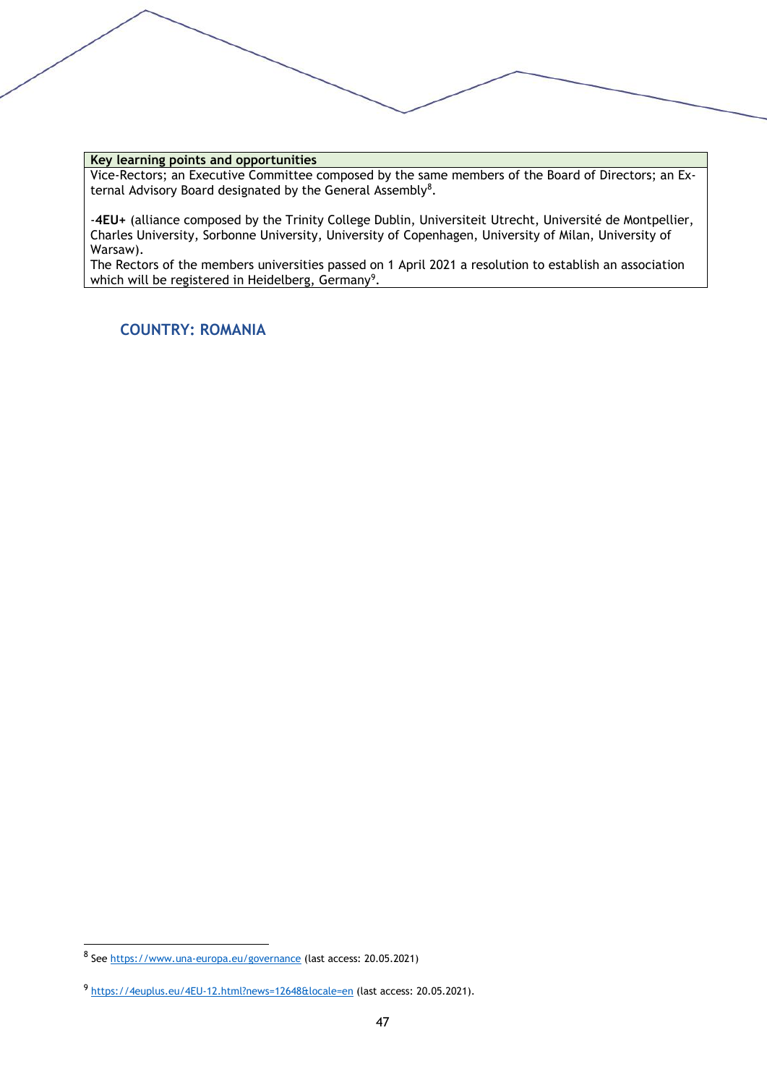#### **Key learning points and opportunities**

Vice-Rectors; an Executive Committee composed by the same members of the Board of Directors; an External Advisory Board designated by the General Assembly<sup>8</sup>.

-**4EU+** (alliance composed by the Trinity College Dublin, Universiteit Utrecht, Université de Montpellier, Charles University, Sorbonne University, University of Copenhagen, University of Milan, University of Warsaw).

The Rectors of the members universities passed on 1 April 2021 a resolution to establish an association which will be registered in Heidelberg, Germany $^9\!\!$  .

# **COUNTRY: ROMANIA**

<sup>8</sup> See<https://www.una-europa.eu/governance> (last access: 20.05.2021)

<sup>9</sup> <https://4euplus.eu/4EU-12.html?news=12648&locale=en> (last access: 20.05.2021).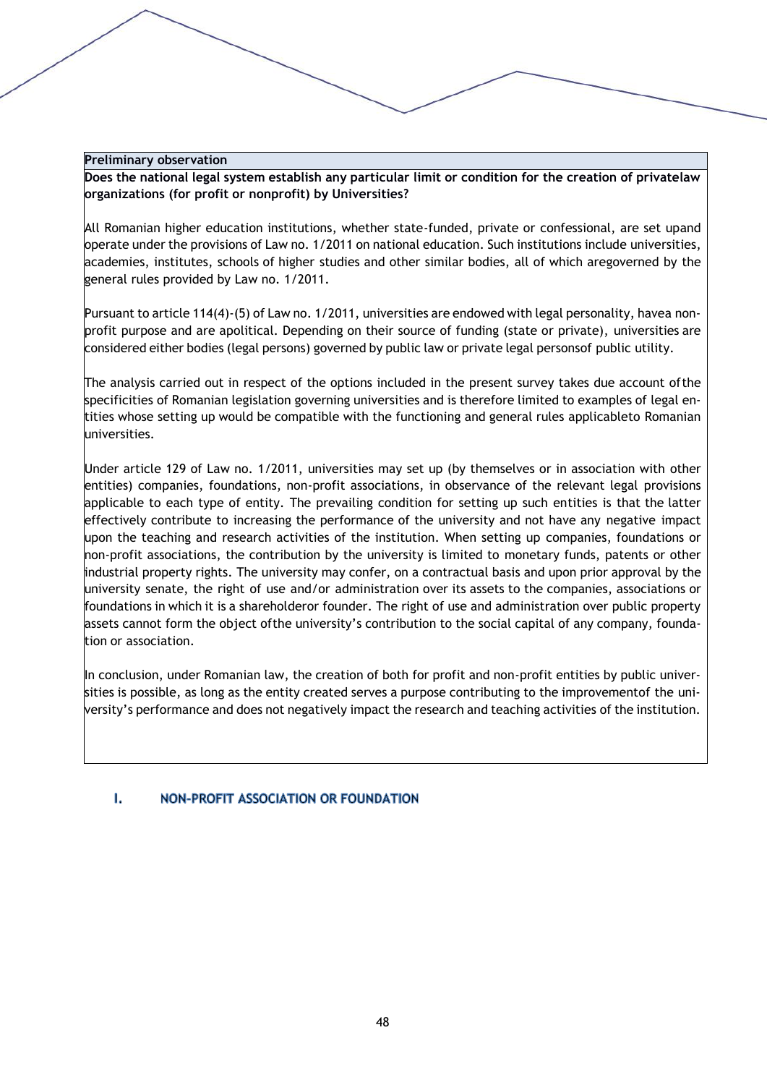#### **Preliminary observation**

**Does the national legal system establish any particular limit or condition for the creation of privatelaw organizations (for profit or nonprofit) by Universities?**

All Romanian higher education institutions, whether state-funded, private or confessional, are set upand operate under the provisions of Law no. 1/2011 on national education. Such institutions include universities, academies, institutes, schools of higher studies and other similar bodies, all of which aregoverned by the general rules provided by Law no. 1/2011.

Pursuant to article 114(4)-(5) of Law no. 1/2011, universities are endowed with legal personality, havea nonprofit purpose and are apolitical. Depending on their source of funding (state or private), universities are considered either bodies (legal persons) governed by public law or private legal personsof public utility.

The analysis carried out in respect of the options included in the present survey takes due account ofthe specificities of Romanian legislation governing universities and is therefore limited to examples of legal entities whose setting up would be compatible with the functioning and general rules applicableto Romanian universities.

Under article 129 of Law no. 1/2011, universities may set up (by themselves or in association with other entities) companies, foundations, non-profit associations, in observance of the relevant legal provisions applicable to each type of entity. The prevailing condition for setting up such entities is that the latter effectively contribute to increasing the performance of the university and not have any negative impact upon the teaching and research activities of the institution. When setting up companies, foundations or non-profit associations, the contribution by the university is limited to monetary funds, patents or other industrial property rights. The university may confer, on a contractual basis and upon prior approval by the university senate, the right of use and/or administration over its assets to the companies, associations or foundations in which it is a shareholderor founder. The right of use and administration over public property assets cannot form the object ofthe university's contribution to the social capital of any company, foundation or association.

In conclusion, under Romanian law, the creation of both for profit and non-profit entities by public universities is possible, as long as the entity created serves a purpose contributing to the improvementof the university's performance and does not negatively impact the research and teaching activities of the institution.

#### $\mathbf{L}$ NON-PROFIT ASSOCIATION OR FOUNDATION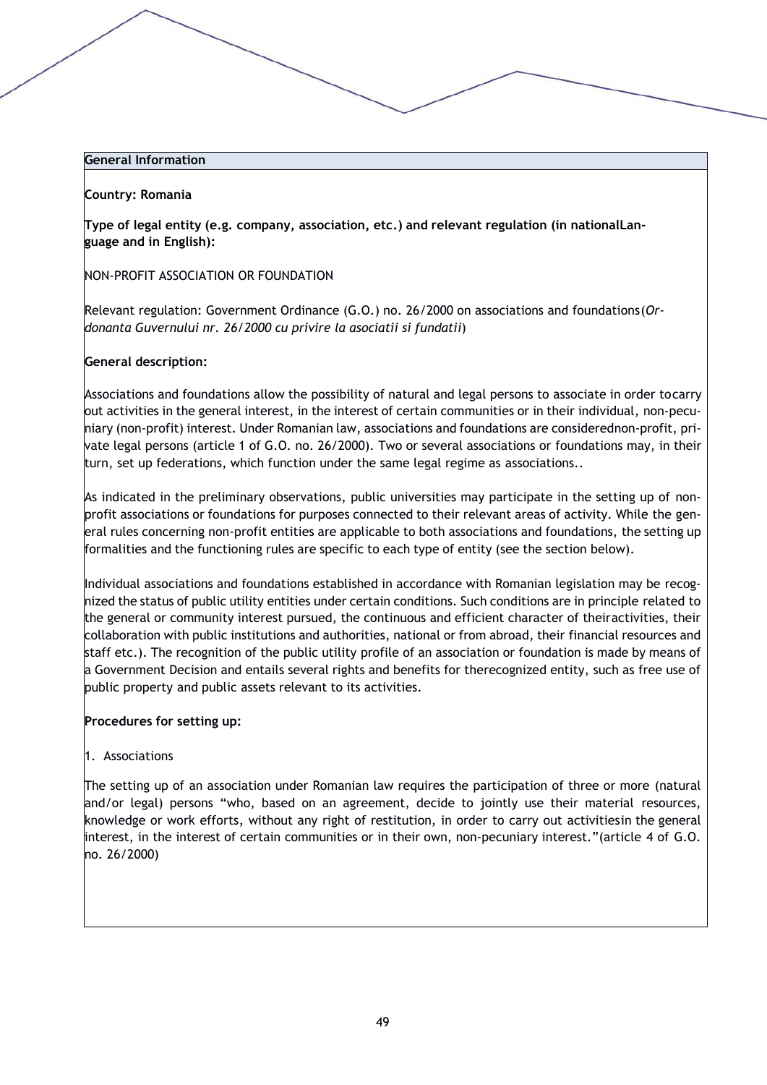#### **Country: Romania**

**Type of legal entity (e.g. company, association, etc.) and relevant regulation (in nationalLanguage and in English):**

#### NON-PROFIT ASSOCIATION OR FOUNDATION

Relevant regulation: Government Ordinance (G.O.) no. 26/2000 on associations and foundations(*Ordonanta Guvernului nr. 26/2000 cu privire la asociatii si fundatii*)

#### **General description:**

Associations and foundations allow the possibility of natural and legal persons to associate in order tocarry out activities in the general interest, in the interest of certain communities or in their individual, non-pecuniary (non-profit) interest. Under Romanian law, associations and foundations are considerednon-profit, private legal persons (article 1 of G.O. no. 26/2000). Two or several associations or foundations may, in their turn, set up federations, which function under the same legal regime as associations..

As indicated in the preliminary observations, public universities may participate in the setting up of nonprofit associations or foundations for purposes connected to their relevant areas of activity. While the general rules concerning non-profit entities are applicable to both associations and foundations, the setting up formalities and the functioning rules are specific to each type of entity (see the section below).

Individual associations and foundations established in accordance with Romanian legislation may be recognized the status of public utility entities under certain conditions. Such conditions are in principle related to the general or community interest pursued, the continuous and efficient character of theiractivities, their collaboration with public institutions and authorities, national or from abroad, their financial resources and staff etc.). The recognition of the public utility profile of an association or foundation is made by means of a Government Decision and entails several rights and benefits for therecognized entity, such as free use of public property and public assets relevant to its activities.

#### **Procedures for setting up:**

1. Associations

The setting up of an association under Romanian law requires the participation of three or more (natural and/or legal) persons "who, based on an agreement, decide to jointly use their material resources, knowledge or work efforts, without any right of restitution, in order to carry out activitiesin the general interest, in the interest of certain communities or in their own, non-pecuniary interest."(article 4 of G.O. no. 26/2000)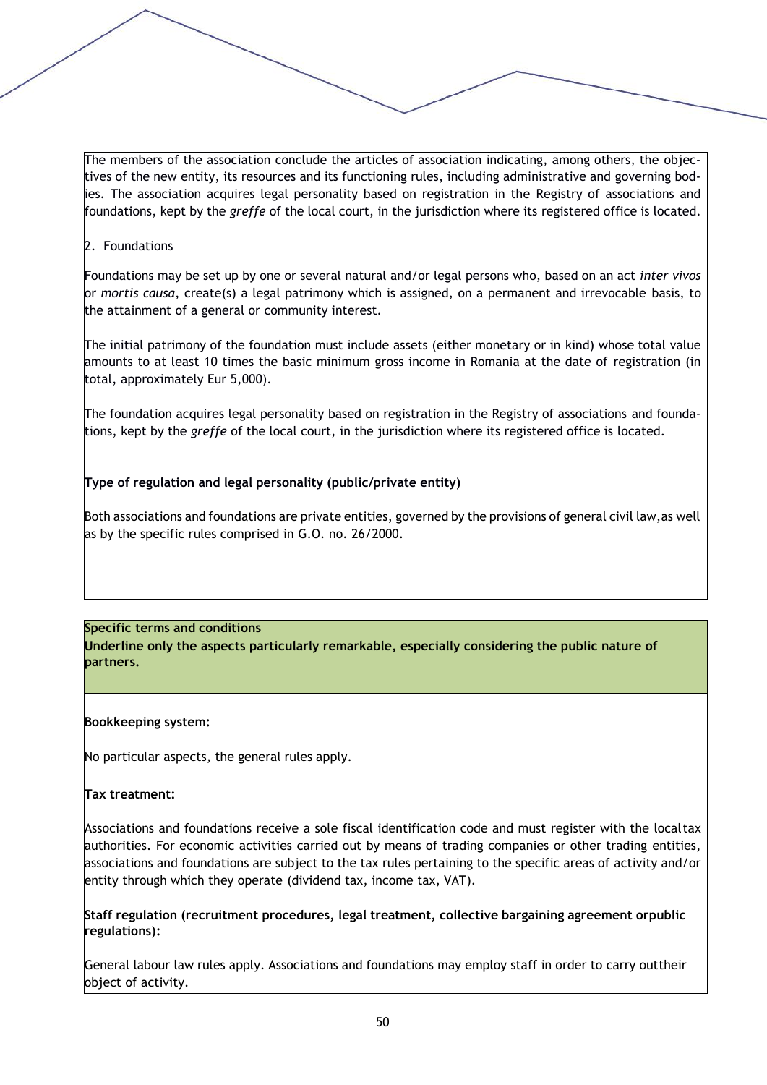The members of the association conclude the articles of association indicating, among others, the objectives of the new entity, its resources and its functioning rules, including administrative and governing bodies. The association acquires legal personality based on registration in the Registry of associations and foundations, kept by the *greffe* of the local court, in the jurisdiction where its registered office is located.

## 2. Foundations

Foundations may be set up by one or several natural and/or legal persons who, based on an act *inter vivos*  or *mortis causa*, create(s) a legal patrimony which is assigned, on a permanent and irrevocable basis, to the attainment of a general or community interest.

The initial patrimony of the foundation must include assets (either monetary or in kind) whose total value amounts to at least 10 times the basic minimum gross income in Romania at the date of registration (in total, approximately Eur 5,000).

The foundation acquires legal personality based on registration in the Registry of associations and foundations, kept by the *greffe* of the local court, in the jurisdiction where its registered office is located.

# **Type of regulation and legal personality (public/private entity)**

Both associations and foundations are private entities, governed by the provisions of general civil law,as well as by the specific rules comprised in G.O. no. 26/2000.

#### **Specific terms and conditions**

**Underline only the aspects particularly remarkable, especially considering the public nature of partners.**

#### **Bookkeeping system:**

No particular aspects, the general rules apply.

#### **Tax treatment:**

Associations and foundations receive a sole fiscal identification code and must register with the localtax authorities. For economic activities carried out by means of trading companies or other trading entities, associations and foundations are subject to the tax rules pertaining to the specific areas of activity and/or entity through which they operate (dividend tax, income tax, VAT).

**Staff regulation (recruitment procedures, legal treatment, collective bargaining agreement orpublic regulations):**

General labour law rules apply. Associations and foundations may employ staff in order to carry outtheir object of activity.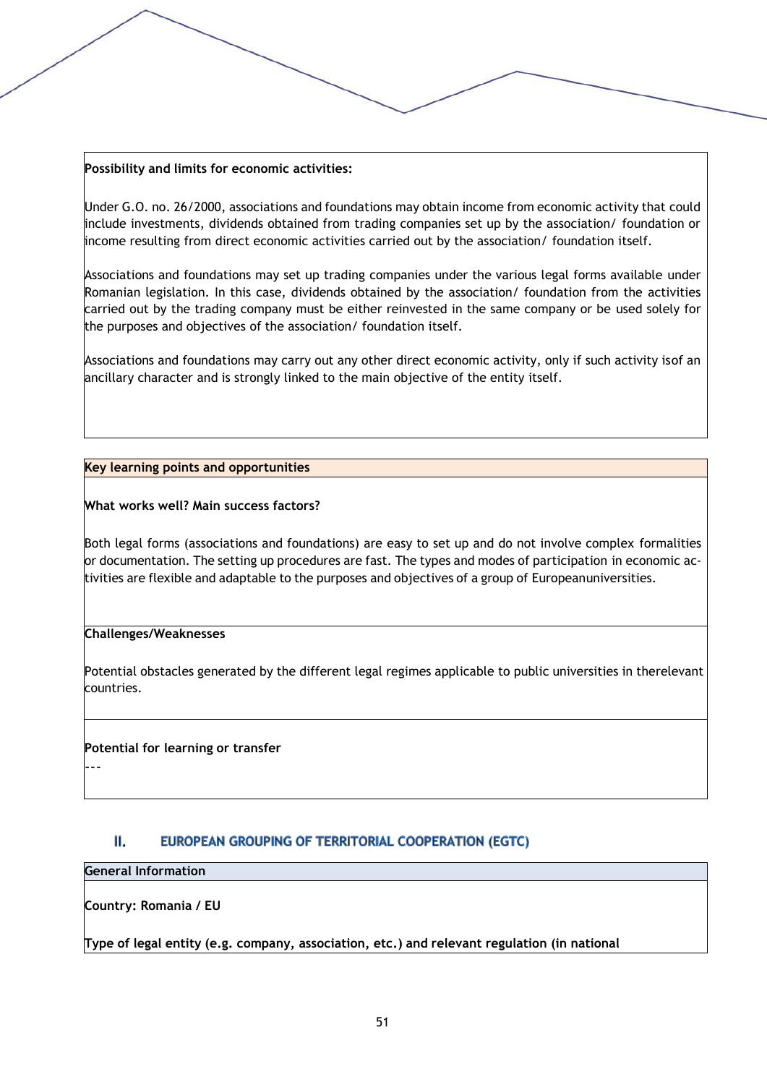### **Possibility and limits for economic activities:**

Under G.O. no. 26/2000, associations and foundations may obtain income from economic activity that could include investments, dividends obtained from trading companies set up by the association/ foundation or income resulting from direct economic activities carried out by the association/ foundation itself.

Associations and foundations may set up trading companies under the various legal forms available under Romanian legislation. In this case, dividends obtained by the association/ foundation from the activities carried out by the trading company must be either reinvested in the same company or be used solely for the purposes and objectives of the association/ foundation itself.

Associations and foundations may carry out any other direct economic activity, only if such activity isof an ancillary character and is strongly linked to the main objective of the entity itself.

## **Key learning points and opportunities**

**What works well? Main success factors?**

Both legal forms (associations and foundations) are easy to set up and do not involve complex formalities or documentation. The setting up procedures are fast. The types and modes of participation in economic activities are flexible and adaptable to the purposes and objectives of a group of Europeanuniversities.

#### **Challenges/Weaknesses**

Potential obstacles generated by the different legal regimes applicable to public universities in therelevant countries.

#### **Potential for learning or transfer**

#### 11. EUROPEAN GROUPING OF TERRITORIAL COOPERATION (EGTC)

# **General Information**

---

**Country: Romania / EU**

**Type of legal entity (e.g. company, association, etc.) and relevant regulation (in national**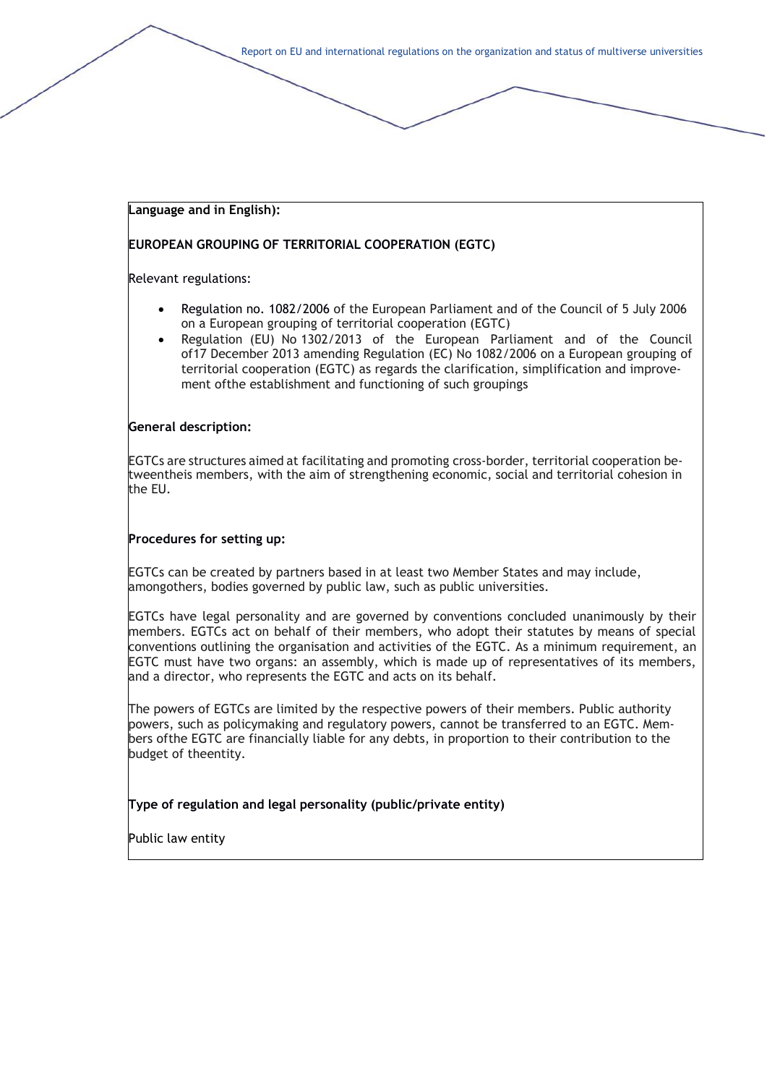#### **Language and in English):**

### **EUROPEAN GROUPING OF TERRITORIAL COOPERATION (EGTC)**

Relevant regulations:

- Regulation no. 1082/2006 of the European Parliament and of the Council of 5 July 2006 on a European grouping of territorial cooperation (EGTC)
- Regulation (EU) No 1302/2013 of the European Parliament and of the Council of17 December 2013 amending Regulation (EC) No 1082/2006 on a European grouping of territorial cooperation (EGTC) as regards the clarification, simplification and improvement ofthe establishment and functioning of such groupings

#### **General description:**

EGTCs are structures aimed at facilitating and promoting cross-border, territorial cooperation betweentheis members, with the aim of strengthening economic, social and territorial cohesion in the EU.

#### **Procedures for setting up:**

EGTCs can be created by partners based in at least two Member States and may include, amongothers, bodies governed by public law, such as public universities.

EGTCs have legal personality and are governed by conventions concluded unanimously by their members. EGTCs act on behalf of their members, who adopt their statutes by means of special conventions outlining the organisation and activities of the EGTC. As a minimum requirement, an EGTC must have two organs: an assembly, which is made up of representatives of its members, and a director, who represents the EGTC and acts on its behalf.

The powers of EGTCs are limited by the respective powers of their members. Public authority powers, such as policymaking and regulatory powers, cannot be transferred to an EGTC. Members ofthe EGTC are financially liable for any debts, in proportion to their contribution to the budget of theentity.

**Type of regulation and legal personality (public/private entity)**

Public law entity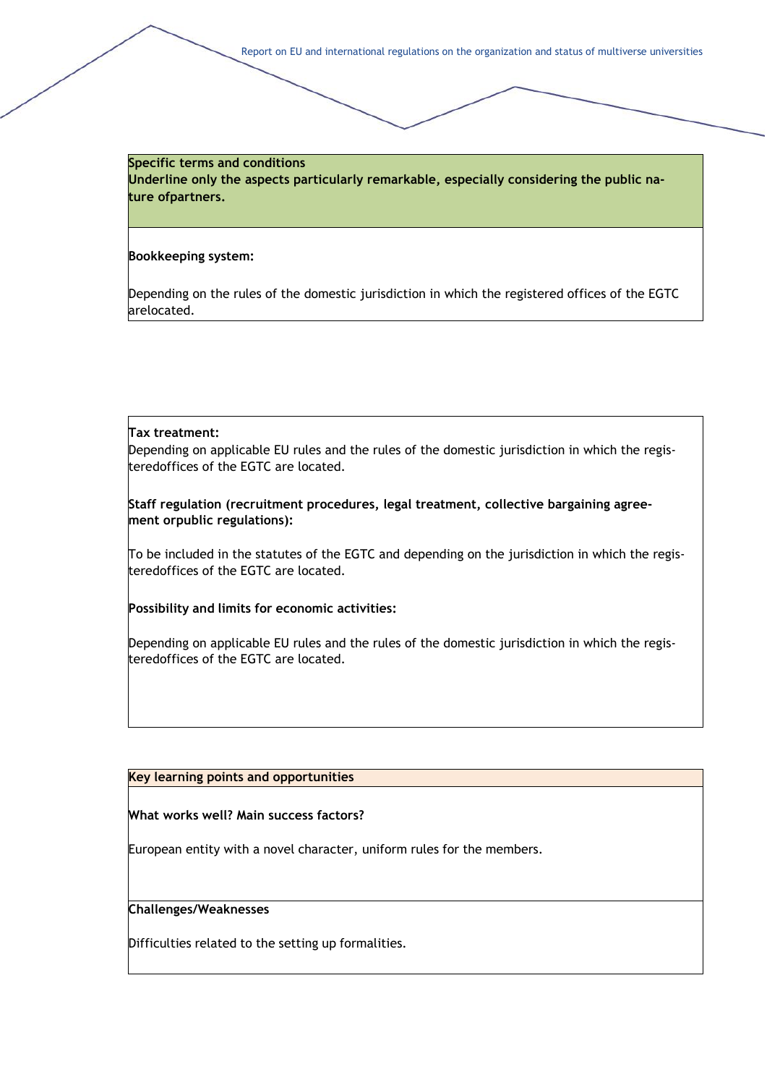**Specific terms and conditions Underline only the aspects particularly remarkable, especially considering the public nature ofpartners.**

#### **Bookkeeping system:**

Depending on the rules of the domestic jurisdiction in which the registered offices of the EGTC arelocated.

#### **Tax treatment:**

Depending on applicable EU rules and the rules of the domestic jurisdiction in which the registeredoffices of the EGTC are located.

**Staff regulation (recruitment procedures, legal treatment, collective bargaining agreement orpublic regulations):**

To be included in the statutes of the EGTC and depending on the jurisdiction in which the registeredoffices of the EGTC are located.

**Possibility and limits for economic activities:**

Depending on applicable EU rules and the rules of the domestic jurisdiction in which the registeredoffices of the EGTC are located.

#### **Key learning points and opportunities**

#### **What works well? Main success factors?**

European entity with a novel character, uniform rules for the members.

# **Challenges/Weaknesses**

Difficulties related to the setting up formalities.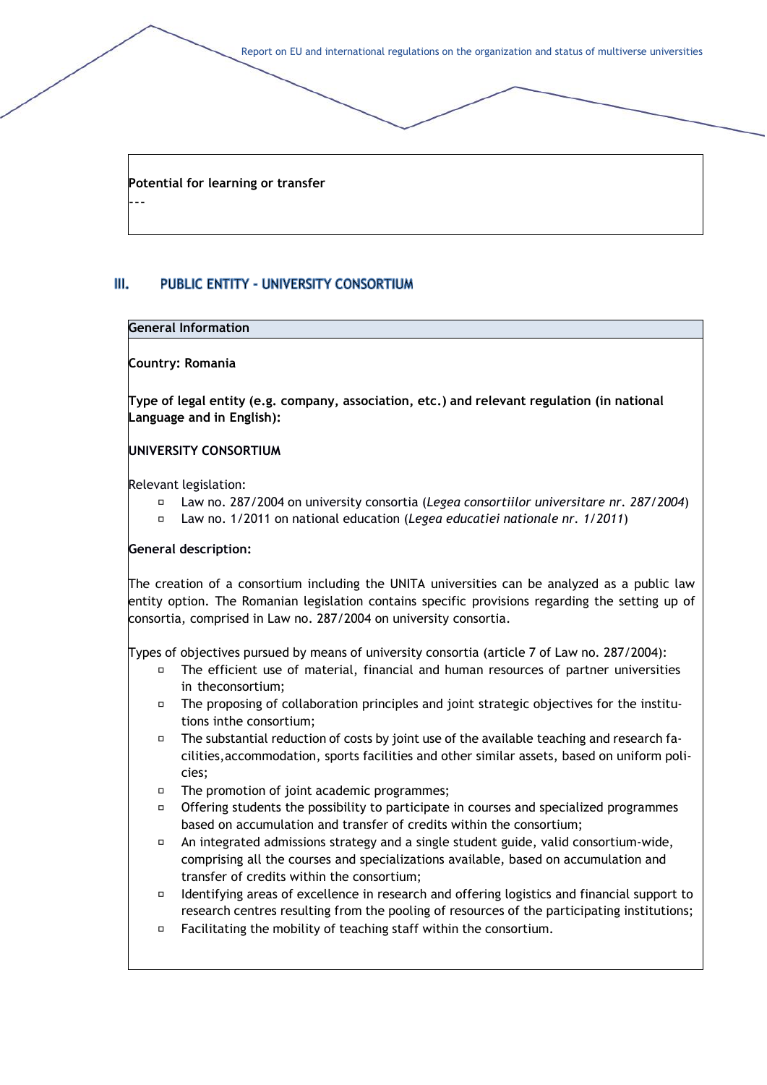**Potential for learning or transfer**

#### $III.$ PUBLIC ENTITY - UNIVERSITY CONSORTIUM

#### **General Information**

---

#### **Country: Romania**

**Type of legal entity (e.g. company, association, etc.) and relevant regulation (in national Language and in English):**

#### **UNIVERSITY CONSORTIUM**

Relevant legislation:

- Law no. 287/2004 on university consortia (*Legea consortiilor universitare nr. 287/2004*)
- Law no. 1/2011 on national education (*Legea educatiei nationale nr. 1/2011*)

#### **General description:**

The creation of a consortium including the UNITA universities can be analyzed as a public law entity option. The Romanian legislation contains specific provisions regarding the setting up of consortia, comprised in Law no. 287/2004 on university consortia.

Types of objectives pursued by means of university consortia (article 7 of Law no. 287/2004):

- The efficient use of material, financial and human resources of partner universities in theconsortium;
- The proposing of collaboration principles and joint strategic objectives for the institutions inthe consortium;
- $\Box$ The substantial reduction of costs by joint use of the available teaching and research facilities,accommodation, sports facilities and other similar assets, based on uniform policies;
- $\Box$  The promotion of joint academic programmes;
- $\Box$ Offering students the possibility to participate in courses and specialized programmes based on accumulation and transfer of credits within the consortium;
- $\Box$ An integrated admissions strategy and a single student guide, valid consortium-wide, comprising all the courses and specializations available, based on accumulation and transfer of credits within the consortium;
- $\Box$ Identifying areas of excellence in research and offering logistics and financial support to research centres resulting from the pooling of resources of the participating institutions;
- $\Box$ Facilitating the mobility of teaching staff within the consortium.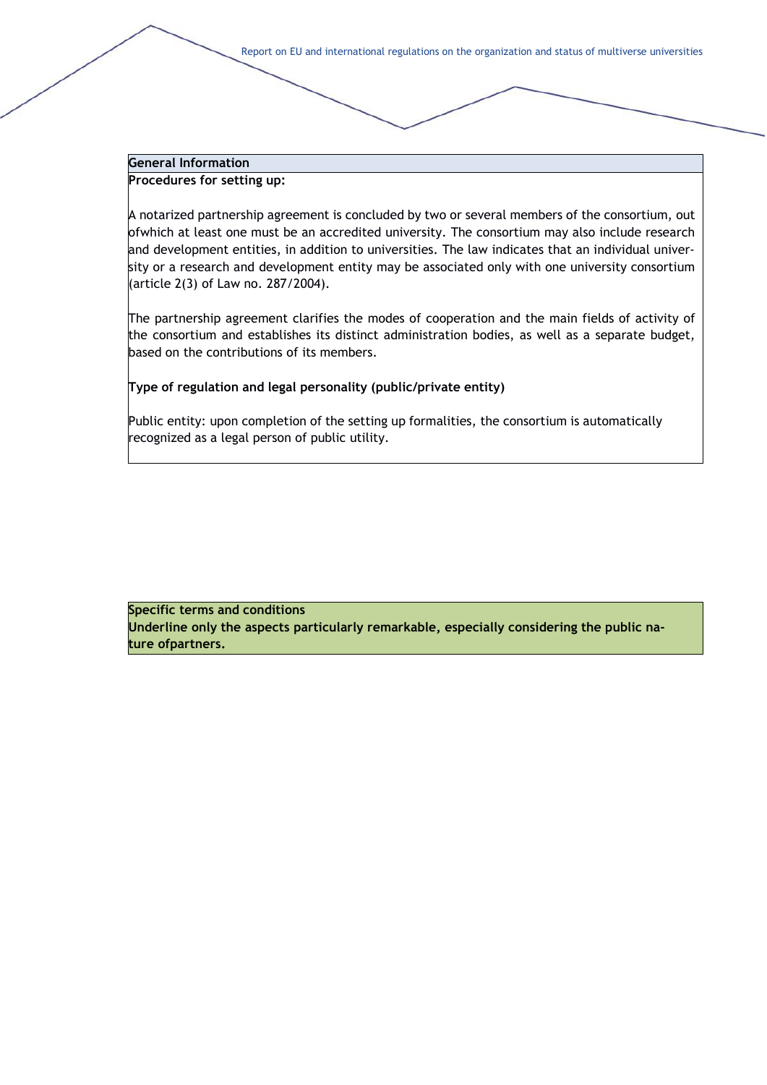# **General Information**

**Procedures for setting up:**

A notarized partnership agreement is concluded by two or several members of the consortium, out ofwhich at least one must be an accredited university. The consortium may also include research and development entities, in addition to universities. The law indicates that an individual university or a research and development entity may be associated only with one university consortium (article 2(3) of Law no. 287/2004).

The partnership agreement clarifies the modes of cooperation and the main fields of activity of the consortium and establishes its distinct administration bodies, as well as a separate budget, based on the contributions of its members.

#### **Type of regulation and legal personality (public/private entity)**

Public entity: upon completion of the setting up formalities, the consortium is automatically recognized as a legal person of public utility.

**Specific terms and conditions Underline only the aspects particularly remarkable, especially considering the public nature ofpartners.**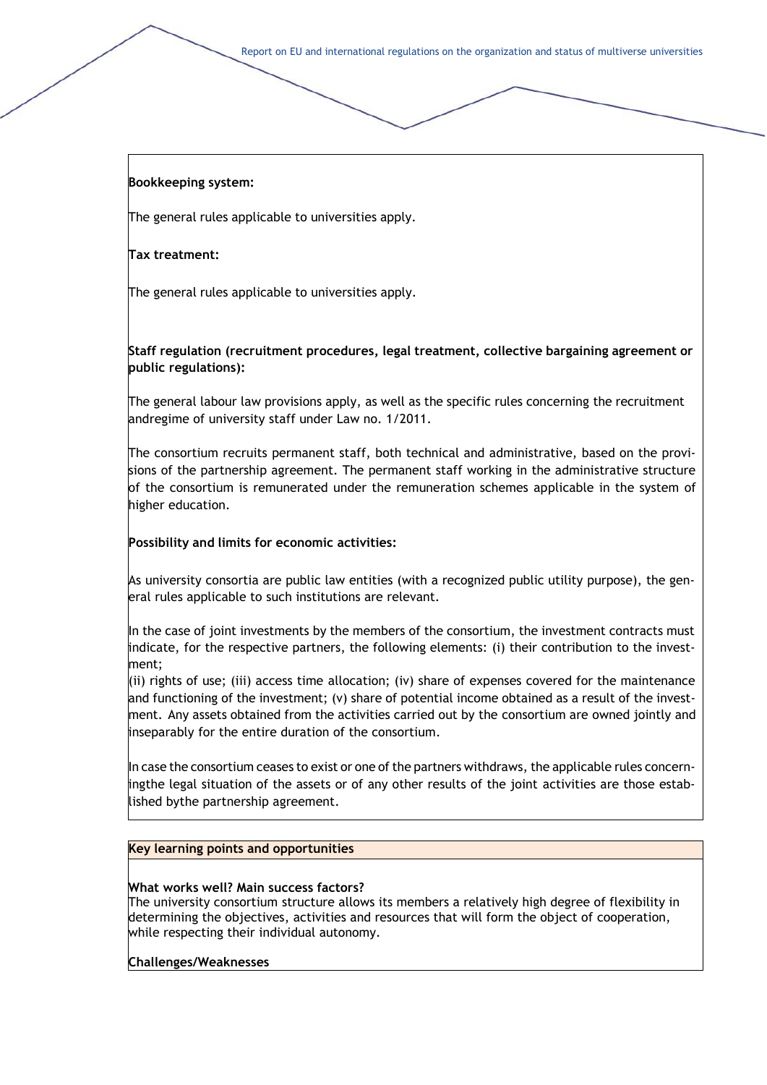### **Bookkeeping system:**

The general rules applicable to universities apply.

#### **Tax treatment:**

The general rules applicable to universities apply.

**Staff regulation (recruitment procedures, legal treatment, collective bargaining agreement or public regulations):**

The general labour law provisions apply, as well as the specific rules concerning the recruitment andregime of university staff under Law no. 1/2011.

The consortium recruits permanent staff, both technical and administrative, based on the provisions of the partnership agreement. The permanent staff working in the administrative structure of the consortium is remunerated under the remuneration schemes applicable in the system of higher education.

#### **Possibility and limits for economic activities:**

As university consortia are public law entities (with a recognized public utility purpose), the general rules applicable to such institutions are relevant.

In the case of joint investments by the members of the consortium, the investment contracts must indicate, for the respective partners, the following elements: (i) their contribution to the investment;

 $(iii)$  rights of use; (iii) access time allocation; (iv) share of expenses covered for the maintenance and functioning of the investment; (v) share of potential income obtained as a result of the investment. Any assets obtained from the activities carried out by the consortium are owned jointly and inseparably for the entire duration of the consortium.

In case the consortium ceases to exist or one of the partners withdraws, the applicable rules concerningthe legal situation of the assets or of any other results of the joint activities are those established bythe partnership agreement.

#### **Key learning points and opportunities**

#### **What works well? Main success factors?**

The university consortium structure allows its members a relatively high degree of flexibility in determining the objectives, activities and resources that will form the object of cooperation, while respecting their individual autonomy.

#### **Challenges/Weaknesses**